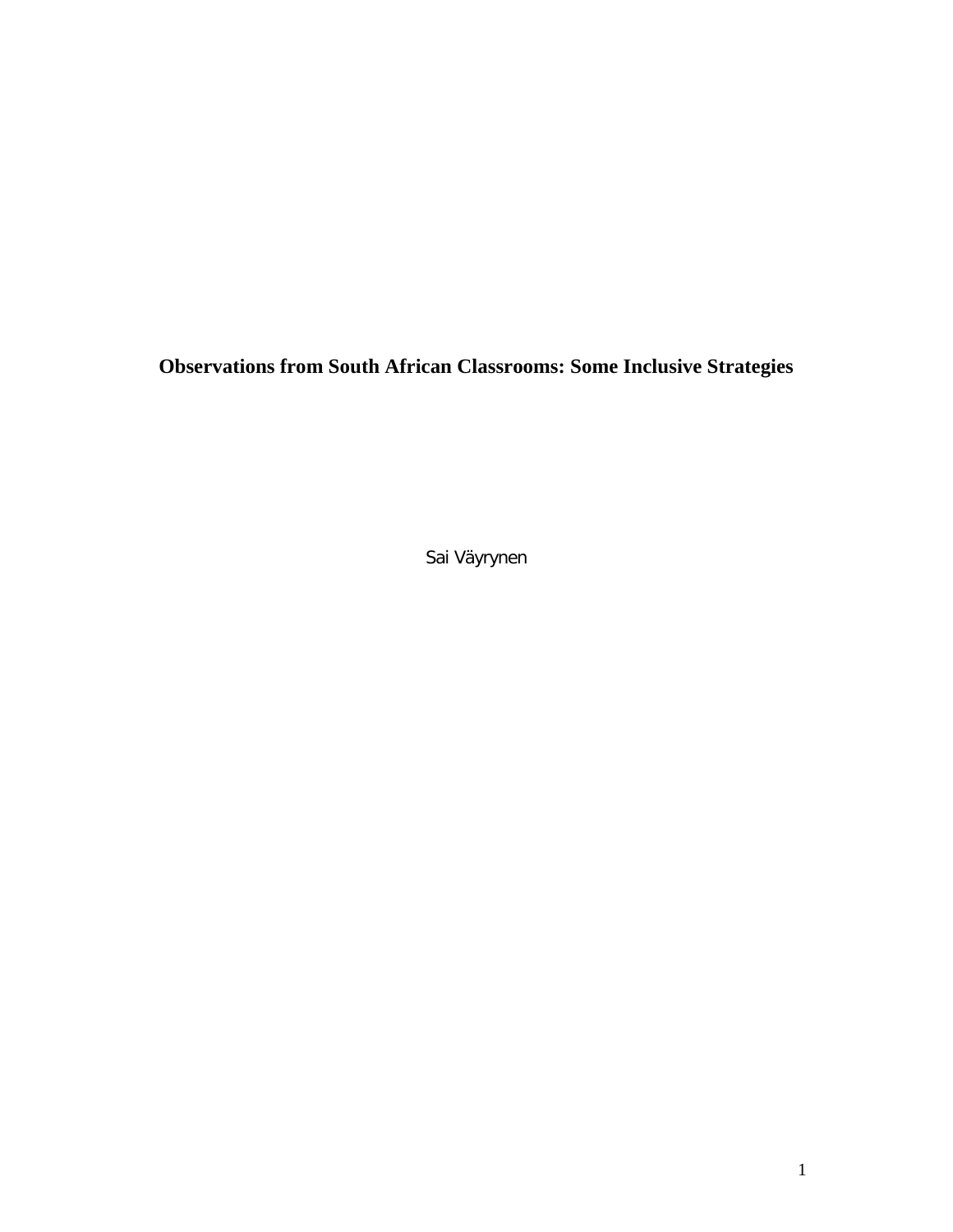**Observations from South African Classrooms: Some Inclusive Strategies** 

Sai Väyrynen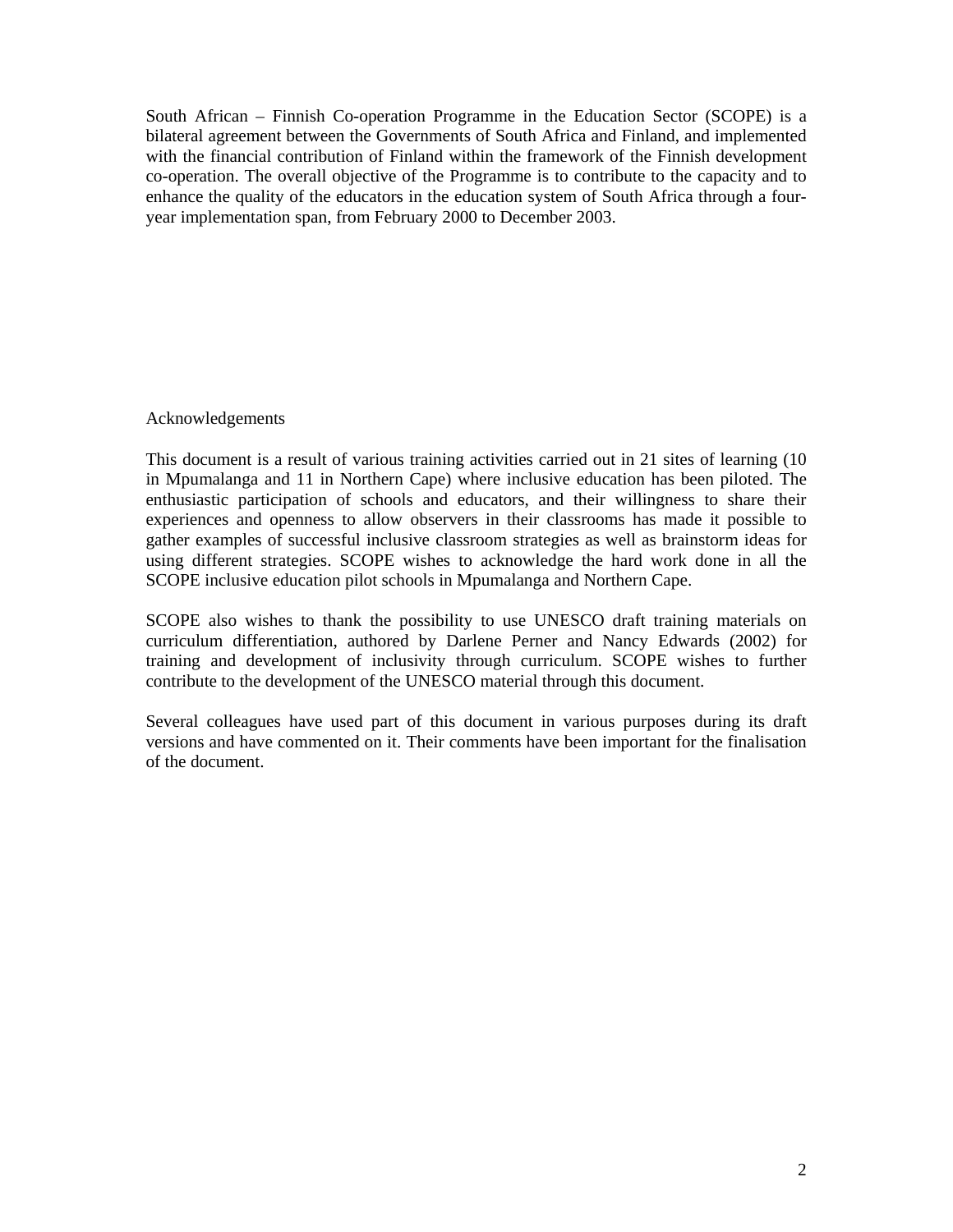South African – Finnish Co-operation Programme in the Education Sector (SCOPE) is a bilateral agreement between the Governments of South Africa and Finland, and implemented with the financial contribution of Finland within the framework of the Finnish development co-operation. The overall objective of the Programme is to contribute to the capacity and to enhance the quality of the educators in the education system of South Africa through a fouryear implementation span, from February 2000 to December 2003.

## Acknowledgements

This document is a result of various training activities carried out in 21 sites of learning (10 in Mpumalanga and 11 in Northern Cape) where inclusive education has been piloted. The enthusiastic participation of schools and educators, and their willingness to share their experiences and openness to allow observers in their classrooms has made it possible to gather examples of successful inclusive classroom strategies as well as brainstorm ideas for using different strategies. SCOPE wishes to acknowledge the hard work done in all the SCOPE inclusive education pilot schools in Mpumalanga and Northern Cape.

SCOPE also wishes to thank the possibility to use UNESCO draft training materials on curriculum differentiation, authored by Darlene Perner and Nancy Edwards (2002) for training and development of inclusivity through curriculum. SCOPE wishes to further contribute to the development of the UNESCO material through this document.

Several colleagues have used part of this document in various purposes during its draft versions and have commented on it. Their comments have been important for the finalisation of the document.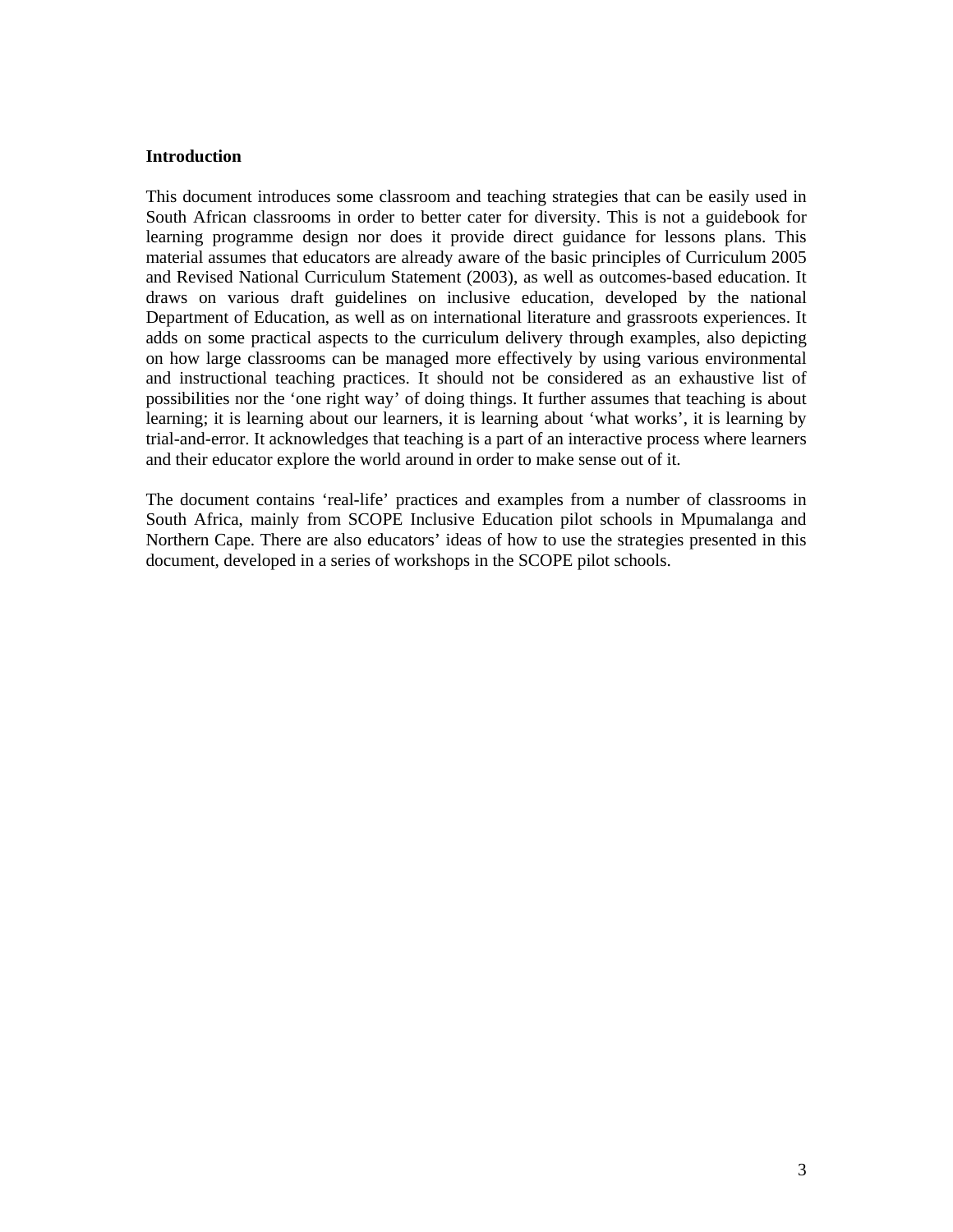### **Introduction**

This document introduces some classroom and teaching strategies that can be easily used in South African classrooms in order to better cater for diversity. This is not a guidebook for learning programme design nor does it provide direct guidance for lessons plans. This material assumes that educators are already aware of the basic principles of Curriculum 2005 and Revised National Curriculum Statement (2003), as well as outcomes-based education. It draws on various draft guidelines on inclusive education, developed by the national Department of Education, as well as on international literature and grassroots experiences. It adds on some practical aspects to the curriculum delivery through examples, also depicting on how large classrooms can be managed more effectively by using various environmental and instructional teaching practices. It should not be considered as an exhaustive list of possibilities nor the 'one right way' of doing things. It further assumes that teaching is about learning; it is learning about our learners, it is learning about 'what works', it is learning by trial-and-error. It acknowledges that teaching is a part of an interactive process where learners and their educator explore the world around in order to make sense out of it.

The document contains 'real-life' practices and examples from a number of classrooms in South Africa, mainly from SCOPE Inclusive Education pilot schools in Mpumalanga and Northern Cape. There are also educators' ideas of how to use the strategies presented in this document, developed in a series of workshops in the SCOPE pilot schools.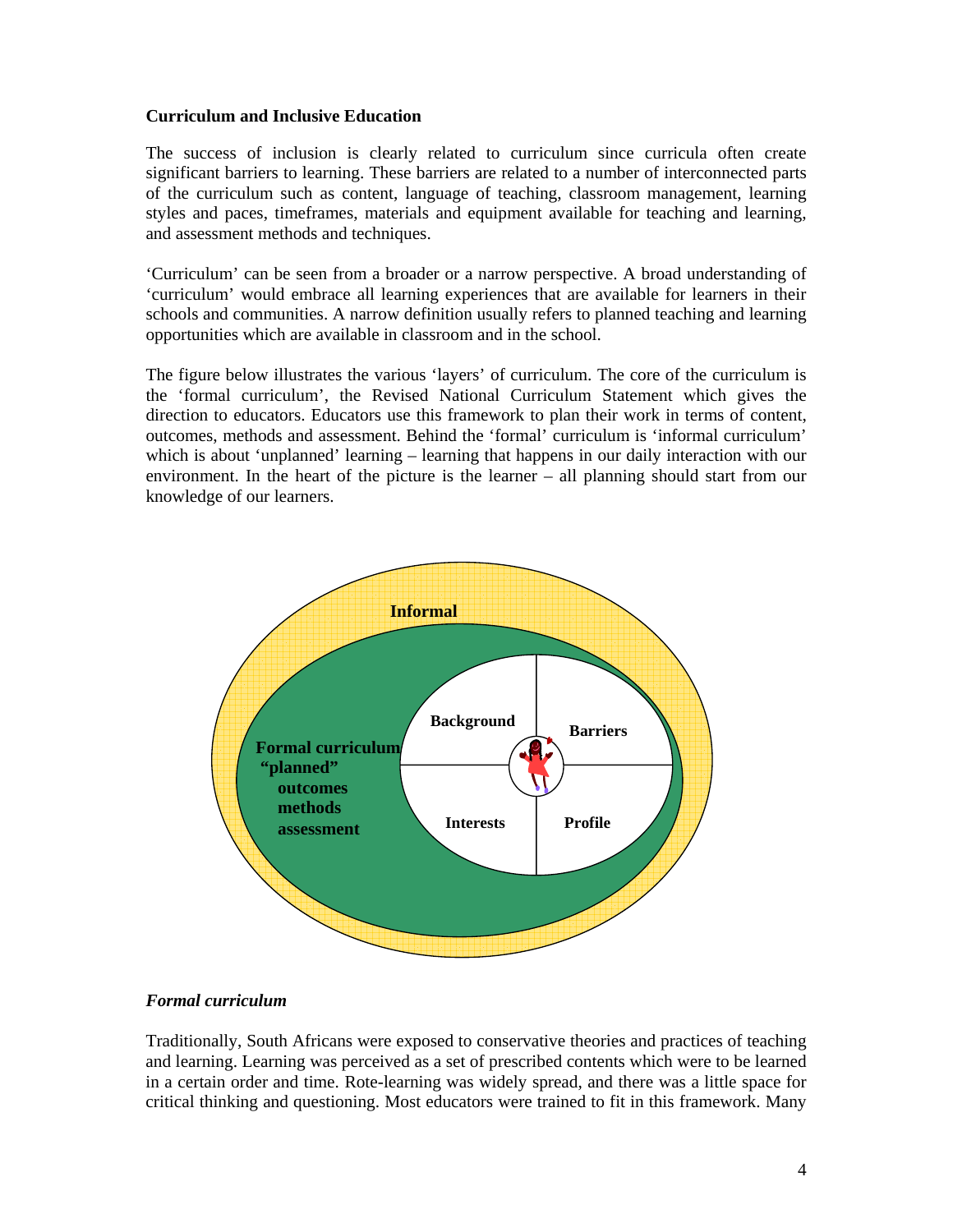### **Curriculum and Inclusive Education**

The success of inclusion is clearly related to curriculum since curricula often create significant barriers to learning. These barriers are related to a number of interconnected parts of the curriculum such as content, language of teaching, classroom management, learning styles and paces, timeframes, materials and equipment available for teaching and learning, and assessment methods and techniques.

'Curriculum' can be seen from a broader or a narrow perspective. A broad understanding of 'curriculum' would embrace all learning experiences that are available for learners in their schools and communities. A narrow definition usually refers to planned teaching and learning opportunities which are available in classroom and in the school.

The figure below illustrates the various 'layers' of curriculum. The core of the curriculum is the 'formal curriculum', the Revised National Curriculum Statement which gives the direction to educators. Educators use this framework to plan their work in terms of content, outcomes, methods and assessment. Behind the 'formal' curriculum is 'informal curriculum' which is about 'unplanned' learning – learning that happens in our daily interaction with our environment. In the heart of the picture is the learner – all planning should start from our knowledge of our learners.



### *Formal curriculum*

Traditionally, South Africans were exposed to conservative theories and practices of teaching and learning. Learning was perceived as a set of prescribed contents which were to be learned in a certain order and time. Rote-learning was widely spread, and there was a little space for critical thinking and questioning. Most educators were trained to fit in this framework. Many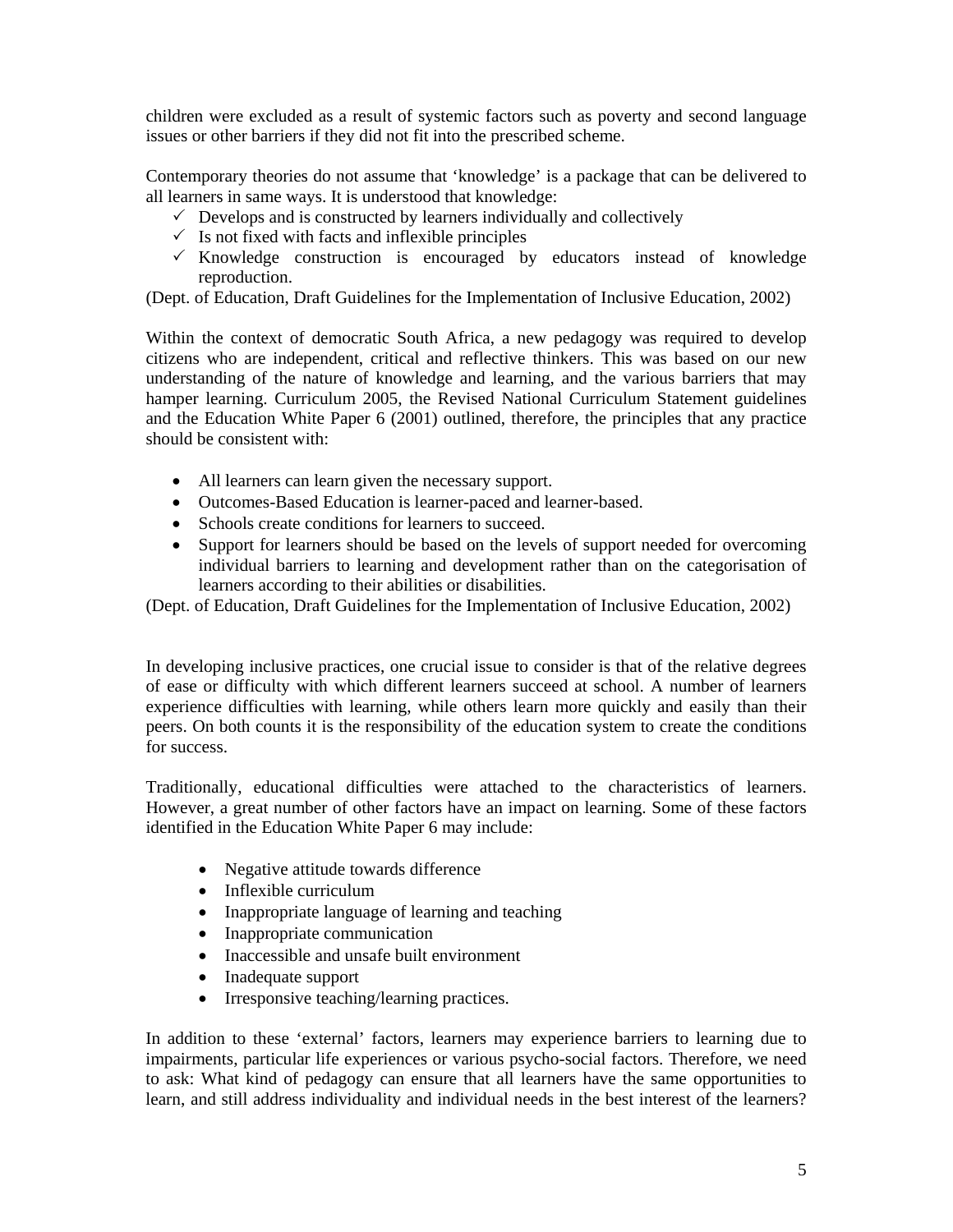children were excluded as a result of systemic factors such as poverty and second language issues or other barriers if they did not fit into the prescribed scheme.

Contemporary theories do not assume that 'knowledge' is a package that can be delivered to all learners in same ways. It is understood that knowledge:

- $\checkmark$  Develops and is constructed by learners individually and collectively
- $\checkmark$  Is not fixed with facts and inflexible principles
- $\times$  Knowledge construction is encouraged by educators instead of knowledge reproduction.

(Dept. of Education, Draft Guidelines for the Implementation of Inclusive Education, 2002)

Within the context of democratic South Africa, a new pedagogy was required to develop citizens who are independent, critical and reflective thinkers. This was based on our new understanding of the nature of knowledge and learning, and the various barriers that may hamper learning. Curriculum 2005, the Revised National Curriculum Statement guidelines and the Education White Paper 6 (2001) outlined, therefore, the principles that any practice should be consistent with:

- All learners can learn given the necessary support.
- Outcomes-Based Education is learner-paced and learner-based.
- Schools create conditions for learners to succeed.
- Support for learners should be based on the levels of support needed for overcoming individual barriers to learning and development rather than on the categorisation of learners according to their abilities or disabilities.

(Dept. of Education, Draft Guidelines for the Implementation of Inclusive Education, 2002)

In developing inclusive practices, one crucial issue to consider is that of the relative degrees of ease or difficulty with which different learners succeed at school. A number of learners experience difficulties with learning, while others learn more quickly and easily than their peers. On both counts it is the responsibility of the education system to create the conditions for success.

Traditionally, educational difficulties were attached to the characteristics of learners. However, a great number of other factors have an impact on learning. Some of these factors identified in the Education White Paper 6 may include:

- Negative attitude towards difference
- Inflexible curriculum
- Inappropriate language of learning and teaching
- Inappropriate communication
- Inaccessible and unsafe built environment
- Inadequate support
- Irresponsive teaching/learning practices.

In addition to these 'external' factors, learners may experience barriers to learning due to impairments, particular life experiences or various psycho-social factors. Therefore, we need to ask: What kind of pedagogy can ensure that all learners have the same opportunities to learn, and still address individuality and individual needs in the best interest of the learners?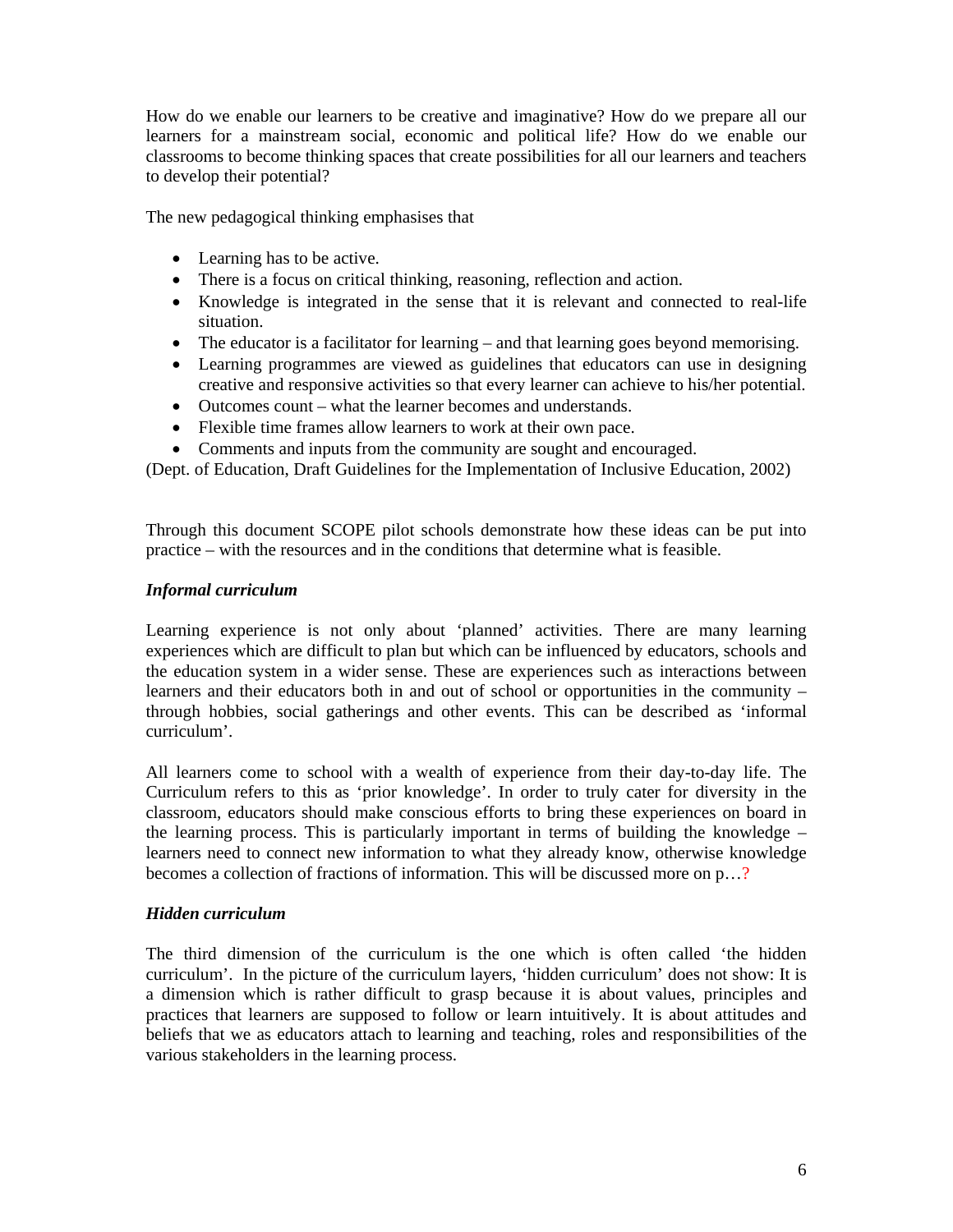How do we enable our learners to be creative and imaginative? How do we prepare all our learners for a mainstream social, economic and political life? How do we enable our classrooms to become thinking spaces that create possibilities for all our learners and teachers to develop their potential?

The new pedagogical thinking emphasises that

- Learning has to be active.
- There is a focus on critical thinking, reasoning, reflection and action.
- Knowledge is integrated in the sense that it is relevant and connected to real-life situation.
- The educator is a facilitator for learning and that learning goes beyond memorising.
- Learning programmes are viewed as guidelines that educators can use in designing creative and responsive activities so that every learner can achieve to his/her potential.
- Outcomes count what the learner becomes and understands.
- Flexible time frames allow learners to work at their own pace.
- Comments and inputs from the community are sought and encouraged.

(Dept. of Education, Draft Guidelines for the Implementation of Inclusive Education, 2002)

Through this document SCOPE pilot schools demonstrate how these ideas can be put into practice – with the resources and in the conditions that determine what is feasible.

## *Informal curriculum*

Learning experience is not only about 'planned' activities. There are many learning experiences which are difficult to plan but which can be influenced by educators, schools and the education system in a wider sense. These are experiences such as interactions between learners and their educators both in and out of school or opportunities in the community – through hobbies, social gatherings and other events. This can be described as 'informal curriculum'.

All learners come to school with a wealth of experience from their day-to-day life. The Curriculum refers to this as 'prior knowledge'. In order to truly cater for diversity in the classroom, educators should make conscious efforts to bring these experiences on board in the learning process. This is particularly important in terms of building the knowledge – learners need to connect new information to what they already know, otherwise knowledge becomes a collection of fractions of information. This will be discussed more on p…?

# *Hidden curriculum*

The third dimension of the curriculum is the one which is often called 'the hidden curriculum'. In the picture of the curriculum layers, 'hidden curriculum' does not show: It is a dimension which is rather difficult to grasp because it is about values, principles and practices that learners are supposed to follow or learn intuitively. It is about attitudes and beliefs that we as educators attach to learning and teaching, roles and responsibilities of the various stakeholders in the learning process.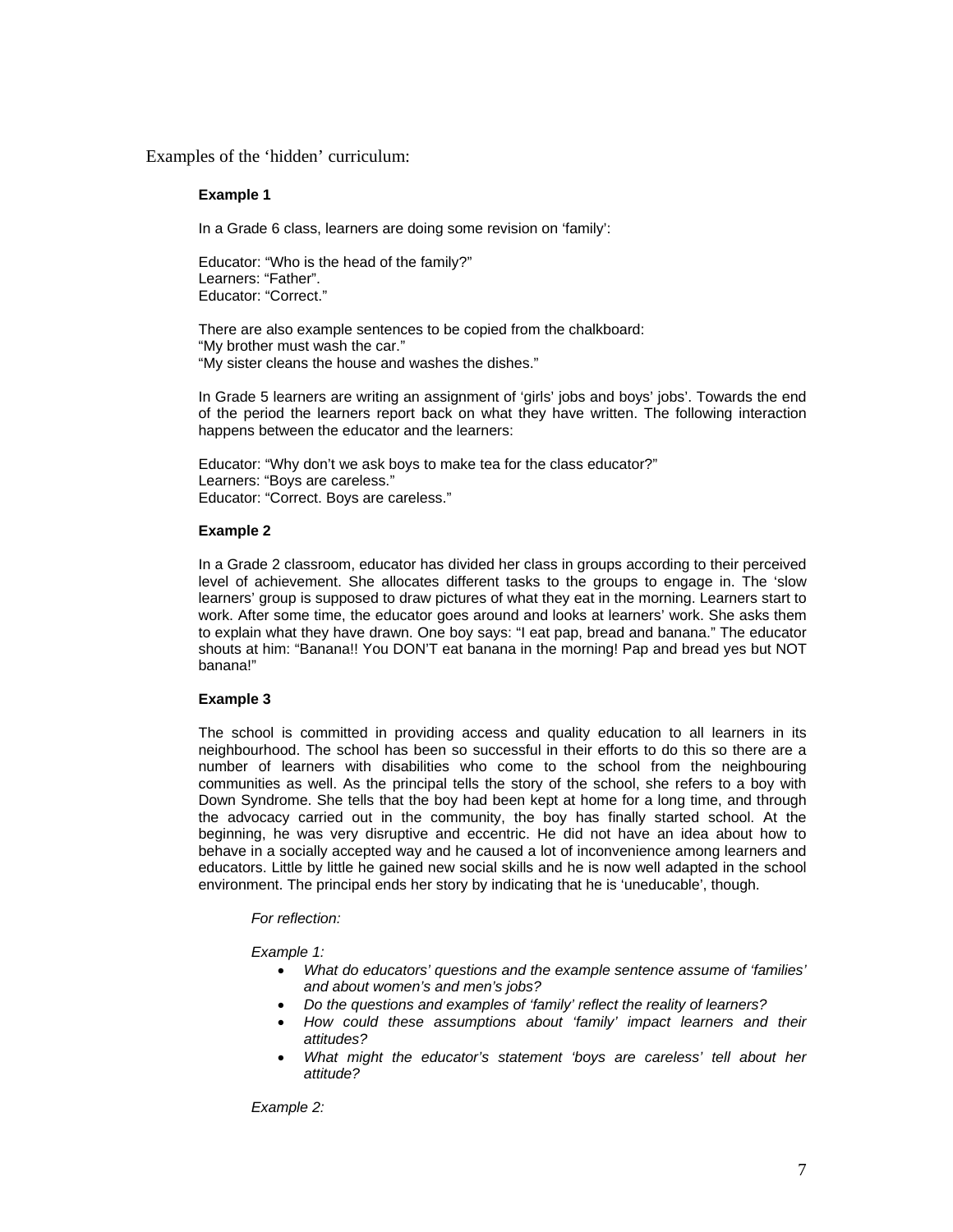Examples of the 'hidden' curriculum:

#### **Example 1**

In a Grade 6 class, learners are doing some revision on 'family':

Educator: "Who is the head of the family?" Learners: "Father". Educator: "Correct."

There are also example sentences to be copied from the chalkboard: "My brother must wash the car." "My sister cleans the house and washes the dishes."

In Grade 5 learners are writing an assignment of 'girls' jobs and boys' jobs'. Towards the end of the period the learners report back on what they have written. The following interaction happens between the educator and the learners:

Educator: "Why don't we ask boys to make tea for the class educator?" Learners: "Boys are careless." Educator: "Correct. Boys are careless."

#### **Example 2**

In a Grade 2 classroom, educator has divided her class in groups according to their perceived level of achievement. She allocates different tasks to the groups to engage in. The 'slow learners' group is supposed to draw pictures of what they eat in the morning. Learners start to work. After some time, the educator goes around and looks at learners' work. She asks them to explain what they have drawn. One boy says: "I eat pap, bread and banana." The educator shouts at him: "Banana!! You DON'T eat banana in the morning! Pap and bread yes but NOT banana!"

#### **Example 3**

The school is committed in providing access and quality education to all learners in its neighbourhood. The school has been so successful in their efforts to do this so there are a number of learners with disabilities who come to the school from the neighbouring communities as well. As the principal tells the story of the school, she refers to a boy with Down Syndrome. She tells that the boy had been kept at home for a long time, and through the advocacy carried out in the community, the boy has finally started school. At the beginning, he was very disruptive and eccentric. He did not have an idea about how to behave in a socially accepted way and he caused a lot of inconvenience among learners and educators. Little by little he gained new social skills and he is now well adapted in the school environment. The principal ends her story by indicating that he is 'uneducable', though.

#### *For reflection:*

*Example 1:* 

- *What do educators' questions and the example sentence assume of 'families' and about women's and men's jobs?*
- *Do the questions and examples of 'family' reflect the reality of learners?*
- *How could these assumptions about 'family' impact learners and their attitudes?*
- *What might the educator's statement 'boys are careless' tell about her attitude?*

*Example 2:*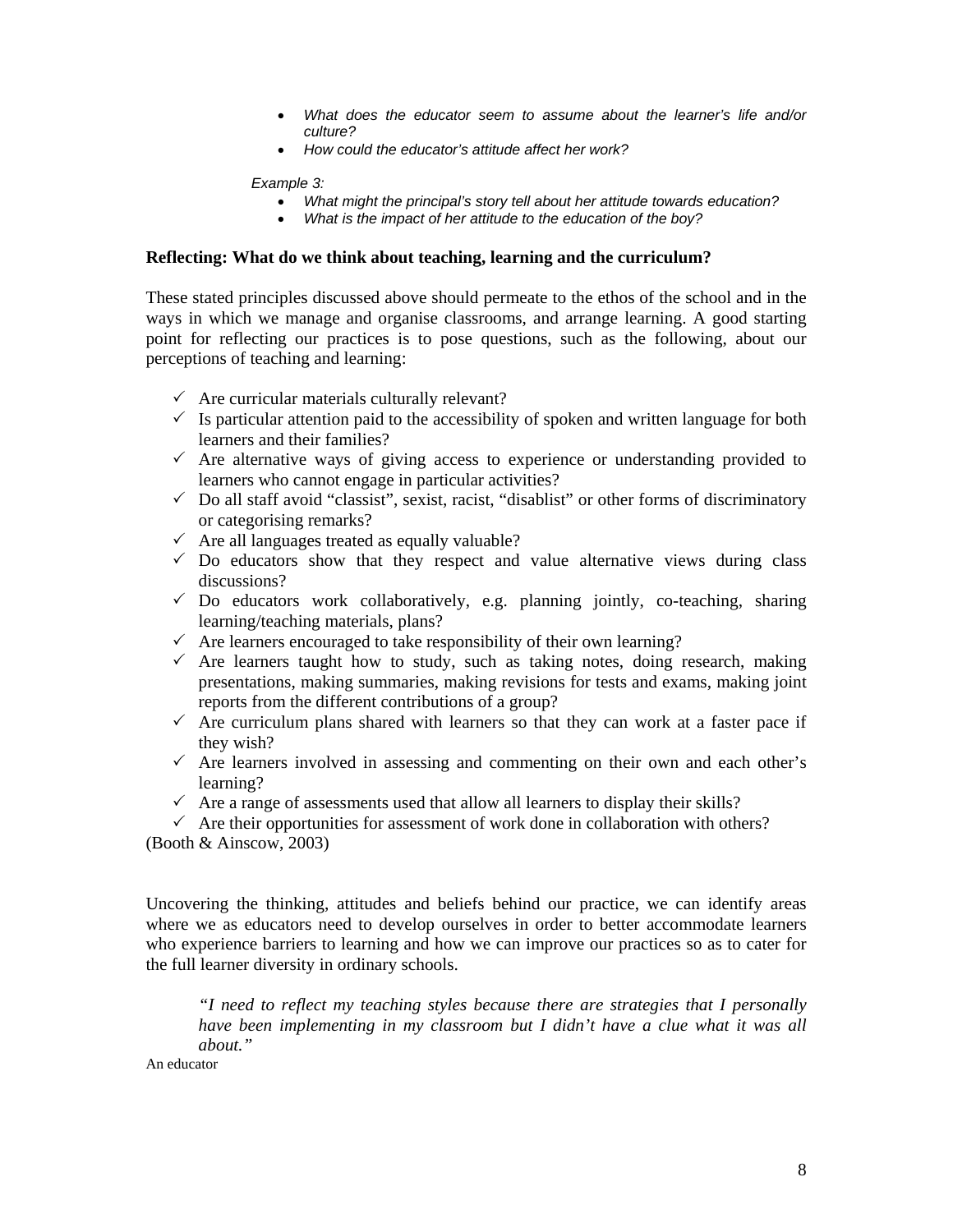- *What does the educator seem to assume about the learner's life and/or culture?*
- *How could the educator's attitude affect her work?*

#### *Example 3:*

- *What might the principal's story tell about her attitude towards education?*
- *What is the impact of her attitude to the education of the boy?*

#### **Reflecting: What do we think about teaching, learning and the curriculum?**

These stated principles discussed above should permeate to the ethos of the school and in the ways in which we manage and organise classrooms, and arrange learning. A good starting point for reflecting our practices is to pose questions, such as the following, about our perceptions of teaching and learning:

- $\checkmark$  Are curricular materials culturally relevant?
- $\checkmark$  Is particular attention paid to the accessibility of spoken and written language for both learners and their families?
- $\checkmark$  Are alternative ways of giving access to experience or understanding provided to learners who cannot engage in particular activities?
- $\checkmark$  Do all staff avoid "classist", sexist, racist, "disablist" or other forms of discriminatory or categorising remarks?
- $\checkmark$  Are all languages treated as equally valuable?
- $\checkmark$  Do educators show that they respect and value alternative views during class discussions?
- $\checkmark$  Do educators work collaboratively, e.g. planning jointly, co-teaching, sharing learning/teaching materials, plans?
- $\checkmark$  Are learners encouraged to take responsibility of their own learning?
- $\checkmark$  Are learners taught how to study, such as taking notes, doing research, making presentations, making summaries, making revisions for tests and exams, making joint reports from the different contributions of a group?
- $\checkmark$  Are curriculum plans shared with learners so that they can work at a faster pace if they wish?
- $\checkmark$  Are learners involved in assessing and commenting on their own and each other's learning?
- $\checkmark$  Are a range of assessments used that allow all learners to display their skills?

 $\checkmark$  Are their opportunities for assessment of work done in collaboration with others? (Booth & Ainscow, 2003)

Uncovering the thinking, attitudes and beliefs behind our practice, we can identify areas where we as educators need to develop ourselves in order to better accommodate learners who experience barriers to learning and how we can improve our practices so as to cater for the full learner diversity in ordinary schools.

*"I need to reflect my teaching styles because there are strategies that I personally have been implementing in my classroom but I didn't have a clue what it was all about."* 

An educator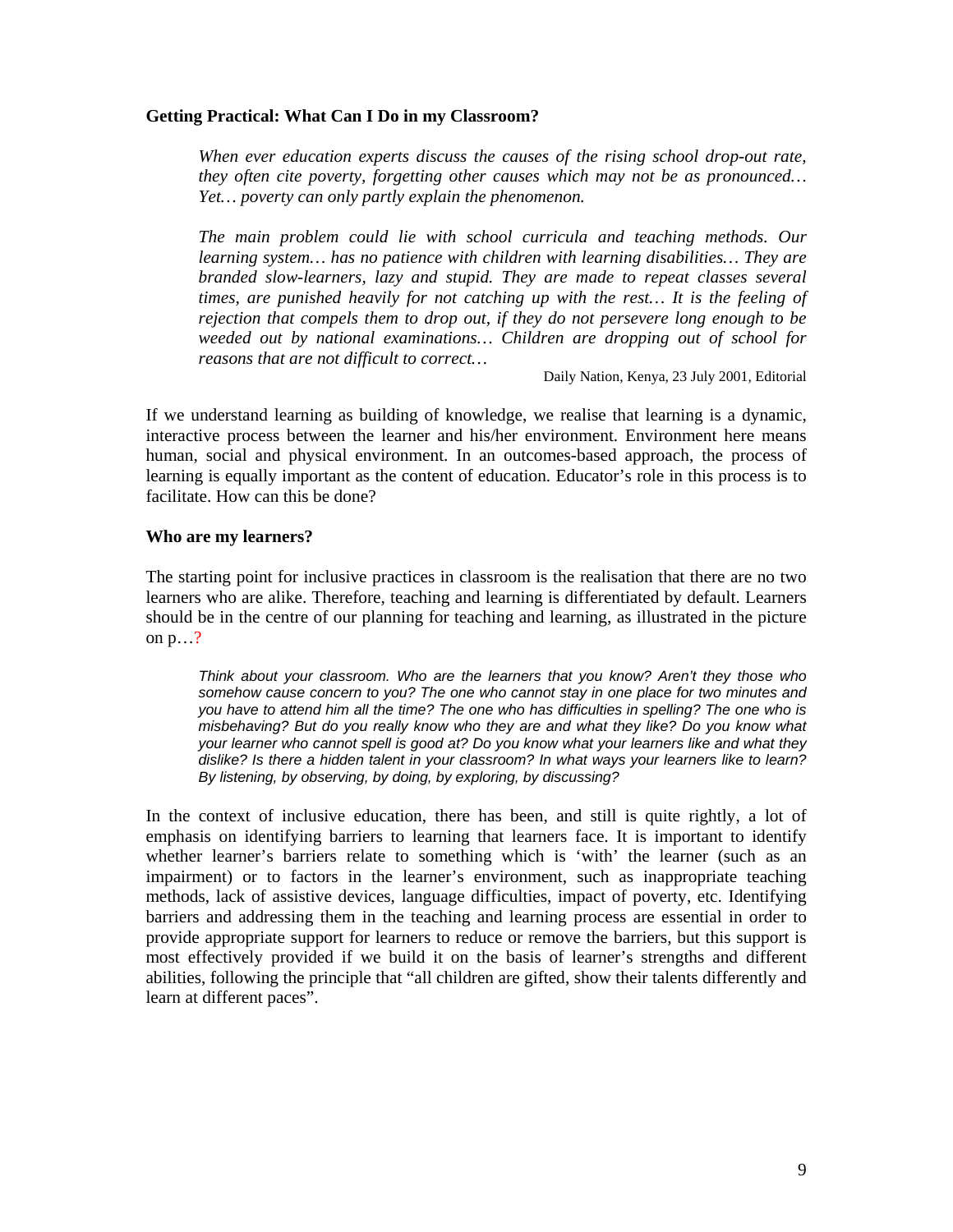## **Getting Practical: What Can I Do in my Classroom?**

*When ever education experts discuss the causes of the rising school drop-out rate, they often cite poverty, forgetting other causes which may not be as pronounced… Yet… poverty can only partly explain the phenomenon.* 

*The main problem could lie with school curricula and teaching methods. Our learning system… has no patience with children with learning disabilities… They are branded slow-learners, lazy and stupid. They are made to repeat classes several times, are punished heavily for not catching up with the rest… It is the feeling of rejection that compels them to drop out, if they do not persevere long enough to be weeded out by national examinations… Children are dropping out of school for reasons that are not difficult to correct…* 

Daily Nation, Kenya, 23 July 2001, Editorial

If we understand learning as building of knowledge, we realise that learning is a dynamic, interactive process between the learner and his/her environment. Environment here means human, social and physical environment. In an outcomes-based approach, the process of learning is equally important as the content of education. Educator's role in this process is to facilitate. How can this be done?

### **Who are my learners?**

The starting point for inclusive practices in classroom is the realisation that there are no two learners who are alike. Therefore, teaching and learning is differentiated by default. Learners should be in the centre of our planning for teaching and learning, as illustrated in the picture on p…?

*Think about your classroom. Who are the learners that you know? Aren't they those who somehow cause concern to you? The one who cannot stay in one place for two minutes and you have to attend him all the time? The one who has difficulties in spelling? The one who is misbehaving? But do you really know who they are and what they like? Do you know what your learner who cannot spell is good at? Do you know what your learners like and what they dislike? Is there a hidden talent in your classroom? In what ways your learners like to learn? By listening, by observing, by doing, by exploring, by discussing?* 

In the context of inclusive education, there has been, and still is quite rightly, a lot of emphasis on identifying barriers to learning that learners face. It is important to identify whether learner's barriers relate to something which is 'with' the learner (such as an impairment) or to factors in the learner's environment, such as inappropriate teaching methods, lack of assistive devices, language difficulties, impact of poverty, etc. Identifying barriers and addressing them in the teaching and learning process are essential in order to provide appropriate support for learners to reduce or remove the barriers, but this support is most effectively provided if we build it on the basis of learner's strengths and different abilities, following the principle that "all children are gifted, show their talents differently and learn at different paces".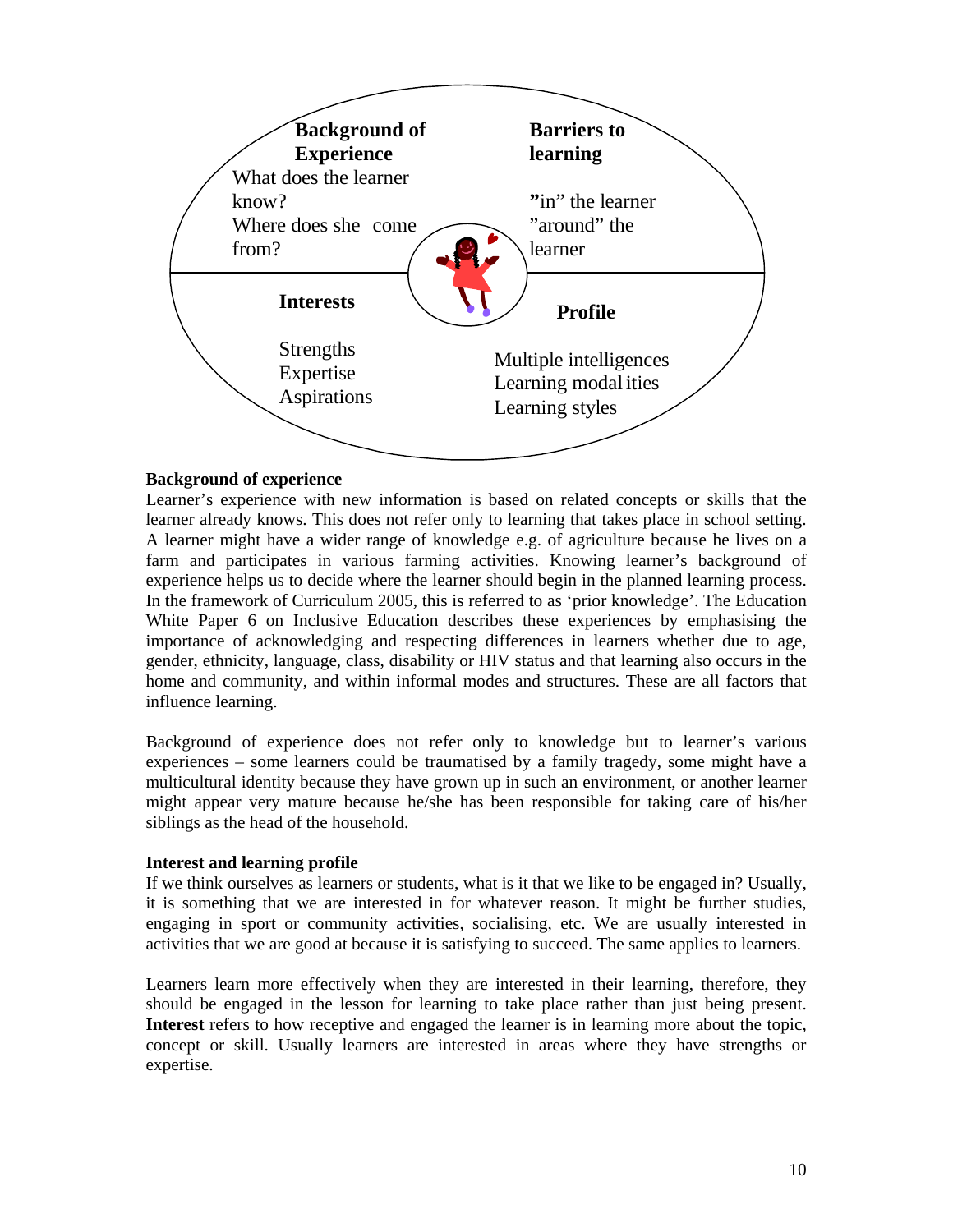

## **Background of experience**

Learner's experience with new information is based on related concepts or skills that the learner already knows. This does not refer only to learning that takes place in school setting. A learner might have a wider range of knowledge e.g. of agriculture because he lives on a farm and participates in various farming activities. Knowing learner's background of experience helps us to decide where the learner should begin in the planned learning process. In the framework of Curriculum 2005, this is referred to as 'prior knowledge'. The Education White Paper 6 on Inclusive Education describes these experiences by emphasising the importance of acknowledging and respecting differences in learners whether due to age, gender, ethnicity, language, class, disability or HIV status and that learning also occurs in the home and community, and within informal modes and structures. These are all factors that influence learning.

Background of experience does not refer only to knowledge but to learner's various experiences – some learners could be traumatised by a family tragedy, some might have a multicultural identity because they have grown up in such an environment, or another learner might appear very mature because he/she has been responsible for taking care of his/her siblings as the head of the household.

### **Interest and learning profile**

If we think ourselves as learners or students, what is it that we like to be engaged in? Usually, it is something that we are interested in for whatever reason. It might be further studies, engaging in sport or community activities, socialising, etc. We are usually interested in activities that we are good at because it is satisfying to succeed. The same applies to learners.

Learners learn more effectively when they are interested in their learning, therefore, they should be engaged in the lesson for learning to take place rather than just being present. **Interest** refers to how receptive and engaged the learner is in learning more about the topic, concept or skill. Usually learners are interested in areas where they have strengths or expertise.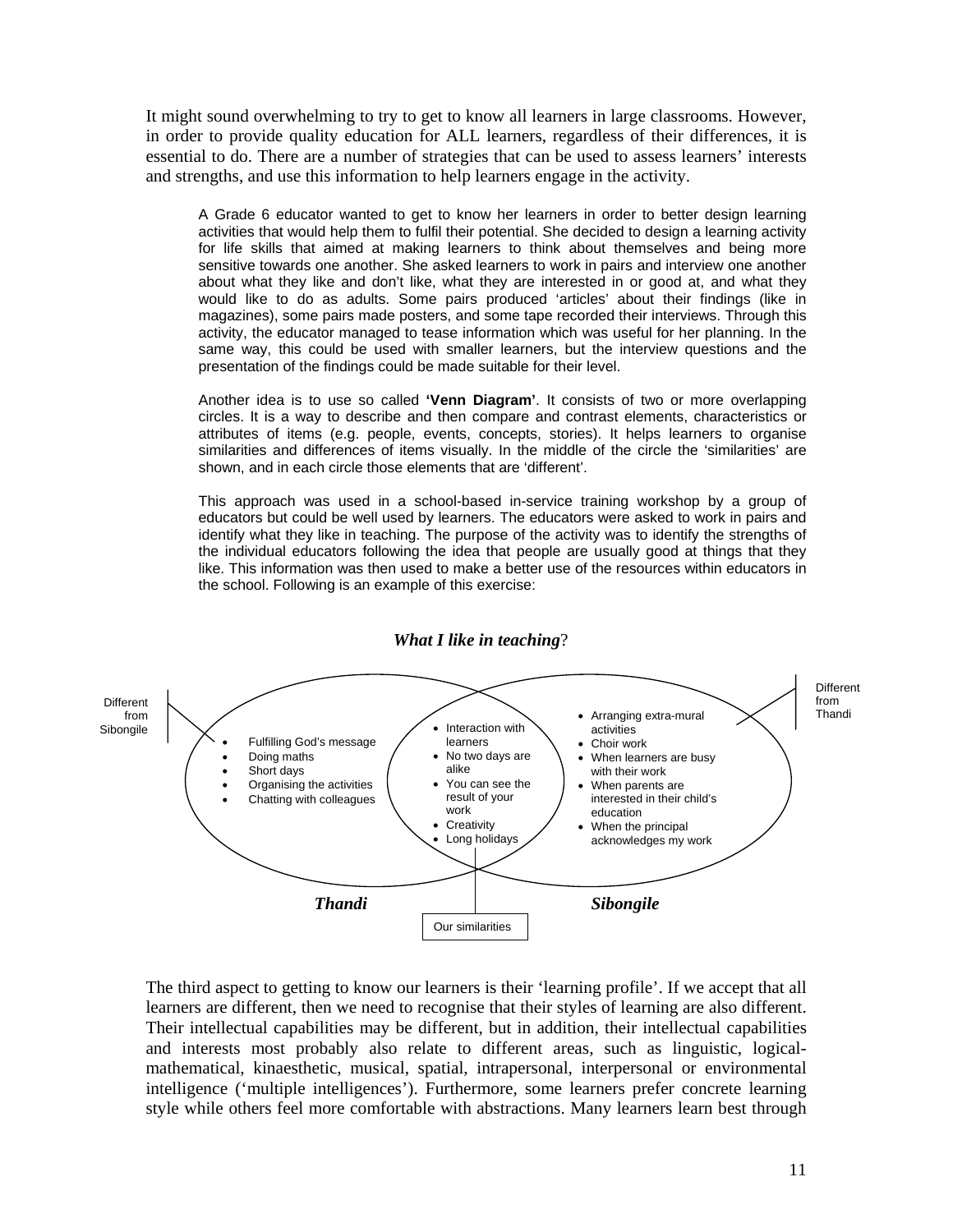It might sound overwhelming to try to get to know all learners in large classrooms. However, in order to provide quality education for ALL learners, regardless of their differences, it is essential to do. There are a number of strategies that can be used to assess learners' interests and strengths, and use this information to help learners engage in the activity.

A Grade 6 educator wanted to get to know her learners in order to better design learning activities that would help them to fulfil their potential. She decided to design a learning activity for life skills that aimed at making learners to think about themselves and being more sensitive towards one another. She asked learners to work in pairs and interview one another about what they like and don't like, what they are interested in or good at, and what they would like to do as adults. Some pairs produced 'articles' about their findings (like in magazines), some pairs made posters, and some tape recorded their interviews. Through this activity, the educator managed to tease information which was useful for her planning. In the same way, this could be used with smaller learners, but the interview questions and the presentation of the findings could be made suitable for their level.

Another idea is to use so called **'Venn Diagram'**. It consists of two or more overlapping circles. It is a way to describe and then compare and contrast elements, characteristics or attributes of items (e.g. people, events, concepts, stories). It helps learners to organise similarities and differences of items visually. In the middle of the circle the 'similarities' are shown, and in each circle those elements that are 'different'.

This approach was used in a school-based in-service training workshop by a group of educators but could be well used by learners. The educators were asked to work in pairs and identify what they like in teaching. The purpose of the activity was to identify the strengths of the individual educators following the idea that people are usually good at things that they like. This information was then used to make a better use of the resources within educators in the school. Following is an example of this exercise:



*What I like in teaching*?

The third aspect to getting to know our learners is their 'learning profile'. If we accept that all learners are different, then we need to recognise that their styles of learning are also different. Their intellectual capabilities may be different, but in addition, their intellectual capabilities and interests most probably also relate to different areas, such as linguistic, logicalmathematical, kinaesthetic, musical, spatial, intrapersonal, interpersonal or environmental intelligence ('multiple intelligences'). Furthermore, some learners prefer concrete learning style while others feel more comfortable with abstractions. Many learners learn best through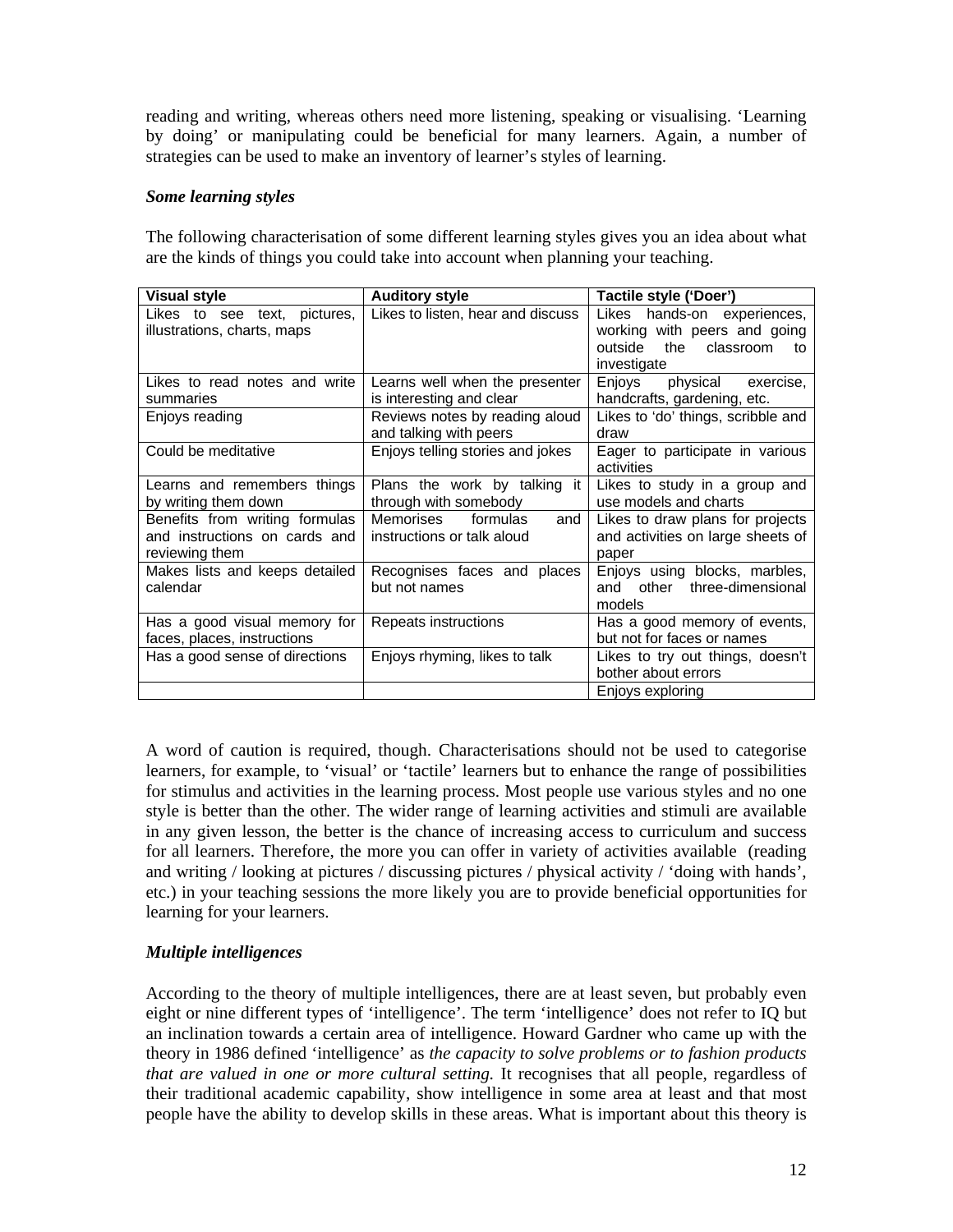reading and writing, whereas others need more listening, speaking or visualising. 'Learning by doing' or manipulating could be beneficial for many learners. Again, a number of strategies can be used to make an inventory of learner's styles of learning.

## *Some learning styles*

The following characterisation of some different learning styles gives you an idea about what are the kinds of things you could take into account when planning your teaching.

| <b>Visual style</b>                                                               | <b>Auditory style</b>                                      | Tactile style ('Doer')                                                                                       |
|-----------------------------------------------------------------------------------|------------------------------------------------------------|--------------------------------------------------------------------------------------------------------------|
| Likes to see text, pictures,<br>illustrations, charts, maps                       | Likes to listen, hear and discuss                          | Likes hands-on experiences,<br>working with peers and going<br>outside<br>the classroom<br>to<br>investigate |
| Likes to read notes and write<br>summaries                                        | Learns well when the presenter<br>is interesting and clear | Enjoys<br>physical exercise,<br>handcrafts, gardening, etc.                                                  |
| Enjoys reading                                                                    | Reviews notes by reading aloud<br>and talking with peers   | Likes to 'do' things, scribble and<br>draw                                                                   |
| Could be meditative                                                               | Enjoys telling stories and jokes                           | Eager to participate in various<br>activities                                                                |
| Learns and remembers things<br>by writing them down                               | Plans the work by talking it<br>through with somebody      | Likes to study in a group and<br>use models and charts                                                       |
| Benefits from writing formulas<br>and instructions on cards and<br>reviewing them | Memorises<br>formulas<br>and<br>instructions or talk aloud | Likes to draw plans for projects<br>and activities on large sheets of<br>paper                               |
| Makes lists and keeps detailed<br>calendar                                        | Recognises faces and places<br>but not names               | Enjoys using blocks, marbles,<br>other three-dimensional<br>and<br>models                                    |
| Has a good visual memory for<br>faces, places, instructions                       | Repeats instructions                                       | Has a good memory of events,<br>but not for faces or names                                                   |
| Has a good sense of directions                                                    | Enjoys rhyming, likes to talk                              | Likes to try out things, doesn't<br>bother about errors                                                      |
|                                                                                   |                                                            | Enjoys exploring                                                                                             |

A word of caution is required, though. Characterisations should not be used to categorise learners, for example, to 'visual' or 'tactile' learners but to enhance the range of possibilities for stimulus and activities in the learning process. Most people use various styles and no one style is better than the other. The wider range of learning activities and stimuli are available in any given lesson, the better is the chance of increasing access to curriculum and success for all learners. Therefore, the more you can offer in variety of activities available (reading and writing / looking at pictures / discussing pictures / physical activity / 'doing with hands', etc.) in your teaching sessions the more likely you are to provide beneficial opportunities for learning for your learners.

# *Multiple intelligences*

According to the theory of multiple intelligences, there are at least seven, but probably even eight or nine different types of 'intelligence'. The term 'intelligence' does not refer to IQ but an inclination towards a certain area of intelligence. Howard Gardner who came up with the theory in 1986 defined 'intelligence' as *the capacity to solve problems or to fashion products that are valued in one or more cultural setting.* It recognises that all people, regardless of their traditional academic capability, show intelligence in some area at least and that most people have the ability to develop skills in these areas. What is important about this theory is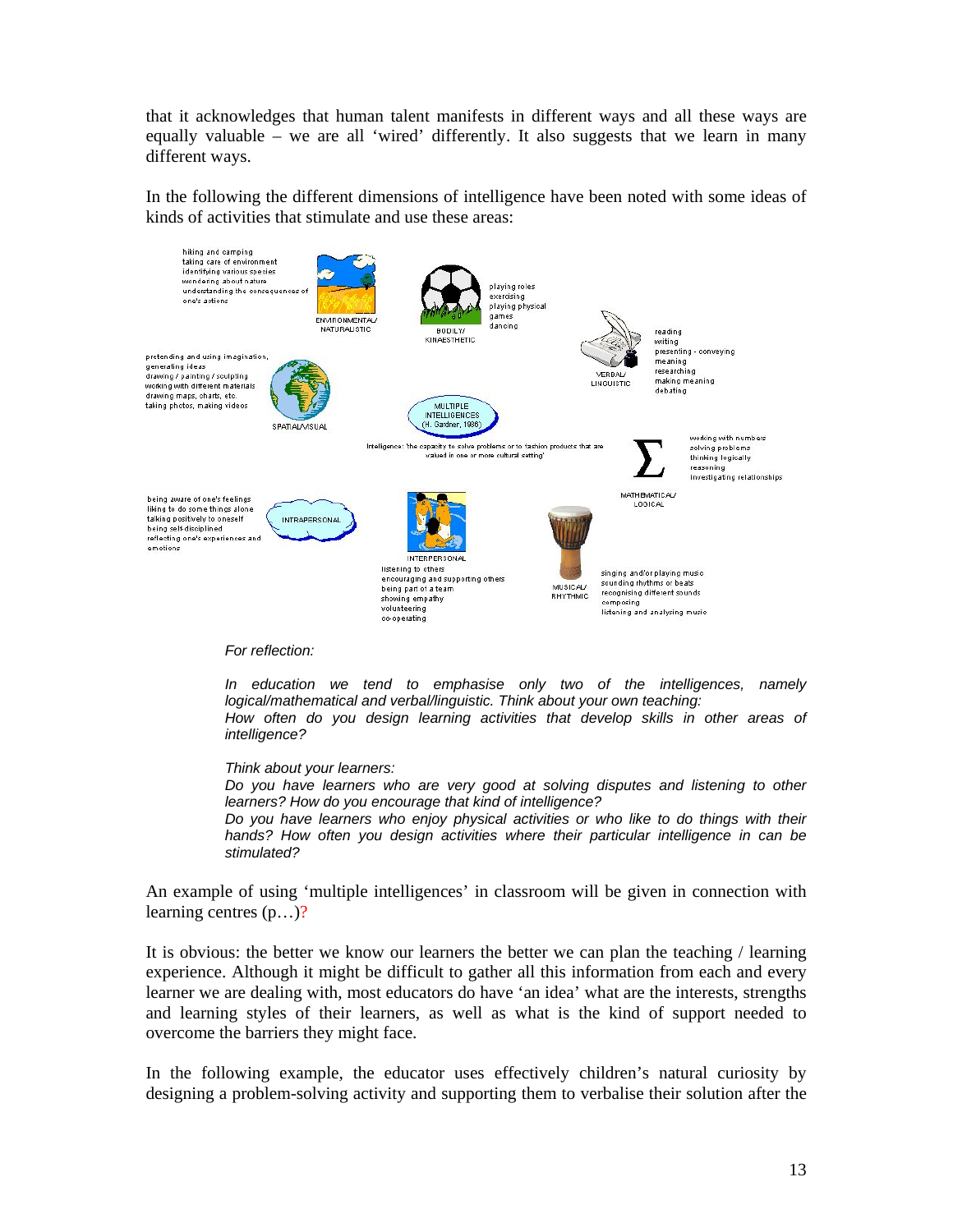that it acknowledges that human talent manifests in different ways and all these ways are equally valuable – we are all 'wired' differently. It also suggests that we learn in many different ways.

In the following the different dimensions of intelligence have been noted with some ideas of kinds of activities that stimulate and use these areas:



*In education we tend to emphasise only two of the intelligences, namely logical/mathematical and verbal/linguistic. Think about your own teaching:*  How often do you design learning activities that develop skills in other areas of *intelligence?* 

*Think about your learners:* 

*Do you have learners who are very good at solving disputes and listening to other learners? How do you encourage that kind of intelligence?* 

*Do you have learners who enjoy physical activities or who like to do things with their*  hands? How often you design activities where their particular intelligence in can be *stimulated?* 

An example of using 'multiple intelligences' in classroom will be given in connection with learning centres (p…)?

It is obvious: the better we know our learners the better we can plan the teaching / learning experience. Although it might be difficult to gather all this information from each and every learner we are dealing with, most educators do have 'an idea' what are the interests, strengths and learning styles of their learners, as well as what is the kind of support needed to overcome the barriers they might face.

In the following example, the educator uses effectively children's natural curiosity by designing a problem-solving activity and supporting them to verbalise their solution after the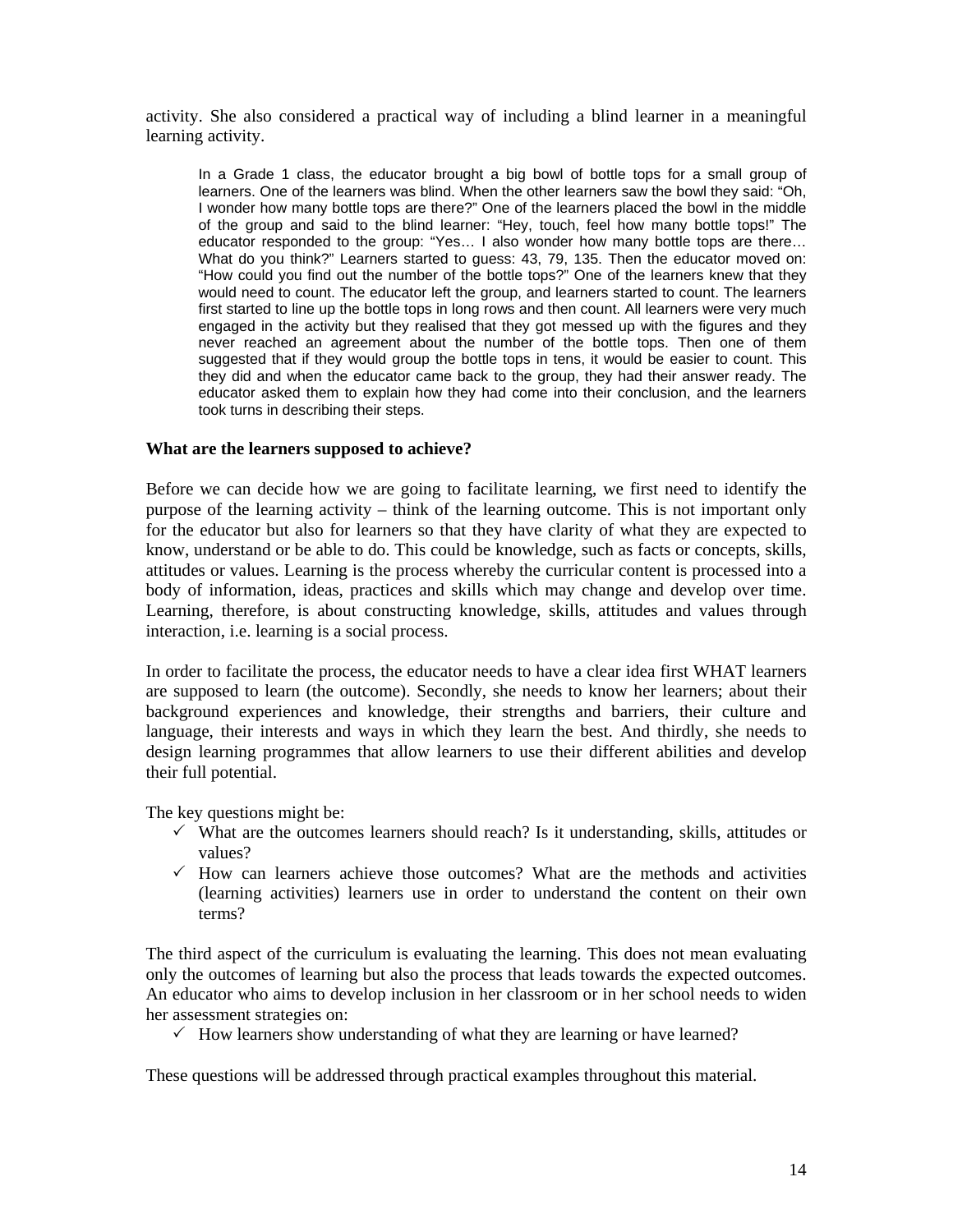activity. She also considered a practical way of including a blind learner in a meaningful learning activity.

In a Grade 1 class, the educator brought a big bowl of bottle tops for a small group of learners. One of the learners was blind. When the other learners saw the bowl they said: "Oh, I wonder how many bottle tops are there?" One of the learners placed the bowl in the middle of the group and said to the blind learner: "Hey, touch, feel how many bottle tops!" The educator responded to the group: "Yes… I also wonder how many bottle tops are there… What do you think?" Learners started to guess: 43, 79, 135. Then the educator moved on: "How could you find out the number of the bottle tops?" One of the learners knew that they would need to count. The educator left the group, and learners started to count. The learners first started to line up the bottle tops in long rows and then count. All learners were very much engaged in the activity but they realised that they got messed up with the figures and they never reached an agreement about the number of the bottle tops. Then one of them suggested that if they would group the bottle tops in tens, it would be easier to count. This they did and when the educator came back to the group, they had their answer ready. The educator asked them to explain how they had come into their conclusion, and the learners took turns in describing their steps.

#### **What are the learners supposed to achieve?**

Before we can decide how we are going to facilitate learning, we first need to identify the purpose of the learning activity – think of the learning outcome. This is not important only for the educator but also for learners so that they have clarity of what they are expected to know, understand or be able to do. This could be knowledge, such as facts or concepts, skills, attitudes or values. Learning is the process whereby the curricular content is processed into a body of information, ideas, practices and skills which may change and develop over time. Learning, therefore, is about constructing knowledge, skills, attitudes and values through interaction, i.e. learning is a social process.

In order to facilitate the process, the educator needs to have a clear idea first WHAT learners are supposed to learn (the outcome). Secondly, she needs to know her learners; about their background experiences and knowledge, their strengths and barriers, their culture and language, their interests and ways in which they learn the best. And thirdly, she needs to design learning programmes that allow learners to use their different abilities and develop their full potential.

The key questions might be:

- $\checkmark$  What are the outcomes learners should reach? Is it understanding, skills, attitudes or values?
- $\checkmark$  How can learners achieve those outcomes? What are the methods and activities (learning activities) learners use in order to understand the content on their own terms?

The third aspect of the curriculum is evaluating the learning. This does not mean evaluating only the outcomes of learning but also the process that leads towards the expected outcomes. An educator who aims to develop inclusion in her classroom or in her school needs to widen her assessment strategies on:

 $\checkmark$  How learners show understanding of what they are learning or have learned?

These questions will be addressed through practical examples throughout this material.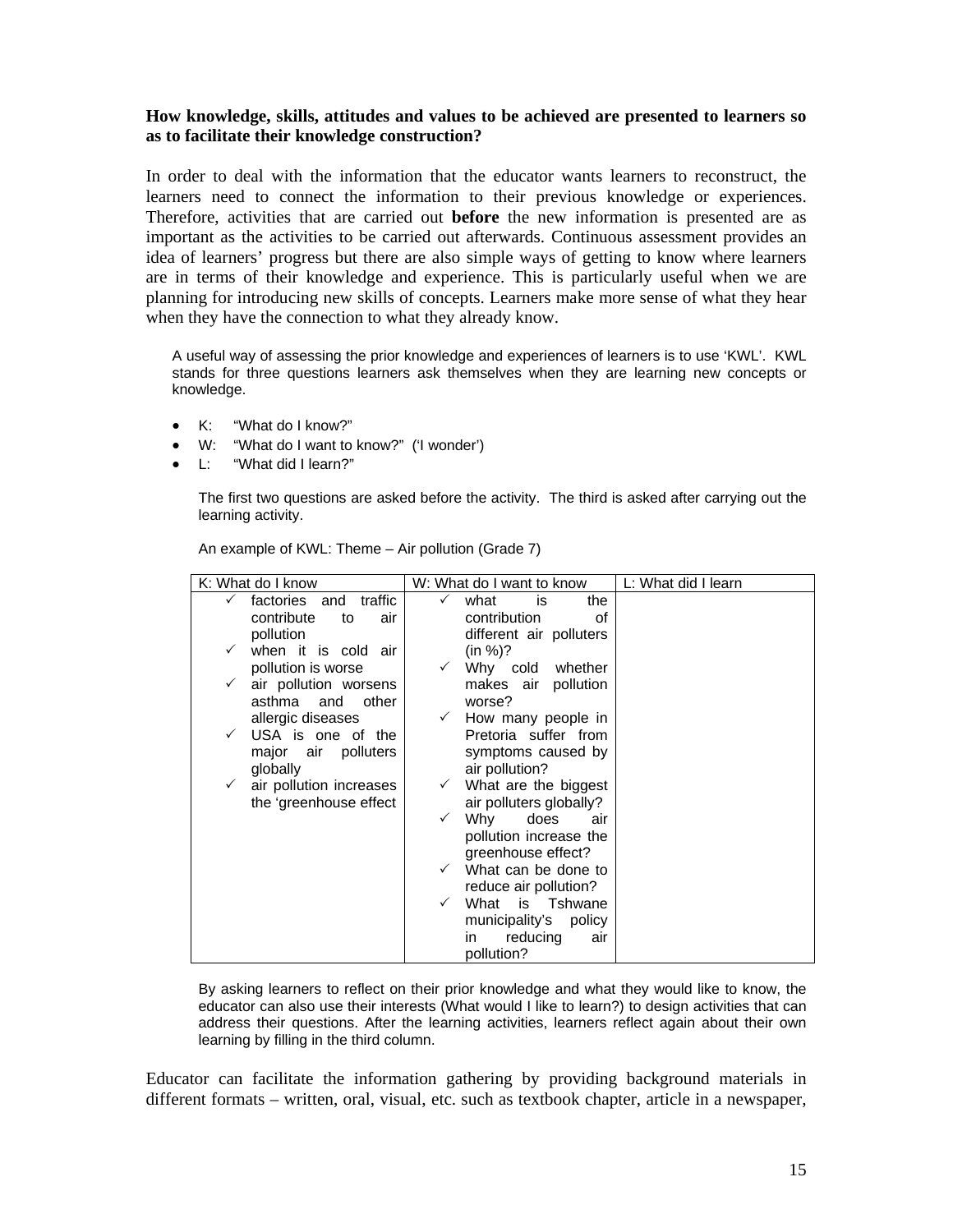## **How knowledge, skills, attitudes and values to be achieved are presented to learners so as to facilitate their knowledge construction?**

In order to deal with the information that the educator wants learners to reconstruct, the learners need to connect the information to their previous knowledge or experiences. Therefore, activities that are carried out **before** the new information is presented are as important as the activities to be carried out afterwards. Continuous assessment provides an idea of learners' progress but there are also simple ways of getting to know where learners are in terms of their knowledge and experience. This is particularly useful when we are planning for introducing new skills of concepts. Learners make more sense of what they hear when they have the connection to what they already know.

A useful way of assessing the prior knowledge and experiences of learners is to use 'KWL'. KWL stands for three questions learners ask themselves when they are learning new concepts or knowledge.

- K: "What do I know?"
- W: "What do I want to know?" ('I wonder')
- L: "What did I learn?"

The first two questions are asked before the activity. The third is asked after carrying out the learning activity.

| K: What do I know                        | W: What do I want to know          | L: What did I learn |
|------------------------------------------|------------------------------------|---------------------|
| traffic<br>factories and<br>$\checkmark$ | what<br>the<br>✓<br>is             |                     |
| contribute<br>to<br>air                  | contribution<br>οf                 |                     |
| pollution                                | different air polluters            |                     |
| when it is cold air                      | (in %)?                            |                     |
| pollution is worse                       | Why cold whether                   |                     |
| air pollution worsens                    | makes air<br>pollution             |                     |
| asthma<br>and<br>other                   | worse?                             |                     |
| allergic diseases                        | How many people in<br>$\checkmark$ |                     |
| USA is one of the<br>$\checkmark$        | Pretoria suffer from               |                     |
| major<br>air<br>polluters                | symptoms caused by                 |                     |
| globally                                 | air pollution?                     |                     |
| air pollution increases<br>$\checkmark$  | What are the biggest               |                     |
| the 'greenhouse effect                   | air polluters globally?            |                     |
|                                          | Why<br>does<br>air<br>✓            |                     |
|                                          | pollution increase the             |                     |
|                                          | greenhouse effect?                 |                     |
|                                          | What can be done to                |                     |
|                                          | reduce air pollution?              |                     |
|                                          | What is Tshwane<br>$\checkmark$    |                     |
|                                          | municipality's<br>policy           |                     |
|                                          | reducing<br>air<br>in.             |                     |
|                                          | pollution?                         |                     |

An example of KWL: Theme – Air pollution (Grade 7)

By asking learners to reflect on their prior knowledge and what they would like to know, the educator can also use their interests (What would I like to learn?) to design activities that can address their questions. After the learning activities, learners reflect again about their own learning by filling in the third column.

Educator can facilitate the information gathering by providing background materials in different formats – written, oral, visual, etc. such as textbook chapter, article in a newspaper,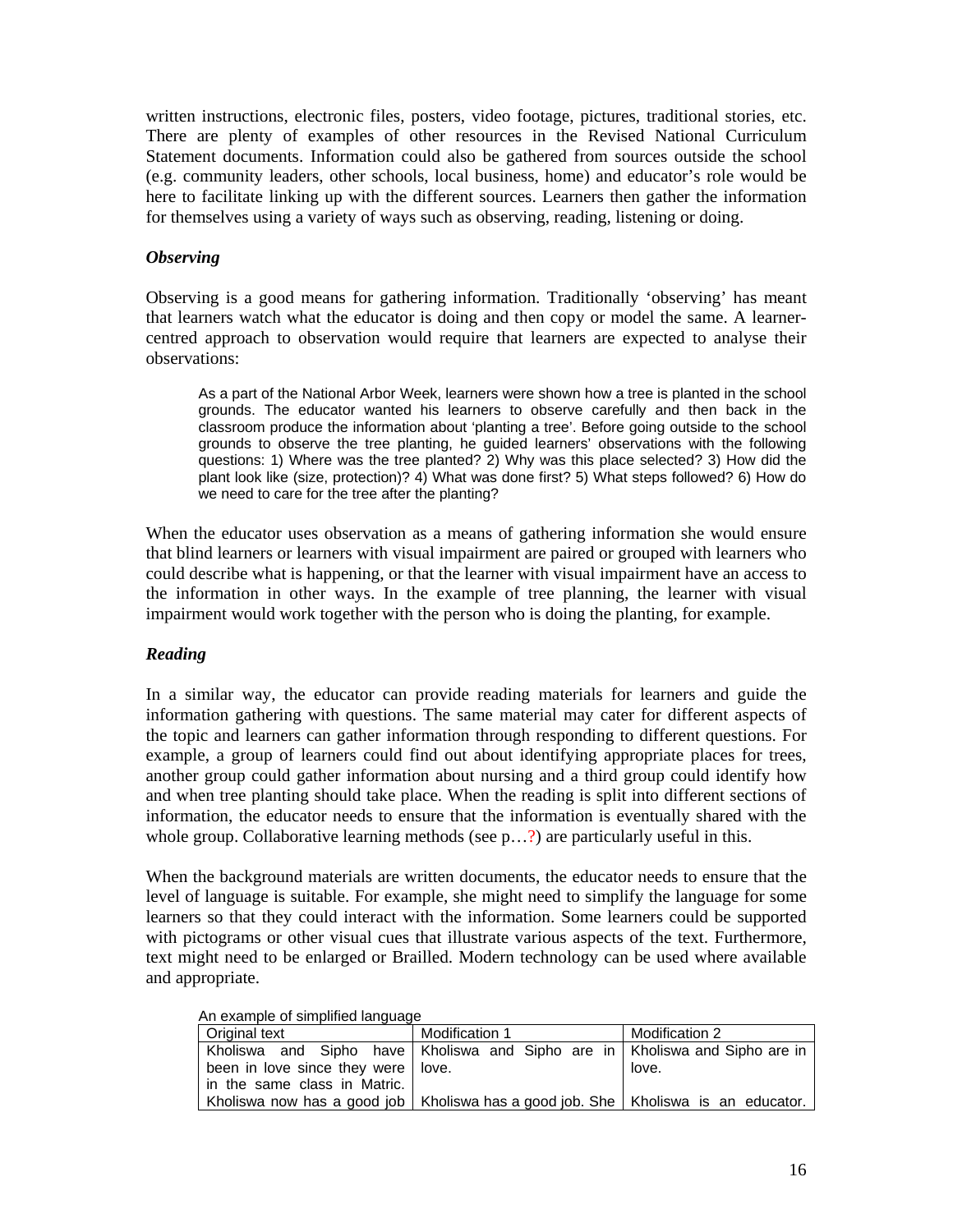written instructions, electronic files, posters, video footage, pictures, traditional stories, etc. There are plenty of examples of other resources in the Revised National Curriculum Statement documents. Information could also be gathered from sources outside the school (e.g. community leaders, other schools, local business, home) and educator's role would be here to facilitate linking up with the different sources. Learners then gather the information for themselves using a variety of ways such as observing, reading, listening or doing.

## *Observing*

Observing is a good means for gathering information. Traditionally 'observing' has meant that learners watch what the educator is doing and then copy or model the same. A learnercentred approach to observation would require that learners are expected to analyse their observations:

As a part of the National Arbor Week, learners were shown how a tree is planted in the school grounds. The educator wanted his learners to observe carefully and then back in the classroom produce the information about 'planting a tree'. Before going outside to the school grounds to observe the tree planting, he guided learners' observations with the following questions: 1) Where was the tree planted? 2) Why was this place selected? 3) How did the plant look like (size, protection)? 4) What was done first? 5) What steps followed? 6) How do we need to care for the tree after the planting?

When the educator uses observation as a means of gathering information she would ensure that blind learners or learners with visual impairment are paired or grouped with learners who could describe what is happening, or that the learner with visual impairment have an access to the information in other ways. In the example of tree planning, the learner with visual impairment would work together with the person who is doing the planting, for example.

# *Reading*

In a similar way, the educator can provide reading materials for learners and guide the information gathering with questions. The same material may cater for different aspects of the topic and learners can gather information through responding to different questions. For example, a group of learners could find out about identifying appropriate places for trees, another group could gather information about nursing and a third group could identify how and when tree planting should take place. When the reading is split into different sections of information, the educator needs to ensure that the information is eventually shared with the whole group. Collaborative learning methods (see p...?) are particularly useful in this.

When the background materials are written documents, the educator needs to ensure that the level of language is suitable. For example, she might need to simplify the language for some learners so that they could interact with the information. Some learners could be supported with pictograms or other visual cues that illustrate various aspects of the text. Furthermore, text might need to be enlarged or Brailled. Modern technology can be used where available and appropriate.

|--|

| Original text                                                                         | Modification 1 | Modification 2 |
|---------------------------------------------------------------------------------------|----------------|----------------|
| Kholiswa and Sipho have Kholiswa and Sipho are in Kholiswa and Sipho are in           |                |                |
| been in love since they were   love.                                                  |                | love.          |
| in the same class in Matric.                                                          |                |                |
| Kholiswa now has a good job   Kholiswa has a good job. She   Kholiswa is an educator. |                |                |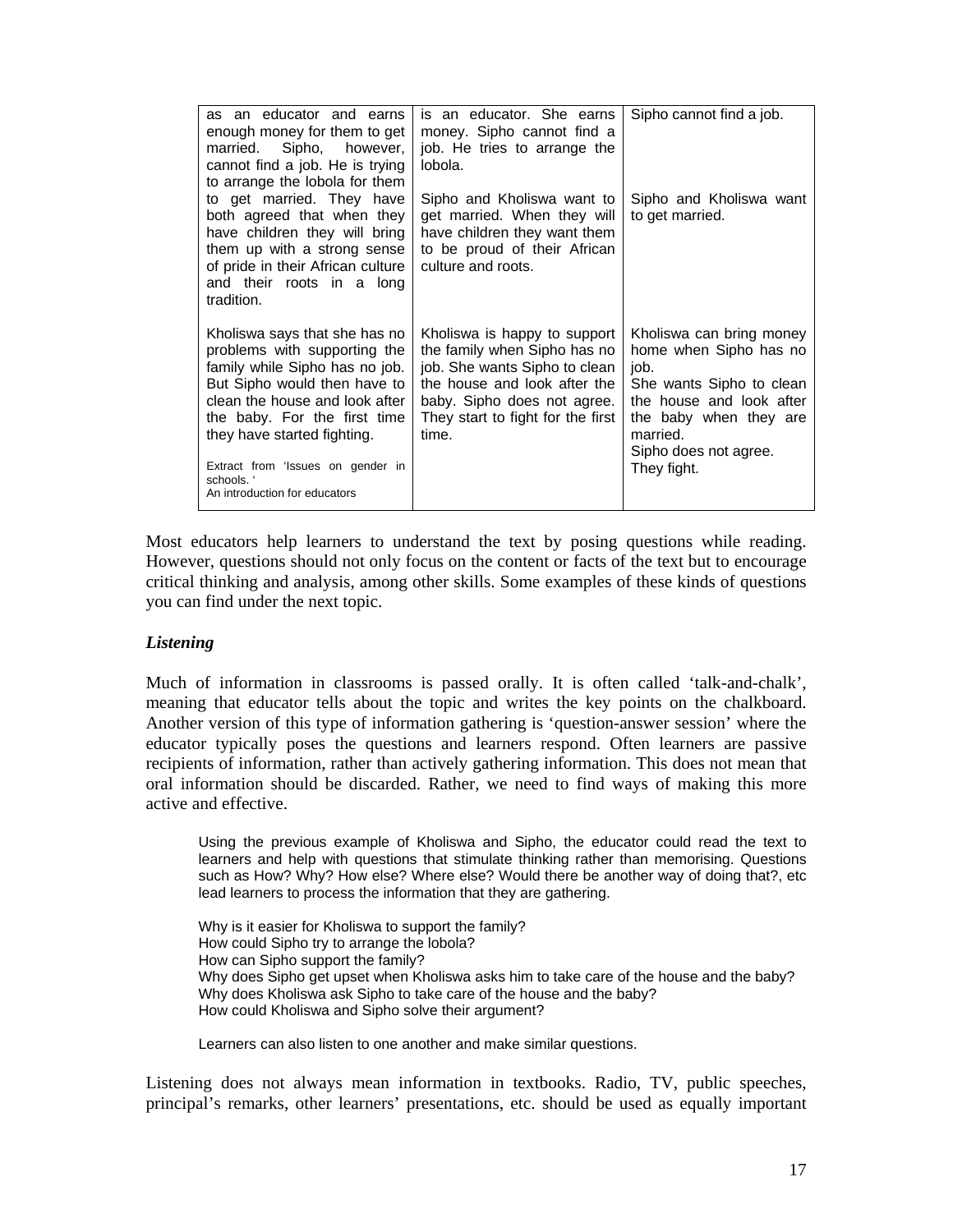| as an educator and earns<br>enough money for them to get<br>Sipho, however,<br>married.<br>cannot find a job. He is trying<br>to arrange the lobola for them                                                                                                                                                         | is an educator. She earns<br>money. Sipho cannot find a<br>job. He tries to arrange the<br>lobola.                                                                                                         | Sipho cannot find a job.                                                                                                                                                                         |
|----------------------------------------------------------------------------------------------------------------------------------------------------------------------------------------------------------------------------------------------------------------------------------------------------------------------|------------------------------------------------------------------------------------------------------------------------------------------------------------------------------------------------------------|--------------------------------------------------------------------------------------------------------------------------------------------------------------------------------------------------|
| to get married. They have<br>both agreed that when they<br>have children they will bring<br>them up with a strong sense<br>of pride in their African culture<br>and their roots in a long<br>tradition.                                                                                                              | Sipho and Kholiswa want to<br>get married. When they will<br>have children they want them<br>to be proud of their African<br>culture and roots.                                                            | Sipho and Kholiswa want<br>to get married.                                                                                                                                                       |
| Kholiswa says that she has no<br>problems with supporting the<br>family while Sipho has no job.<br>But Sipho would then have to<br>clean the house and look after<br>the baby. For the first time<br>they have started fighting.<br>Extract from 'Issues on gender in<br>schools. '<br>An introduction for educators | Kholiswa is happy to support<br>the family when Sipho has no<br>job. She wants Sipho to clean<br>the house and look after the<br>baby. Sipho does not agree.<br>They start to fight for the first<br>time. | Kholiswa can bring money<br>home when Sipho has no<br>job.<br>She wants Sipho to clean<br>the house and look after<br>the baby when they are<br>married.<br>Sipho does not agree.<br>They fight. |

Most educators help learners to understand the text by posing questions while reading. However, questions should not only focus on the content or facts of the text but to encourage critical thinking and analysis, among other skills. Some examples of these kinds of questions you can find under the next topic.

### *Listening*

Much of information in classrooms is passed orally. It is often called 'talk-and-chalk', meaning that educator tells about the topic and writes the key points on the chalkboard. Another version of this type of information gathering is 'question-answer session' where the educator typically poses the questions and learners respond. Often learners are passive recipients of information, rather than actively gathering information. This does not mean that oral information should be discarded. Rather, we need to find ways of making this more active and effective.

Using the previous example of Kholiswa and Sipho, the educator could read the text to learners and help with questions that stimulate thinking rather than memorising. Questions such as How? Why? How else? Where else? Would there be another way of doing that?, etc lead learners to process the information that they are gathering.

Why is it easier for Kholiswa to support the family? How could Sipho try to arrange the lobola? How can Sipho support the family? Why does Sipho get upset when Kholiswa asks him to take care of the house and the baby? Why does Kholiswa ask Sipho to take care of the house and the baby? How could Kholiswa and Sipho solve their argument?

Learners can also listen to one another and make similar questions.

Listening does not always mean information in textbooks. Radio, TV, public speeches, principal's remarks, other learners' presentations, etc. should be used as equally important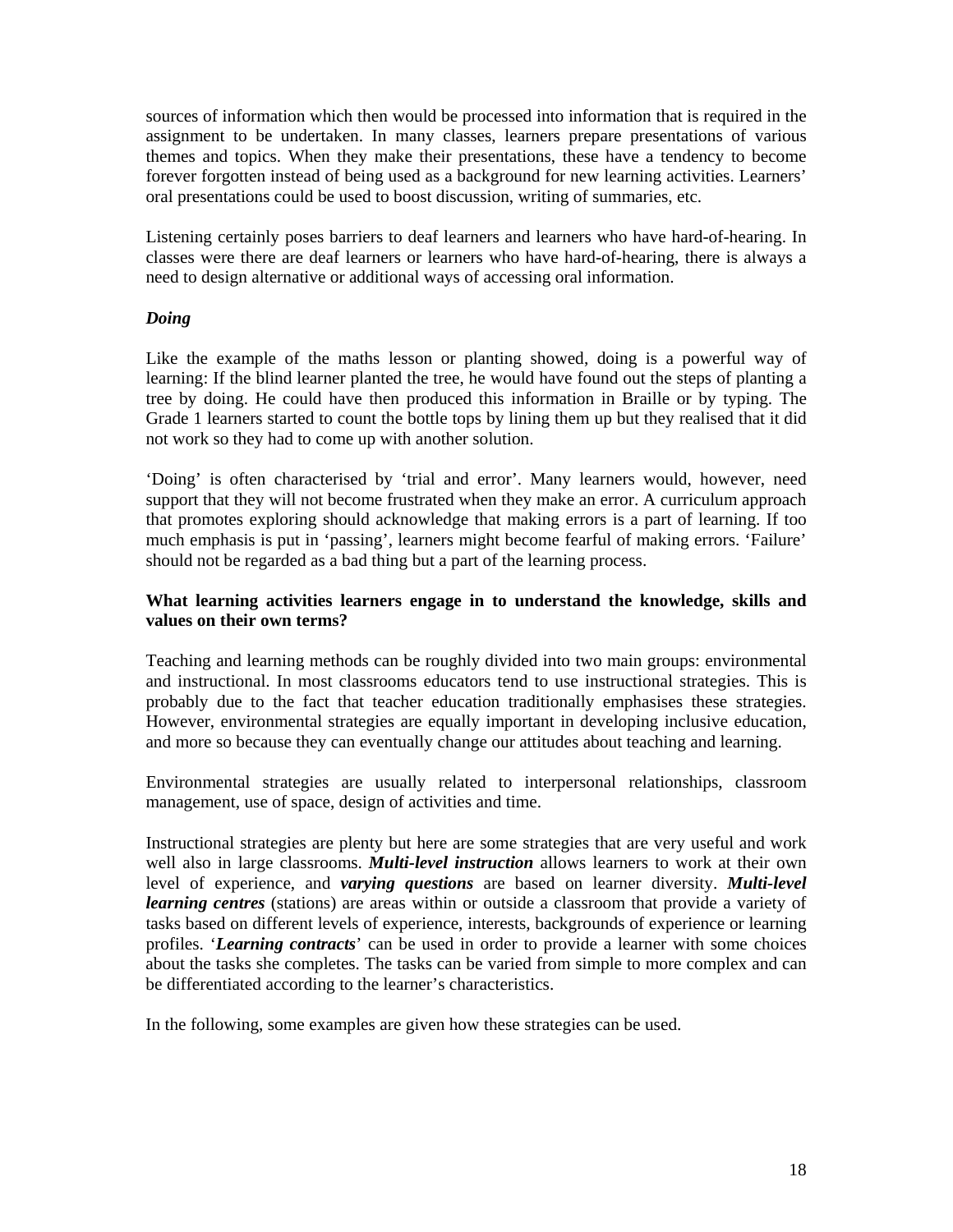sources of information which then would be processed into information that is required in the assignment to be undertaken. In many classes, learners prepare presentations of various themes and topics. When they make their presentations, these have a tendency to become forever forgotten instead of being used as a background for new learning activities. Learners' oral presentations could be used to boost discussion, writing of summaries, etc.

Listening certainly poses barriers to deaf learners and learners who have hard-of-hearing. In classes were there are deaf learners or learners who have hard-of-hearing, there is always a need to design alternative or additional ways of accessing oral information.

## *Doing*

Like the example of the maths lesson or planting showed, doing is a powerful way of learning: If the blind learner planted the tree, he would have found out the steps of planting a tree by doing. He could have then produced this information in Braille or by typing. The Grade 1 learners started to count the bottle tops by lining them up but they realised that it did not work so they had to come up with another solution.

'Doing' is often characterised by 'trial and error'. Many learners would, however, need support that they will not become frustrated when they make an error. A curriculum approach that promotes exploring should acknowledge that making errors is a part of learning. If too much emphasis is put in 'passing', learners might become fearful of making errors. 'Failure' should not be regarded as a bad thing but a part of the learning process.

## **What learning activities learners engage in to understand the knowledge, skills and values on their own terms?**

Teaching and learning methods can be roughly divided into two main groups: environmental and instructional. In most classrooms educators tend to use instructional strategies. This is probably due to the fact that teacher education traditionally emphasises these strategies. However, environmental strategies are equally important in developing inclusive education, and more so because they can eventually change our attitudes about teaching and learning.

Environmental strategies are usually related to interpersonal relationships, classroom management, use of space, design of activities and time.

Instructional strategies are plenty but here are some strategies that are very useful and work well also in large classrooms. *Multi-level instruction* allows learners to work at their own level of experience, and *varying questions* are based on learner diversity. *Multi-level learning centres* (stations) are areas within or outside a classroom that provide a variety of tasks based on different levels of experience, interests, backgrounds of experience or learning profiles. '*Learning contracts*' can be used in order to provide a learner with some choices about the tasks she completes. The tasks can be varied from simple to more complex and can be differentiated according to the learner's characteristics.

In the following, some examples are given how these strategies can be used.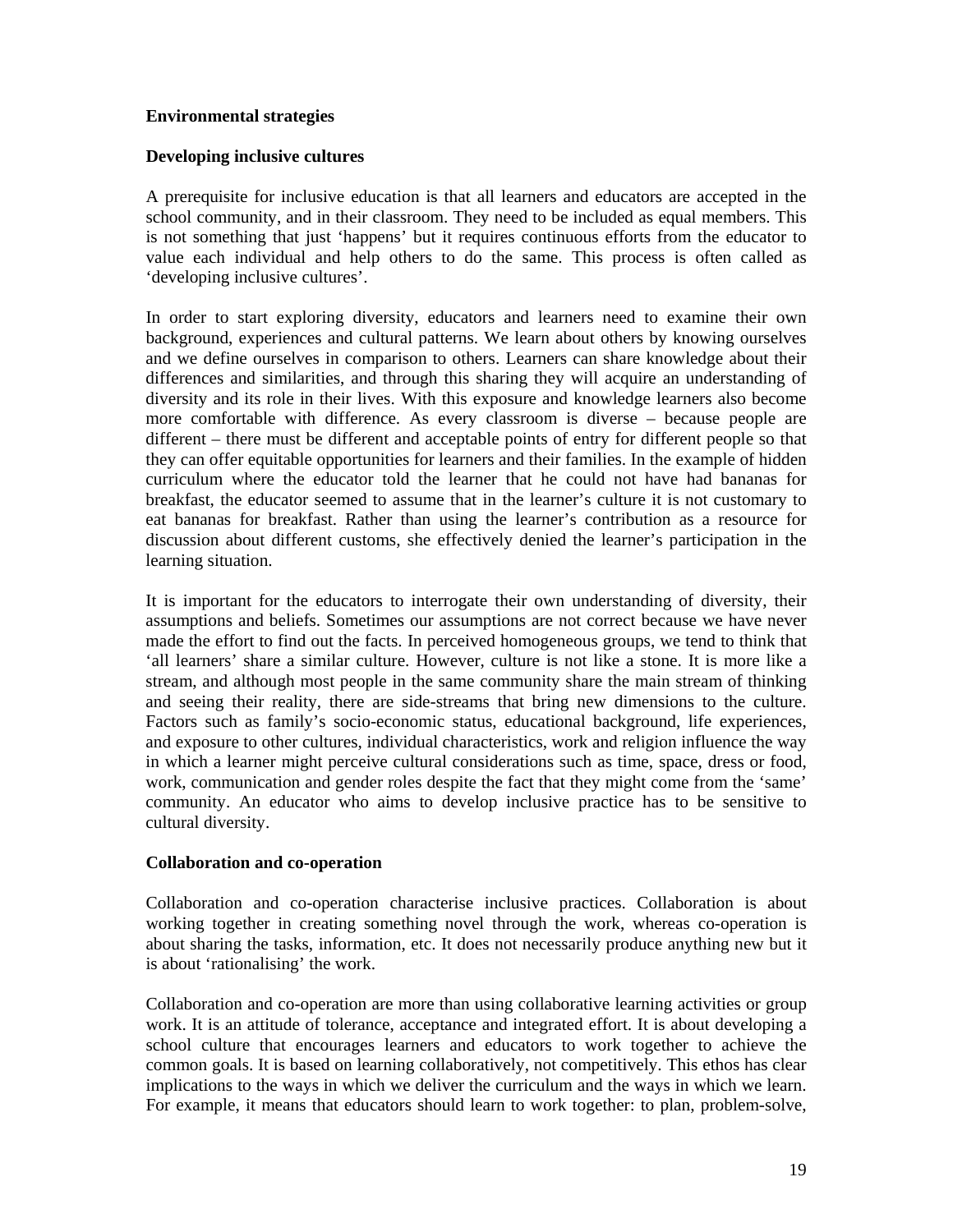## **Environmental strategies**

## **Developing inclusive cultures**

A prerequisite for inclusive education is that all learners and educators are accepted in the school community, and in their classroom. They need to be included as equal members. This is not something that just 'happens' but it requires continuous efforts from the educator to value each individual and help others to do the same. This process is often called as 'developing inclusive cultures'.

In order to start exploring diversity, educators and learners need to examine their own background, experiences and cultural patterns. We learn about others by knowing ourselves and we define ourselves in comparison to others. Learners can share knowledge about their differences and similarities, and through this sharing they will acquire an understanding of diversity and its role in their lives. With this exposure and knowledge learners also become more comfortable with difference. As every classroom is diverse – because people are different – there must be different and acceptable points of entry for different people so that they can offer equitable opportunities for learners and their families. In the example of hidden curriculum where the educator told the learner that he could not have had bananas for breakfast, the educator seemed to assume that in the learner's culture it is not customary to eat bananas for breakfast. Rather than using the learner's contribution as a resource for discussion about different customs, she effectively denied the learner's participation in the learning situation.

It is important for the educators to interrogate their own understanding of diversity, their assumptions and beliefs. Sometimes our assumptions are not correct because we have never made the effort to find out the facts. In perceived homogeneous groups, we tend to think that 'all learners' share a similar culture. However, culture is not like a stone. It is more like a stream, and although most people in the same community share the main stream of thinking and seeing their reality, there are side-streams that bring new dimensions to the culture. Factors such as family's socio-economic status, educational background, life experiences, and exposure to other cultures, individual characteristics, work and religion influence the way in which a learner might perceive cultural considerations such as time, space, dress or food, work, communication and gender roles despite the fact that they might come from the 'same' community. An educator who aims to develop inclusive practice has to be sensitive to cultural diversity.

### **Collaboration and co-operation**

Collaboration and co-operation characterise inclusive practices. Collaboration is about working together in creating something novel through the work, whereas co-operation is about sharing the tasks, information, etc. It does not necessarily produce anything new but it is about 'rationalising' the work.

Collaboration and co-operation are more than using collaborative learning activities or group work. It is an attitude of tolerance, acceptance and integrated effort. It is about developing a school culture that encourages learners and educators to work together to achieve the common goals. It is based on learning collaboratively, not competitively. This ethos has clear implications to the ways in which we deliver the curriculum and the ways in which we learn. For example, it means that educators should learn to work together: to plan, problem-solve,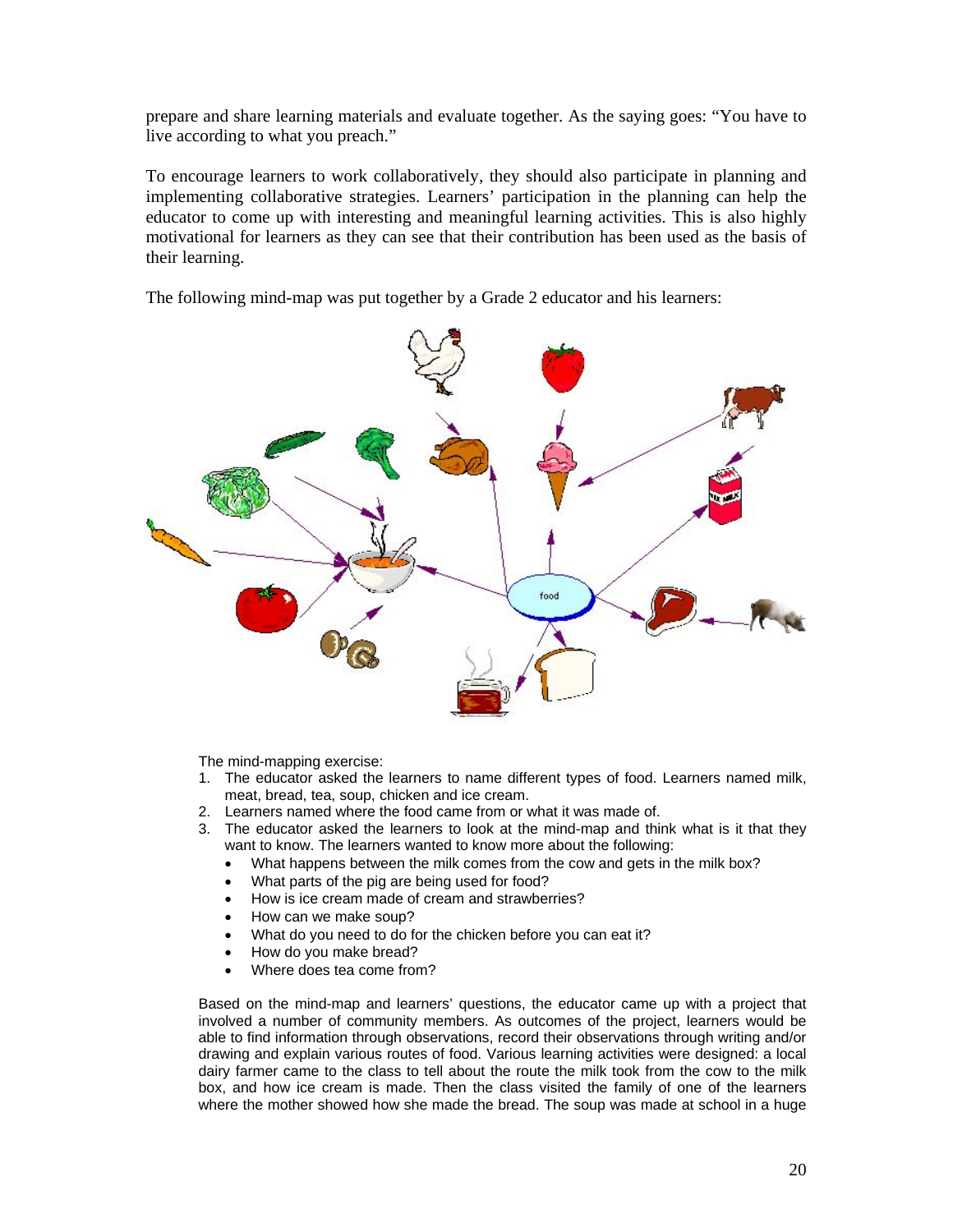prepare and share learning materials and evaluate together. As the saying goes: "You have to live according to what you preach."

To encourage learners to work collaboratively, they should also participate in planning and implementing collaborative strategies. Learners' participation in the planning can help the educator to come up with interesting and meaningful learning activities. This is also highly motivational for learners as they can see that their contribution has been used as the basis of their learning.

The following mind-map was put together by a Grade 2 educator and his learners:



The mind-mapping exercise:

- 1. The educator asked the learners to name different types of food. Learners named milk, meat, bread, tea, soup, chicken and ice cream.
- 2. Learners named where the food came from or what it was made of.
- 3. The educator asked the learners to look at the mind-map and think what is it that they want to know. The learners wanted to know more about the following:
	- What happens between the milk comes from the cow and gets in the milk box?
	- What parts of the pig are being used for food?
	- How is ice cream made of cream and strawberries?
	- How can we make soup?
	- What do you need to do for the chicken before you can eat it?
	- How do you make bread?
	- Where does tea come from?

Based on the mind-map and learners' questions, the educator came up with a project that involved a number of community members. As outcomes of the project, learners would be able to find information through observations, record their observations through writing and/or drawing and explain various routes of food. Various learning activities were designed: a local dairy farmer came to the class to tell about the route the milk took from the cow to the milk box, and how ice cream is made. Then the class visited the family of one of the learners where the mother showed how she made the bread. The soup was made at school in a huge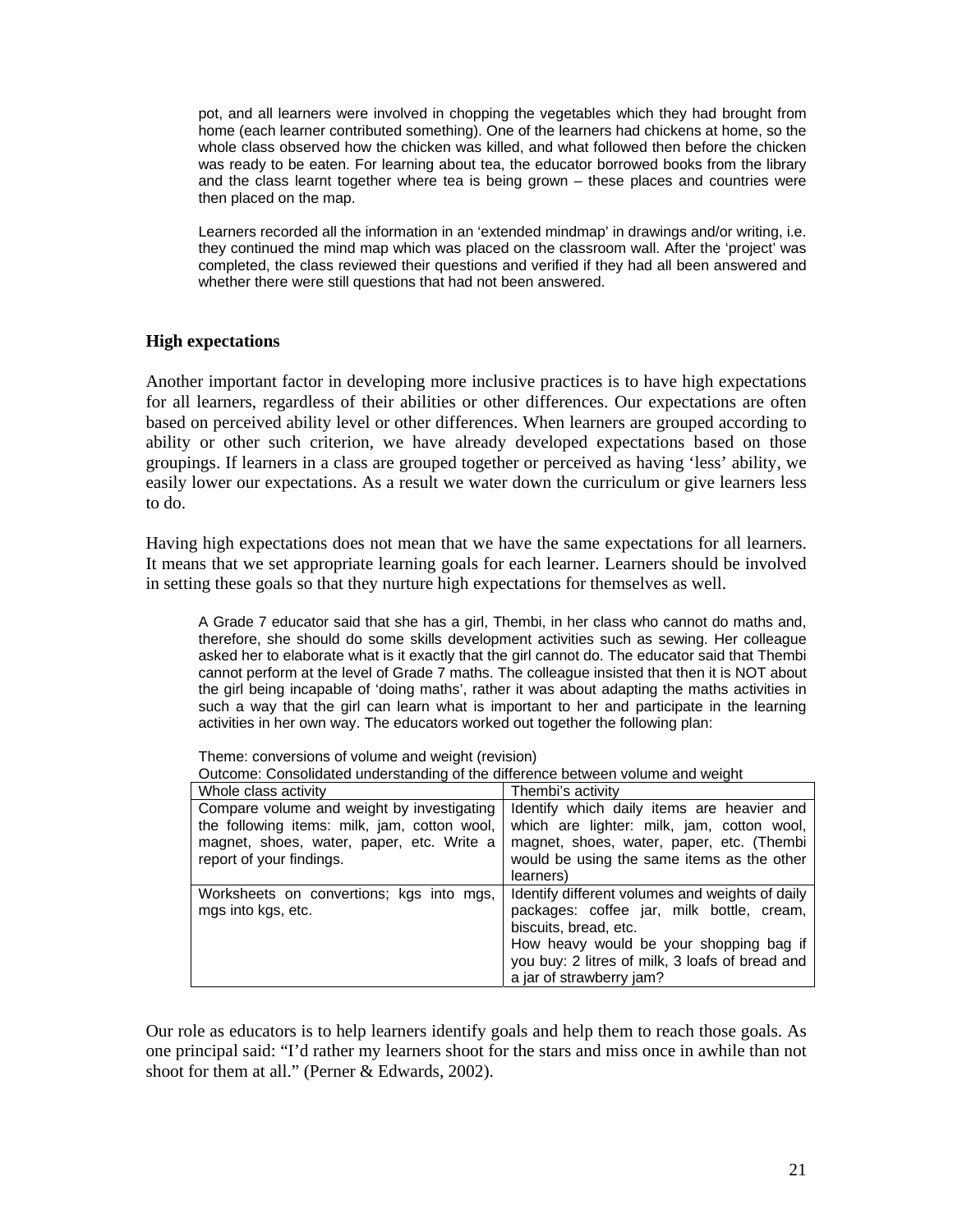pot, and all learners were involved in chopping the vegetables which they had brought from home (each learner contributed something). One of the learners had chickens at home, so the whole class observed how the chicken was killed, and what followed then before the chicken was ready to be eaten. For learning about tea, the educator borrowed books from the library and the class learnt together where tea is being grown – these places and countries were then placed on the map.

Learners recorded all the information in an 'extended mindmap' in drawings and/or writing, i.e. they continued the mind map which was placed on the classroom wall. After the 'project' was completed, the class reviewed their questions and verified if they had all been answered and whether there were still questions that had not been answered.

### **High expectations**

Another important factor in developing more inclusive practices is to have high expectations for all learners, regardless of their abilities or other differences. Our expectations are often based on perceived ability level or other differences. When learners are grouped according to ability or other such criterion, we have already developed expectations based on those groupings. If learners in a class are grouped together or perceived as having 'less' ability, we easily lower our expectations. As a result we water down the curriculum or give learners less to do.

Having high expectations does not mean that we have the same expectations for all learners. It means that we set appropriate learning goals for each learner. Learners should be involved in setting these goals so that they nurture high expectations for themselves as well.

A Grade 7 educator said that she has a girl, Thembi, in her class who cannot do maths and, therefore, she should do some skills development activities such as sewing. Her colleague asked her to elaborate what is it exactly that the girl cannot do. The educator said that Thembi cannot perform at the level of Grade 7 maths. The colleague insisted that then it is NOT about the girl being incapable of 'doing maths', rather it was about adapting the maths activities in such a way that the girl can learn what is important to her and participate in the learning activities in her own way. The educators worked out together the following plan:

Outcome: Consolidated understanding of the difference between volume and weight

| Whole class activity                                                                                                                                                | Thembi's activity                                                                                                                                                                                                                               |
|---------------------------------------------------------------------------------------------------------------------------------------------------------------------|-------------------------------------------------------------------------------------------------------------------------------------------------------------------------------------------------------------------------------------------------|
| Compare volume and weight by investigating<br>the following items: milk, jam, cotton wool,<br>magnet, shoes, water, paper, etc. Write a<br>report of your findings. | Identify which daily items are heavier and<br>which are lighter: milk, jam, cotton wool,<br>magnet, shoes, water, paper, etc. (Thembi<br>would be using the same items as the other<br>learners)                                                |
| Worksheets on convertions; kgs into mgs,<br>mgs into kgs, etc.                                                                                                      | Identify different volumes and weights of daily<br>packages: coffee jar, milk bottle, cream,<br>biscuits, bread, etc.<br>How heavy would be your shopping bag if<br>you buy: 2 litres of milk, 3 loafs of bread and<br>a jar of strawberry jam? |

Our role as educators is to help learners identify goals and help them to reach those goals. As one principal said: "I'd rather my learners shoot for the stars and miss once in awhile than not shoot for them at all." (Perner & Edwards, 2002).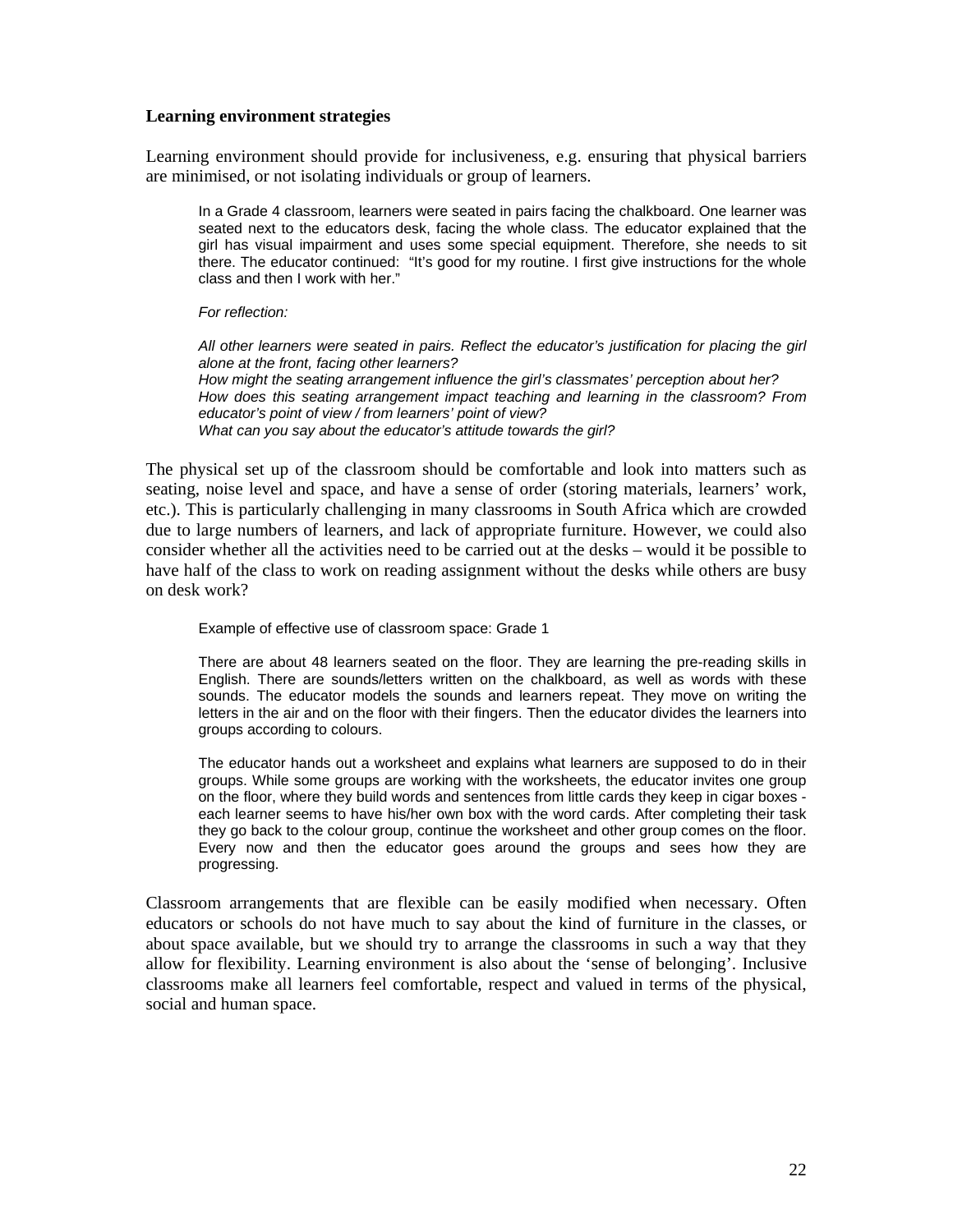#### **Learning environment strategies**

Learning environment should provide for inclusiveness, e.g. ensuring that physical barriers are minimised, or not isolating individuals or group of learners.

In a Grade 4 classroom, learners were seated in pairs facing the chalkboard. One learner was seated next to the educators desk, facing the whole class. The educator explained that the girl has visual impairment and uses some special equipment. Therefore, she needs to sit there. The educator continued: "It's good for my routine. I first give instructions for the whole class and then I work with her."

#### *For reflection:*

*All other learners were seated in pairs. Reflect the educator's justification for placing the girl alone at the front, facing other learners? How might the seating arrangement influence the girl's classmates' perception about her? How does this seating arrangement impact teaching and learning in the classroom? From educator's point of view / from learners' point of view? What can you say about the educator's attitude towards the girl?* 

The physical set up of the classroom should be comfortable and look into matters such as seating, noise level and space, and have a sense of order (storing materials, learners' work, etc.). This is particularly challenging in many classrooms in South Africa which are crowded due to large numbers of learners, and lack of appropriate furniture. However, we could also consider whether all the activities need to be carried out at the desks – would it be possible to have half of the class to work on reading assignment without the desks while others are busy on desk work?

Example of effective use of classroom space: Grade 1

There are about 48 learners seated on the floor. They are learning the pre-reading skills in English. There are sounds/letters written on the chalkboard, as well as words with these sounds. The educator models the sounds and learners repeat. They move on writing the letters in the air and on the floor with their fingers. Then the educator divides the learners into groups according to colours.

The educator hands out a worksheet and explains what learners are supposed to do in their groups. While some groups are working with the worksheets, the educator invites one group on the floor, where they build words and sentences from little cards they keep in cigar boxes each learner seems to have his/her own box with the word cards. After completing their task they go back to the colour group, continue the worksheet and other group comes on the floor. Every now and then the educator goes around the groups and sees how they are progressing.

Classroom arrangements that are flexible can be easily modified when necessary. Often educators or schools do not have much to say about the kind of furniture in the classes, or about space available, but we should try to arrange the classrooms in such a way that they allow for flexibility. Learning environment is also about the 'sense of belonging'. Inclusive classrooms make all learners feel comfortable, respect and valued in terms of the physical, social and human space.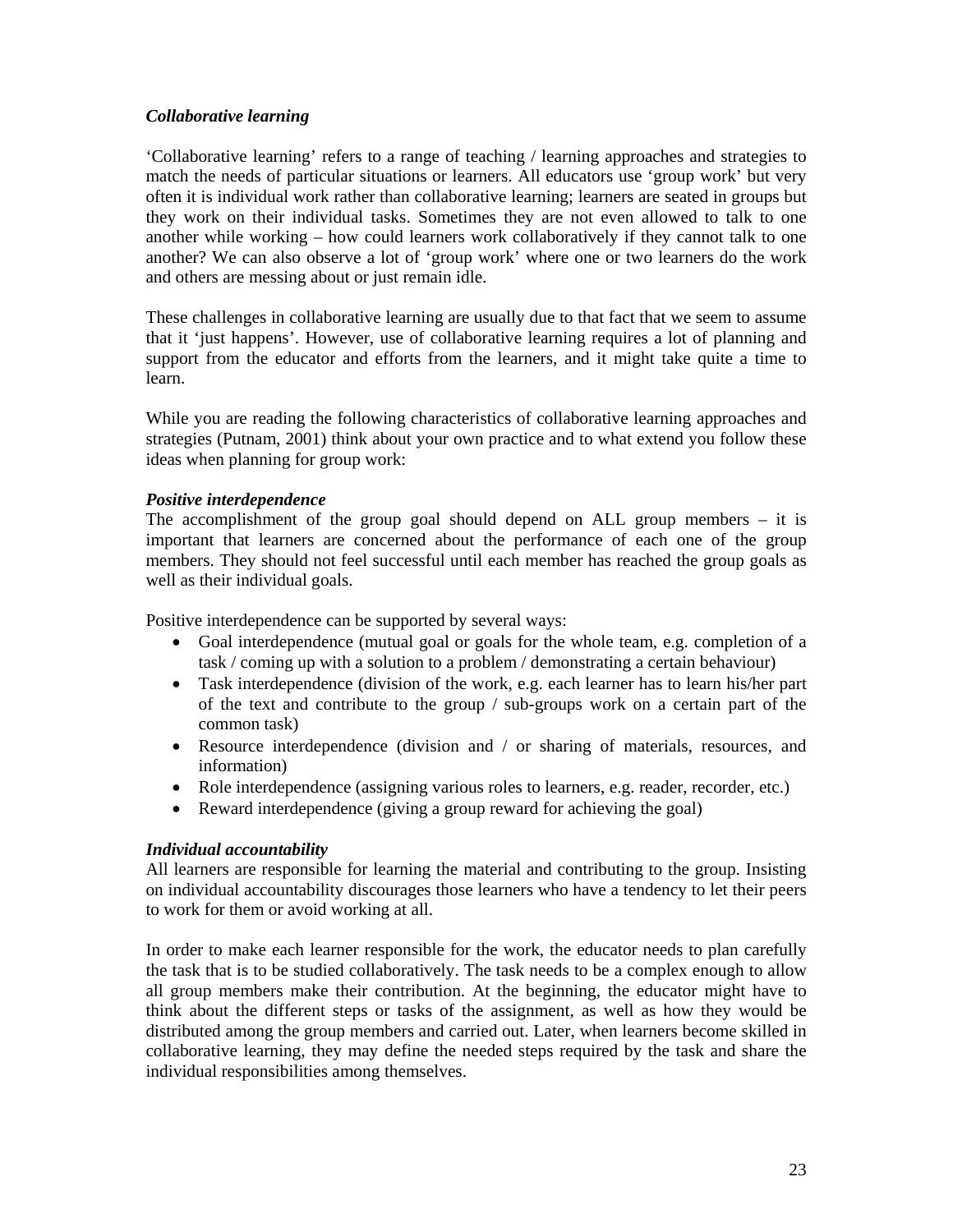## *Collaborative learning*

'Collaborative learning' refers to a range of teaching / learning approaches and strategies to match the needs of particular situations or learners. All educators use 'group work' but very often it is individual work rather than collaborative learning; learners are seated in groups but they work on their individual tasks. Sometimes they are not even allowed to talk to one another while working – how could learners work collaboratively if they cannot talk to one another? We can also observe a lot of 'group work' where one or two learners do the work and others are messing about or just remain idle.

These challenges in collaborative learning are usually due to that fact that we seem to assume that it 'just happens'. However, use of collaborative learning requires a lot of planning and support from the educator and efforts from the learners, and it might take quite a time to learn.

While you are reading the following characteristics of collaborative learning approaches and strategies (Putnam, 2001) think about your own practice and to what extend you follow these ideas when planning for group work:

## *Positive interdependence*

The accomplishment of the group goal should depend on ALL group members  $-$  it is important that learners are concerned about the performance of each one of the group members. They should not feel successful until each member has reached the group goals as well as their individual goals.

Positive interdependence can be supported by several ways:

- Goal interdependence (mutual goal or goals for the whole team, e.g. completion of a task / coming up with a solution to a problem / demonstrating a certain behaviour)
- Task interdependence (division of the work, e.g. each learner has to learn his/her part of the text and contribute to the group / sub-groups work on a certain part of the common task)
- Resource interdependence (division and / or sharing of materials, resources, and information)
- Role interdependence (assigning various roles to learners, e.g. reader, recorder, etc.)
- Reward interdependence (giving a group reward for achieving the goal)

### *Individual accountability*

All learners are responsible for learning the material and contributing to the group. Insisting on individual accountability discourages those learners who have a tendency to let their peers to work for them or avoid working at all.

In order to make each learner responsible for the work, the educator needs to plan carefully the task that is to be studied collaboratively. The task needs to be a complex enough to allow all group members make their contribution. At the beginning, the educator might have to think about the different steps or tasks of the assignment, as well as how they would be distributed among the group members and carried out. Later, when learners become skilled in collaborative learning, they may define the needed steps required by the task and share the individual responsibilities among themselves.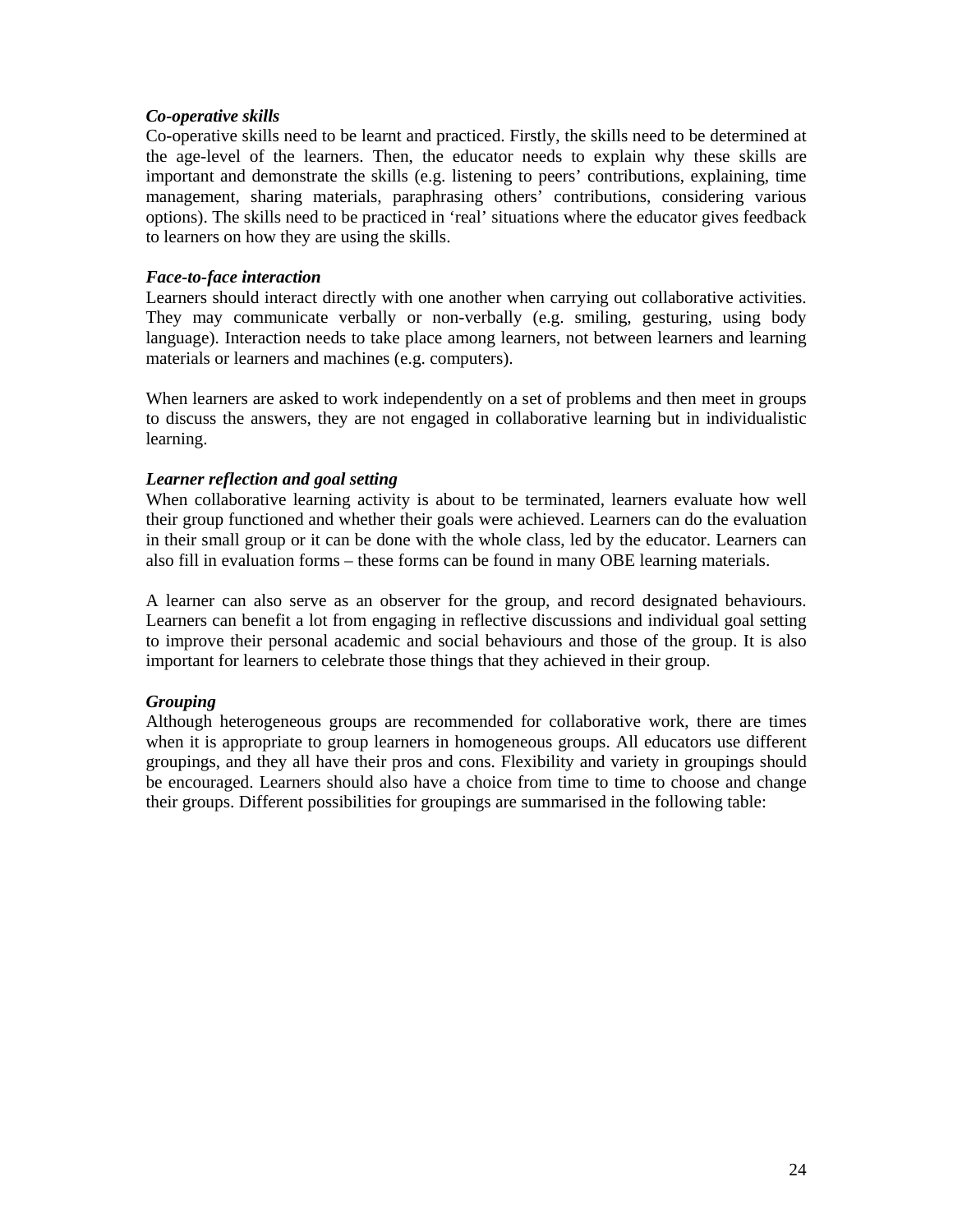## *Co-operative skills*

Co-operative skills need to be learnt and practiced. Firstly, the skills need to be determined at the age-level of the learners. Then, the educator needs to explain why these skills are important and demonstrate the skills (e.g. listening to peers' contributions, explaining, time management, sharing materials, paraphrasing others' contributions, considering various options). The skills need to be practiced in 'real' situations where the educator gives feedback to learners on how they are using the skills.

## *Face-to-face interaction*

Learners should interact directly with one another when carrying out collaborative activities. They may communicate verbally or non-verbally (e.g. smiling, gesturing, using body language). Interaction needs to take place among learners, not between learners and learning materials or learners and machines (e.g. computers).

When learners are asked to work independently on a set of problems and then meet in groups to discuss the answers, they are not engaged in collaborative learning but in individualistic learning.

## *Learner reflection and goal setting*

When collaborative learning activity is about to be terminated, learners evaluate how well their group functioned and whether their goals were achieved. Learners can do the evaluation in their small group or it can be done with the whole class, led by the educator. Learners can also fill in evaluation forms – these forms can be found in many OBE learning materials.

A learner can also serve as an observer for the group, and record designated behaviours. Learners can benefit a lot from engaging in reflective discussions and individual goal setting to improve their personal academic and social behaviours and those of the group. It is also important for learners to celebrate those things that they achieved in their group.

# *Grouping*

Although heterogeneous groups are recommended for collaborative work, there are times when it is appropriate to group learners in homogeneous groups. All educators use different groupings, and they all have their pros and cons. Flexibility and variety in groupings should be encouraged. Learners should also have a choice from time to time to choose and change their groups. Different possibilities for groupings are summarised in the following table: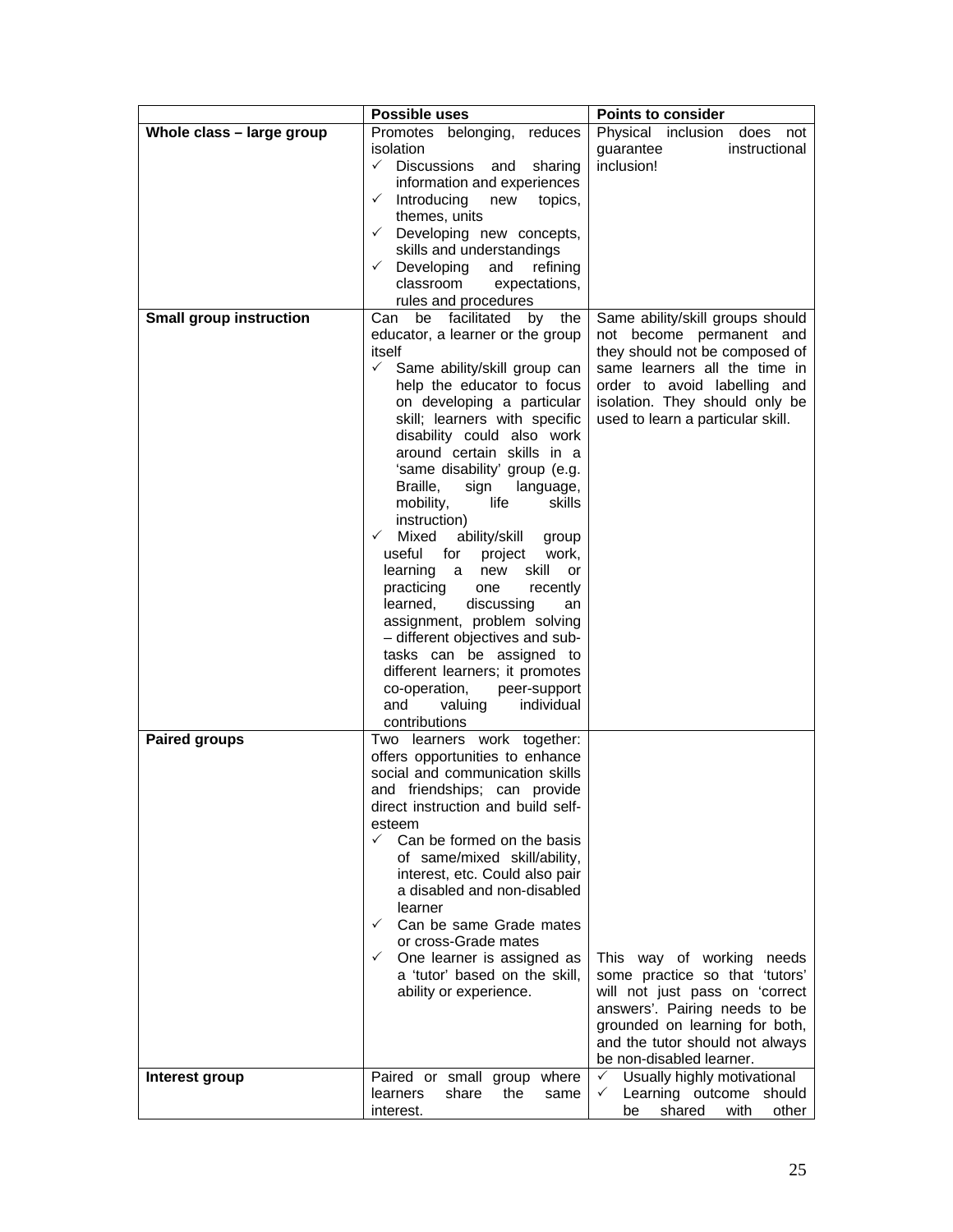|                                | Possible uses                                                                                                                                                                                                                                                                                                                                                                                                                                                                                                                                                                                                                                                                                                                                                                                                            | <b>Points to consider</b>                                                                                                                                                                                                              |  |  |  |
|--------------------------------|--------------------------------------------------------------------------------------------------------------------------------------------------------------------------------------------------------------------------------------------------------------------------------------------------------------------------------------------------------------------------------------------------------------------------------------------------------------------------------------------------------------------------------------------------------------------------------------------------------------------------------------------------------------------------------------------------------------------------------------------------------------------------------------------------------------------------|----------------------------------------------------------------------------------------------------------------------------------------------------------------------------------------------------------------------------------------|--|--|--|
| Whole class - large group      | Promotes belonging, reduces<br>isolation<br>$\checkmark$ Discussions<br>and<br>sharing<br>information and experiences<br>$\checkmark$ Introducing<br>topics,<br>new<br>themes, units<br>$\checkmark$ Developing new concepts,<br>skills and understandings<br>Developing<br>$\checkmark$<br>and<br>refining<br>classroom<br>expectations,<br>rules and procedures                                                                                                                                                                                                                                                                                                                                                                                                                                                        | Physical inclusion does<br>not<br>instructional<br>guarantee<br>inclusion!                                                                                                                                                             |  |  |  |
| <b>Small group instruction</b> | be facilitated by the<br>Can<br>educator, a learner or the group<br>itself<br>$\checkmark$<br>Same ability/skill group can<br>help the educator to focus<br>on developing a particular<br>skill; learners with specific<br>disability could also work<br>around certain skills in a<br>'same disability' group (e.g.<br>Braille,<br>sign<br>language,<br>mobility,<br>life<br>skills<br>instruction)<br>ability/skill group<br>$\checkmark$<br>Mixed<br>useful<br>for<br>project<br>work,<br>skill<br>learning a<br>new<br><b>or</b><br>practicing<br>recently<br>one<br>learned,<br>discussing<br>an<br>assignment, problem solving<br>- different objectives and sub-<br>tasks can be assigned to<br>different learners; it promotes<br>co-operation,<br>peer-support<br>and<br>valuing<br>individual<br>contributions | Same ability/skill groups should<br>not become permanent and<br>they should not be composed of<br>same learners all the time in<br>order to avoid labelling and<br>isolation. They should only be<br>used to learn a particular skill. |  |  |  |
| <b>Paired groups</b>           | Two learners work together:<br>offers opportunities to enhance<br>social and communication skills<br>and friendships; can provide<br>direct instruction and build self-<br>esteem<br>$\checkmark$<br>Can be formed on the basis<br>of same/mixed skill/ability,<br>interest, etc. Could also pair<br>a disabled and non-disabled<br>learner<br>$\checkmark$<br>Can be same Grade mates<br>or cross-Grade mates<br>$\checkmark$<br>One learner is assigned as<br>a 'tutor' based on the skill,<br>ability or experience.                                                                                                                                                                                                                                                                                                  | This way of working needs<br>some practice so that 'tutors'<br>will not just pass on 'correct<br>answers'. Pairing needs to be<br>grounded on learning for both,<br>and the tutor should not always<br>be non-disabled learner.        |  |  |  |
| Interest group                 | Paired or small group<br>where<br>share<br>the<br>learners<br>same<br>interest.                                                                                                                                                                                                                                                                                                                                                                                                                                                                                                                                                                                                                                                                                                                                          | Usually highly motivational<br>$\checkmark$<br>Learning outcome should<br>$\checkmark$<br>shared<br>with<br>other<br>be                                                                                                                |  |  |  |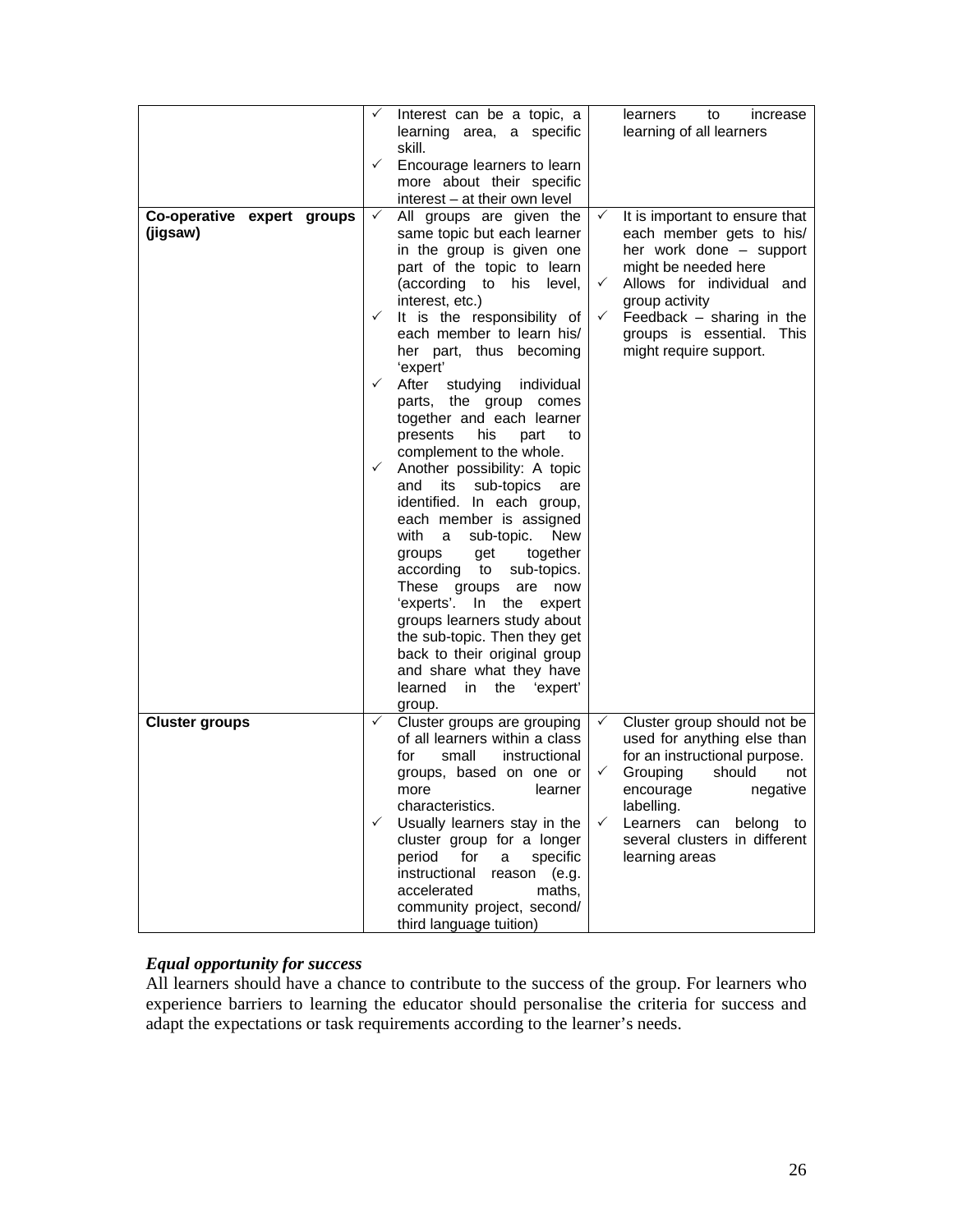|                                        | ✓<br>$\checkmark$                                            | Interest can be a topic, a<br>learning area, a specific<br>skill.<br>Encourage learners to learn<br>more about their specific<br>interest - at their own level                                                                                                                                                                                                                                                                                                                                                                                                                                                                                                                                                                                                                                                                                                                                 |                                              | learners<br>to<br>increase<br>learning of all learners                                                                                                                                                                                                |
|----------------------------------------|--------------------------------------------------------------|------------------------------------------------------------------------------------------------------------------------------------------------------------------------------------------------------------------------------------------------------------------------------------------------------------------------------------------------------------------------------------------------------------------------------------------------------------------------------------------------------------------------------------------------------------------------------------------------------------------------------------------------------------------------------------------------------------------------------------------------------------------------------------------------------------------------------------------------------------------------------------------------|----------------------------------------------|-------------------------------------------------------------------------------------------------------------------------------------------------------------------------------------------------------------------------------------------------------|
| Co-operative expert groups<br>(jigsaw) | $\checkmark$<br>$\checkmark$<br>$\checkmark$<br>$\checkmark$ | All groups are given the<br>same topic but each learner<br>in the group is given one<br>part of the topic to learn<br>(according to his level,<br>interest, etc.)<br>It is the responsibility of<br>each member to learn his/<br>her part, thus becoming<br>'expert'<br>After<br>studying<br>individual<br>parts, the group comes<br>together and each learner<br>presents<br>his<br>part<br>to<br>complement to the whole.<br>Another possibility: A topic<br>its<br>sub-topics<br>and<br>are<br>identified. In each group,<br>each member is assigned<br>with<br><b>New</b><br>a -<br>sub-topic.<br>together<br>groups<br>get<br>sub-topics.<br>according to<br>These groups<br>are now<br>'experts'. In the expert<br>groups learners study about<br>the sub-topic. Then they get<br>back to their original group<br>and share what they have<br>learned<br>'expert'<br>in<br>the<br>group. | $\checkmark$<br>$\checkmark$<br>$\checkmark$ | It is important to ensure that<br>each member gets to his/<br>her work done - support<br>might be needed here<br>Allows for individual and<br>group activity<br>Feedback - sharing in the<br>groups is essential. This<br>might require support.      |
| <b>Cluster groups</b>                  | ✓<br>$\checkmark$                                            | Cluster groups are grouping<br>of all learners within a class<br>instructional<br>for<br>small<br>groups, based on one or<br>learner<br>more<br>characteristics.<br>Usually learners stay in the<br>cluster group for a longer<br>for<br>period<br>specific<br>a<br>instructional<br>reason (e.g.<br>maths,<br>accelerated<br>community project, second/<br>third language tuition)                                                                                                                                                                                                                                                                                                                                                                                                                                                                                                            | $\checkmark$<br>$\checkmark$<br>✓            | Cluster group should not be<br>used for anything else than<br>for an instructional purpose.<br>Grouping<br>should<br>not<br>negative<br>encourage<br>labelling.<br>Learners<br>belong<br>can<br>to<br>several clusters in different<br>learning areas |

# *Equal opportunity for success*

All learners should have a chance to contribute to the success of the group. For learners who experience barriers to learning the educator should personalise the criteria for success and adapt the expectations or task requirements according to the learner's needs.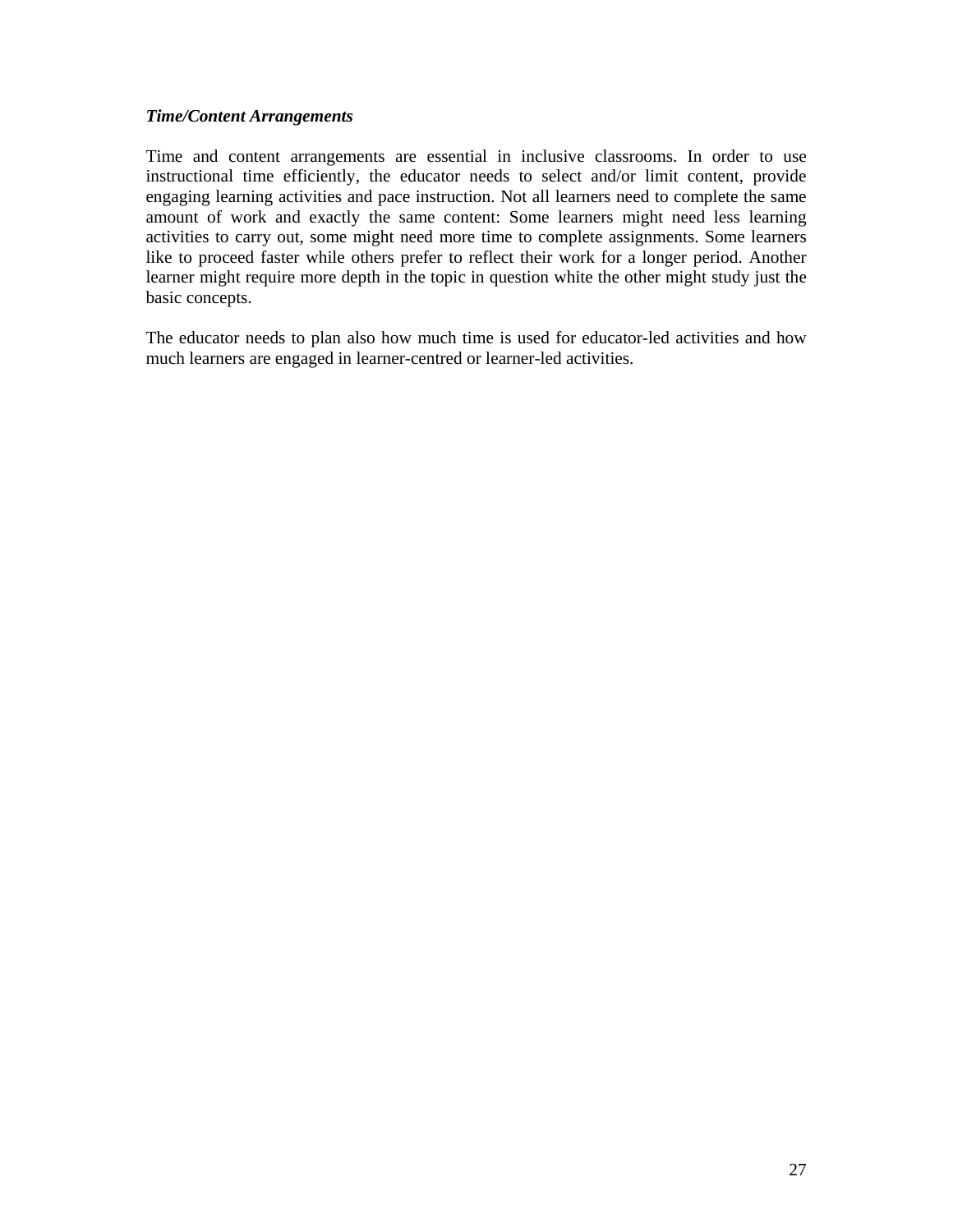## *Time/Content Arrangements*

Time and content arrangements are essential in inclusive classrooms. In order to use instructional time efficiently, the educator needs to select and/or limit content, provide engaging learning activities and pace instruction. Not all learners need to complete the same amount of work and exactly the same content: Some learners might need less learning activities to carry out, some might need more time to complete assignments. Some learners like to proceed faster while others prefer to reflect their work for a longer period. Another learner might require more depth in the topic in question white the other might study just the basic concepts.

The educator needs to plan also how much time is used for educator-led activities and how much learners are engaged in learner-centred or learner-led activities.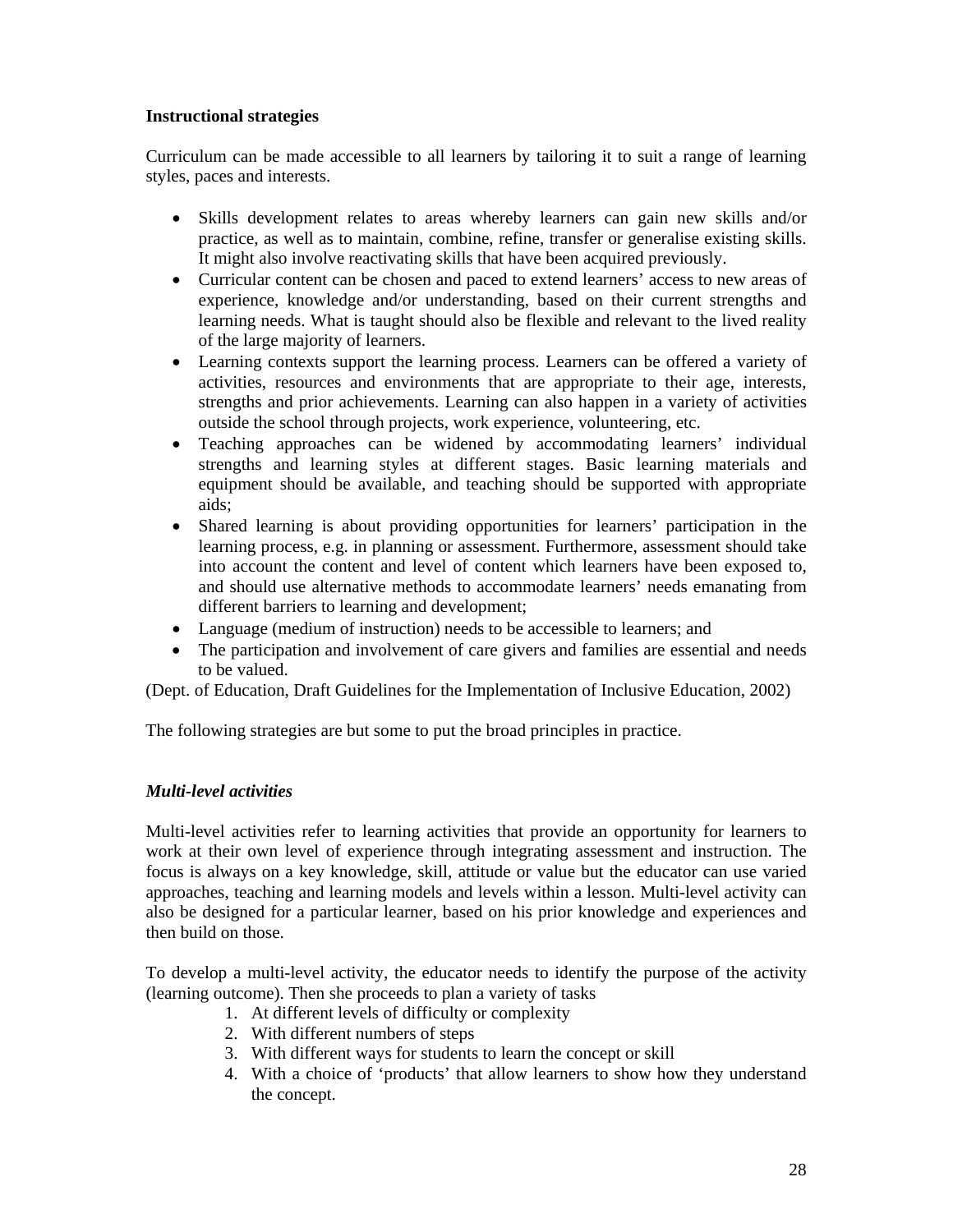# **Instructional strategies**

Curriculum can be made accessible to all learners by tailoring it to suit a range of learning styles, paces and interests.

- Skills development relates to areas whereby learners can gain new skills and/or practice, as well as to maintain, combine, refine, transfer or generalise existing skills. It might also involve reactivating skills that have been acquired previously.
- Curricular content can be chosen and paced to extend learners' access to new areas of experience, knowledge and/or understanding, based on their current strengths and learning needs. What is taught should also be flexible and relevant to the lived reality of the large majority of learners.
- Learning contexts support the learning process. Learners can be offered a variety of activities, resources and environments that are appropriate to their age, interests, strengths and prior achievements. Learning can also happen in a variety of activities outside the school through projects, work experience, volunteering, etc.
- Teaching approaches can be widened by accommodating learners' individual strengths and learning styles at different stages. Basic learning materials and equipment should be available, and teaching should be supported with appropriate aids;
- Shared learning is about providing opportunities for learners' participation in the learning process, e.g. in planning or assessment. Furthermore, assessment should take into account the content and level of content which learners have been exposed to, and should use alternative methods to accommodate learners' needs emanating from different barriers to learning and development;
- Language (medium of instruction) needs to be accessible to learners; and
- The participation and involvement of care givers and families are essential and needs to be valued.

(Dept. of Education, Draft Guidelines for the Implementation of Inclusive Education, 2002)

The following strategies are but some to put the broad principles in practice.

# *Multi-level activities*

Multi-level activities refer to learning activities that provide an opportunity for learners to work at their own level of experience through integrating assessment and instruction. The focus is always on a key knowledge, skill, attitude or value but the educator can use varied approaches, teaching and learning models and levels within a lesson. Multi-level activity can also be designed for a particular learner, based on his prior knowledge and experiences and then build on those.

To develop a multi-level activity, the educator needs to identify the purpose of the activity (learning outcome). Then she proceeds to plan a variety of tasks

- 1. At different levels of difficulty or complexity
- 2. With different numbers of steps
- 3. With different ways for students to learn the concept or skill
- 4. With a choice of 'products' that allow learners to show how they understand the concept.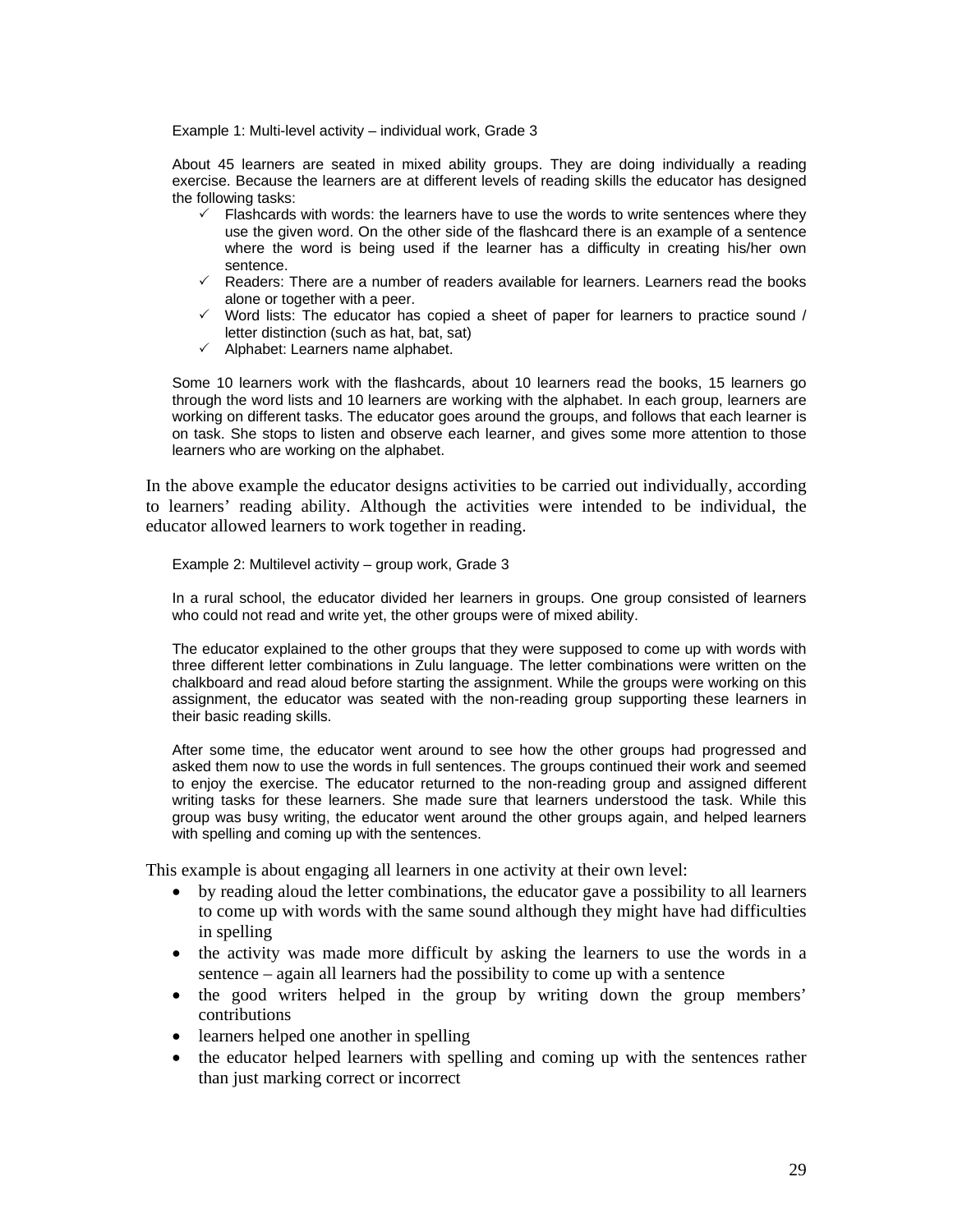Example 1: Multi-level activity – individual work, Grade 3

About 45 learners are seated in mixed ability groups. They are doing individually a reading exercise. Because the learners are at different levels of reading skills the educator has designed the following tasks:

- $\checkmark$  Flashcards with words: the learners have to use the words to write sentences where they use the given word. On the other side of the flashcard there is an example of a sentence where the word is being used if the learner has a difficulty in creating his/her own sentence.
- $\checkmark$  Readers: There are a number of readers available for learners. Learners read the books alone or together with a peer.
- $\checkmark$  Word lists: The educator has copied a sheet of paper for learners to practice sound / letter distinction (such as hat, bat, sat)
- $\checkmark$  Alphabet: Learners name alphabet.

Some 10 learners work with the flashcards, about 10 learners read the books, 15 learners go through the word lists and 10 learners are working with the alphabet. In each group, learners are working on different tasks. The educator goes around the groups, and follows that each learner is on task. She stops to listen and observe each learner, and gives some more attention to those learners who are working on the alphabet.

In the above example the educator designs activities to be carried out individually, according to learners' reading ability. Although the activities were intended to be individual, the educator allowed learners to work together in reading.

Example 2: Multilevel activity – group work, Grade 3

In a rural school, the educator divided her learners in groups. One group consisted of learners who could not read and write yet, the other groups were of mixed ability.

The educator explained to the other groups that they were supposed to come up with words with three different letter combinations in Zulu language. The letter combinations were written on the chalkboard and read aloud before starting the assignment. While the groups were working on this assignment, the educator was seated with the non-reading group supporting these learners in their basic reading skills.

After some time, the educator went around to see how the other groups had progressed and asked them now to use the words in full sentences. The groups continued their work and seemed to enjoy the exercise. The educator returned to the non-reading group and assigned different writing tasks for these learners. She made sure that learners understood the task. While this group was busy writing, the educator went around the other groups again, and helped learners with spelling and coming up with the sentences.

This example is about engaging all learners in one activity at their own level:

- by reading aloud the letter combinations, the educator gave a possibility to all learners to come up with words with the same sound although they might have had difficulties in spelling
- the activity was made more difficult by asking the learners to use the words in a sentence – again all learners had the possibility to come up with a sentence
- the good writers helped in the group by writing down the group members' contributions
- learners helped one another in spelling
- the educator helped learners with spelling and coming up with the sentences rather than just marking correct or incorrect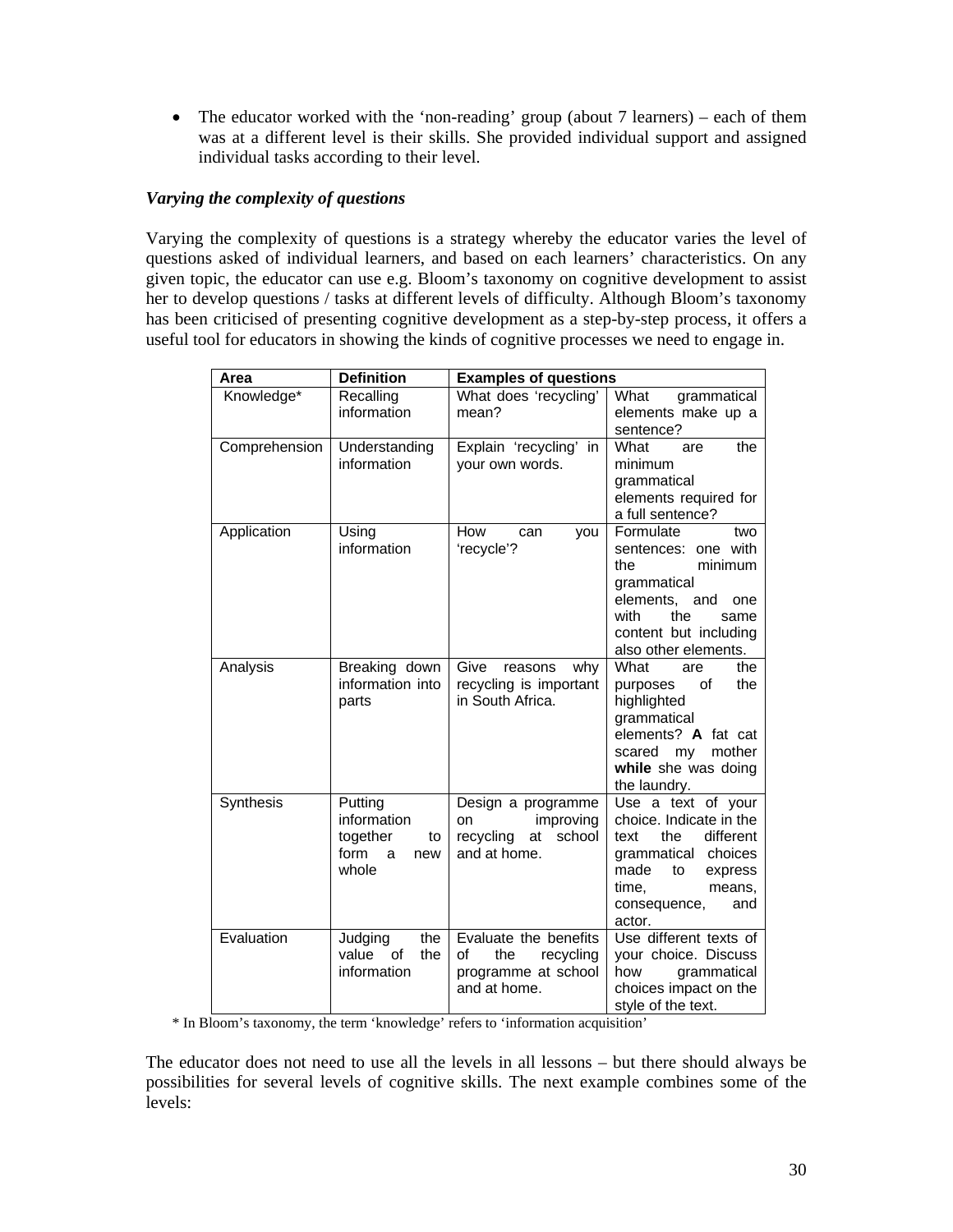• The educator worked with the 'non-reading' group (about 7 learners) – each of them was at a different level is their skills. She provided individual support and assigned individual tasks according to their level.

## *Varying the complexity of questions*

Varying the complexity of questions is a strategy whereby the educator varies the level of questions asked of individual learners, and based on each learners' characteristics. On any given topic, the educator can use e.g. Bloom's taxonomy on cognitive development to assist her to develop questions / tasks at different levels of difficulty. Although Bloom's taxonomy has been criticised of presenting cognitive development as a step-by-step process, it offers a useful tool for educators in showing the kinds of cognitive processes we need to engage in.

| Area          | <b>Definition</b>                                                     | <b>Examples of questions</b>                                                           |                                                                                                                                                                               |  |  |
|---------------|-----------------------------------------------------------------------|----------------------------------------------------------------------------------------|-------------------------------------------------------------------------------------------------------------------------------------------------------------------------------|--|--|
| Knowledge*    | Recalling<br>information                                              | What does 'recycling'<br>mean?                                                         | What<br>grammatical<br>elements make up a<br>sentence?                                                                                                                        |  |  |
| Comprehension | Understanding<br>information                                          | Explain 'recycling'<br>in<br>your own words.                                           | What<br>the<br>are<br>minimum<br>grammatical<br>elements required for<br>a full sentence?                                                                                     |  |  |
| Application   | Using<br>information                                                  | How<br>can<br>you<br>'recycle'?                                                        | Formulate<br>two<br>sentences: one with<br>minimum<br>the<br>grammatical<br>elements,<br>and<br>one<br>with<br>the<br>same<br>content but including<br>also other elements.   |  |  |
| Analysis      | Breaking down<br>information into<br>parts                            | Give<br>reasons<br>why<br>recycling is important<br>in South Africa.                   | What<br>the<br>are<br>οf<br>the<br>purposes<br>highlighted<br>grammatical<br>elements? A fat cat<br>mother<br>scared<br>my<br>while she was doing<br>the laundry.             |  |  |
| Synthesis     | Putting<br>information<br>together<br>to<br>form<br>new<br>a<br>whole | Design a programme<br>improving<br>on<br>recycling<br>school<br>at<br>and at home.     | Use a text of your<br>choice. Indicate in the<br>different<br>the<br>text<br>grammatical choices<br>made<br>to<br>express<br>time,<br>means,<br>consequence,<br>and<br>actor. |  |  |
| Evaluation    | Judging<br>the<br>value<br>of<br>the<br>information                   | Evaluate the benefits<br>of<br>the<br>recycling<br>programme at school<br>and at home. | Use different texts of<br>your choice. Discuss<br>grammatical<br>how<br>choices impact on the<br>style of the text.                                                           |  |  |

\* In Bloom's taxonomy, the term 'knowledge' refers to 'information acquisition'

The educator does not need to use all the levels in all lessons – but there should always be possibilities for several levels of cognitive skills. The next example combines some of the levels: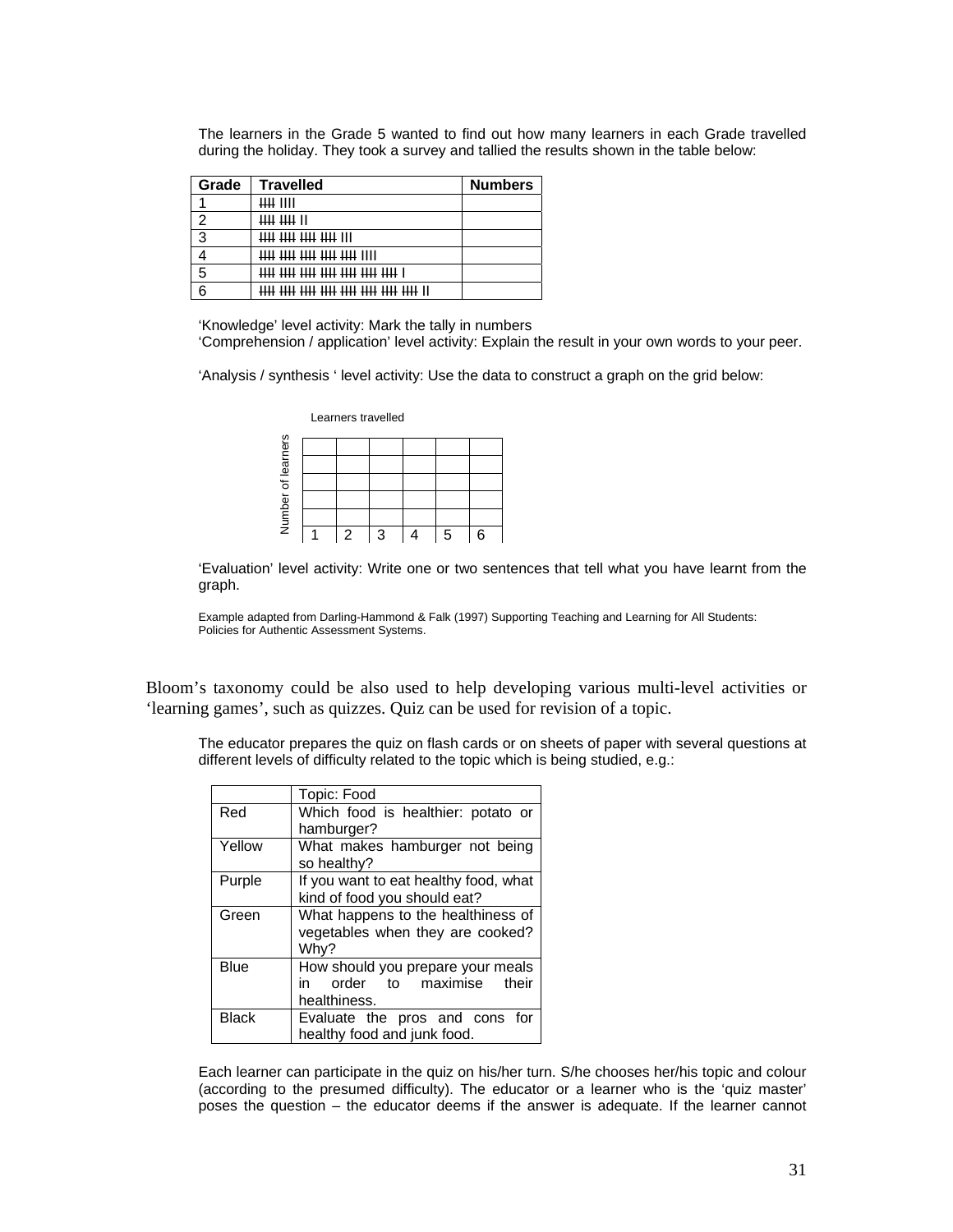The learners in the Grade 5 wanted to find out how many learners in each Grade travelled during the holiday. They took a survey and tallied the results shown in the table below:

| Grade | <b>Travelled</b>                          | <b>Numbers</b> |
|-------|-------------------------------------------|----------------|
|       | Щ ШІ                                      |                |
| ົ     | <del>IIII</del> IIII II                   |                |
| 3     | <b>HH HH HH HH III</b>                    |                |
|       | <del>tiil iill iill iill iill</del> iill  |                |
| 5     | <del>THI THI THI THI THI THI THI </del> I |                |
| ิล    |                                           |                |

'Knowledge' level activity: Mark the tally in numbers

'Comprehension / application' level activity: Explain the result in your own words to your peer.

'Analysis / synthesis ' level activity: Use the data to construct a graph on the grid below:

|           |   | Learners travelled |   |   |
|-----------|---|--------------------|---|---|
| learners  |   |                    |   |   |
|           |   |                    |   |   |
|           |   |                    |   |   |
| Number of |   |                    |   |   |
|           |   |                    |   |   |
|           | 2 | २                  | 5 | 6 |

'Evaluation' level activity: Write one or two sentences that tell what you have learnt from the graph.

Example adapted from Darling-Hammond & Falk (1997) Supporting Teaching and Learning for All Students: Policies for Authentic Assessment Systems.

Bloom's taxonomy could be also used to help developing various multi-level activities or 'learning games', such as quizzes. Quiz can be used for revision of a topic.

The educator prepares the quiz on flash cards or on sheets of paper with several questions at different levels of difficulty related to the topic which is being studied, e.g.:

|              | Topic: Food                           |  |  |  |
|--------------|---------------------------------------|--|--|--|
| Red          | Which food is healthier: potato or    |  |  |  |
|              | hamburger?                            |  |  |  |
| Yellow       | What makes hamburger not being        |  |  |  |
|              | so healthy?                           |  |  |  |
| Purple       | If you want to eat healthy food, what |  |  |  |
|              | kind of food you should eat?          |  |  |  |
| Green        | What happens to the healthiness of    |  |  |  |
|              | vegetables when they are cooked?      |  |  |  |
|              | Why?                                  |  |  |  |
| Blue         | How should you prepare your meals     |  |  |  |
|              | order to maximise<br>their<br>in      |  |  |  |
|              | healthiness.                          |  |  |  |
| <b>Black</b> | Evaluate the pros and cons for        |  |  |  |
|              | healthy food and junk food.           |  |  |  |

Each learner can participate in the quiz on his/her turn. S/he chooses her/his topic and colour (according to the presumed difficulty). The educator or a learner who is the 'quiz master' poses the question – the educator deems if the answer is adequate. If the learner cannot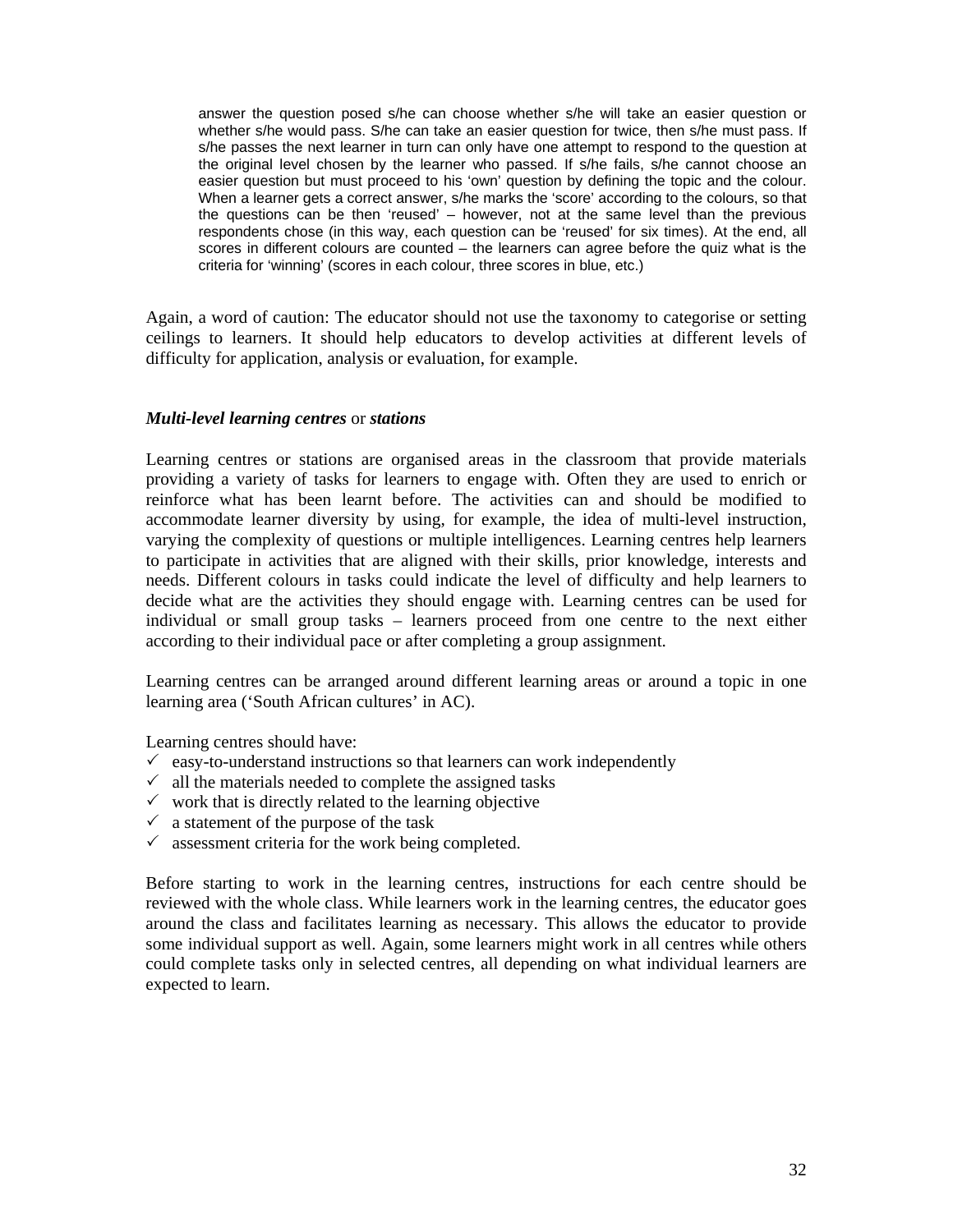answer the question posed s/he can choose whether s/he will take an easier question or whether s/he would pass. S/he can take an easier question for twice, then s/he must pass. If s/he passes the next learner in turn can only have one attempt to respond to the question at the original level chosen by the learner who passed. If s/he fails, s/he cannot choose an easier question but must proceed to his 'own' question by defining the topic and the colour. When a learner gets a correct answer, s/he marks the 'score' according to the colours, so that the questions can be then 'reused' – however, not at the same level than the previous respondents chose (in this way, each question can be 'reused' for six times). At the end, all scores in different colours are counted – the learners can agree before the quiz what is the criteria for 'winning' (scores in each colour, three scores in blue, etc.)

Again, a word of caution: The educator should not use the taxonomy to categorise or setting ceilings to learners. It should help educators to develop activities at different levels of difficulty for application, analysis or evaluation, for example.

#### *Multi-level learning centres* or *stations*

Learning centres or stations are organised areas in the classroom that provide materials providing a variety of tasks for learners to engage with. Often they are used to enrich or reinforce what has been learnt before. The activities can and should be modified to accommodate learner diversity by using, for example, the idea of multi-level instruction, varying the complexity of questions or multiple intelligences. Learning centres help learners to participate in activities that are aligned with their skills, prior knowledge, interests and needs. Different colours in tasks could indicate the level of difficulty and help learners to decide what are the activities they should engage with. Learning centres can be used for individual or small group tasks – learners proceed from one centre to the next either according to their individual pace or after completing a group assignment.

Learning centres can be arranged around different learning areas or around a topic in one learning area ('South African cultures' in AC).

Learning centres should have:

- $\checkmark$  easy-to-understand instructions so that learners can work independently
- $\checkmark$  all the materials needed to complete the assigned tasks
- $\checkmark$  work that is directly related to the learning objective
- $\checkmark$  a statement of the purpose of the task
- $\checkmark$  assessment criteria for the work being completed.

Before starting to work in the learning centres, instructions for each centre should be reviewed with the whole class. While learners work in the learning centres, the educator goes around the class and facilitates learning as necessary. This allows the educator to provide some individual support as well. Again, some learners might work in all centres while others could complete tasks only in selected centres, all depending on what individual learners are expected to learn.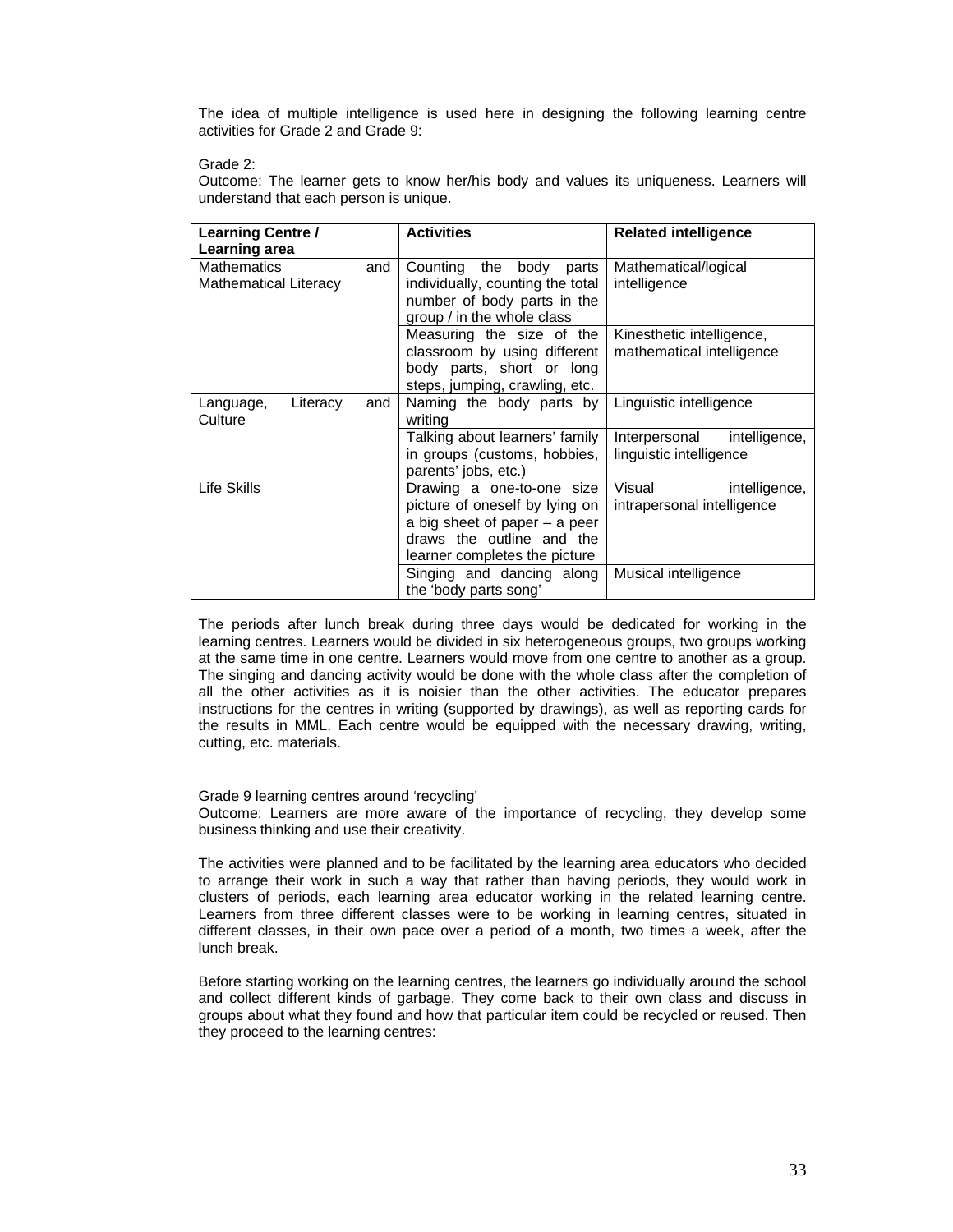The idea of multiple intelligence is used here in designing the following learning centre activities for Grade 2 and Grade 9:

Grade 2:

Outcome: The learner gets to know her/his body and values its uniqueness. Learners will understand that each person is unique.

| Learning Centre /<br>Learning area                        | <b>Activities</b>                                                                                                                                          | <b>Related intelligence</b>                               |  |
|-----------------------------------------------------------|------------------------------------------------------------------------------------------------------------------------------------------------------------|-----------------------------------------------------------|--|
| <b>Mathematics</b><br>and<br><b>Mathematical Literacy</b> | Counting the body parts<br>individually, counting the total<br>number of body parts in the<br>group / in the whole class                                   | Mathematical/logical<br>intelligence                      |  |
|                                                           | Measuring the size of the<br>classroom by using different<br>body parts, short or long<br>steps, jumping, crawling, etc.                                   | Kinesthetic intelligence,<br>mathematical intelligence    |  |
| Literacy<br>Language,<br>and<br>Culture                   | Naming the body parts by<br>writing                                                                                                                        | Linguistic intelligence                                   |  |
|                                                           | Talking about learners' family<br>in groups (customs, hobbies,<br>parents' jobs, etc.)                                                                     | Interpersonal<br>intelligence,<br>linguistic intelligence |  |
| Life Skills                                               | Drawing a one-to-one size<br>picture of oneself by lying on<br>a big sheet of paper - a peer<br>draws the outline and the<br>learner completes the picture | Visual<br>intelligence,<br>intrapersonal intelligence     |  |
|                                                           | Singing and dancing along<br>the 'body parts song'                                                                                                         | Musical intelligence                                      |  |

The periods after lunch break during three days would be dedicated for working in the learning centres. Learners would be divided in six heterogeneous groups, two groups working at the same time in one centre. Learners would move from one centre to another as a group. The singing and dancing activity would be done with the whole class after the completion of all the other activities as it is noisier than the other activities. The educator prepares instructions for the centres in writing (supported by drawings), as well as reporting cards for the results in MML. Each centre would be equipped with the necessary drawing, writing, cutting, etc. materials.

Grade 9 learning centres around 'recycling'

Outcome: Learners are more aware of the importance of recycling, they develop some business thinking and use their creativity.

The activities were planned and to be facilitated by the learning area educators who decided to arrange their work in such a way that rather than having periods, they would work in clusters of periods, each learning area educator working in the related learning centre. Learners from three different classes were to be working in learning centres, situated in different classes, in their own pace over a period of a month, two times a week, after the lunch break.

Before starting working on the learning centres, the learners go individually around the school and collect different kinds of garbage. They come back to their own class and discuss in groups about what they found and how that particular item could be recycled or reused. Then they proceed to the learning centres: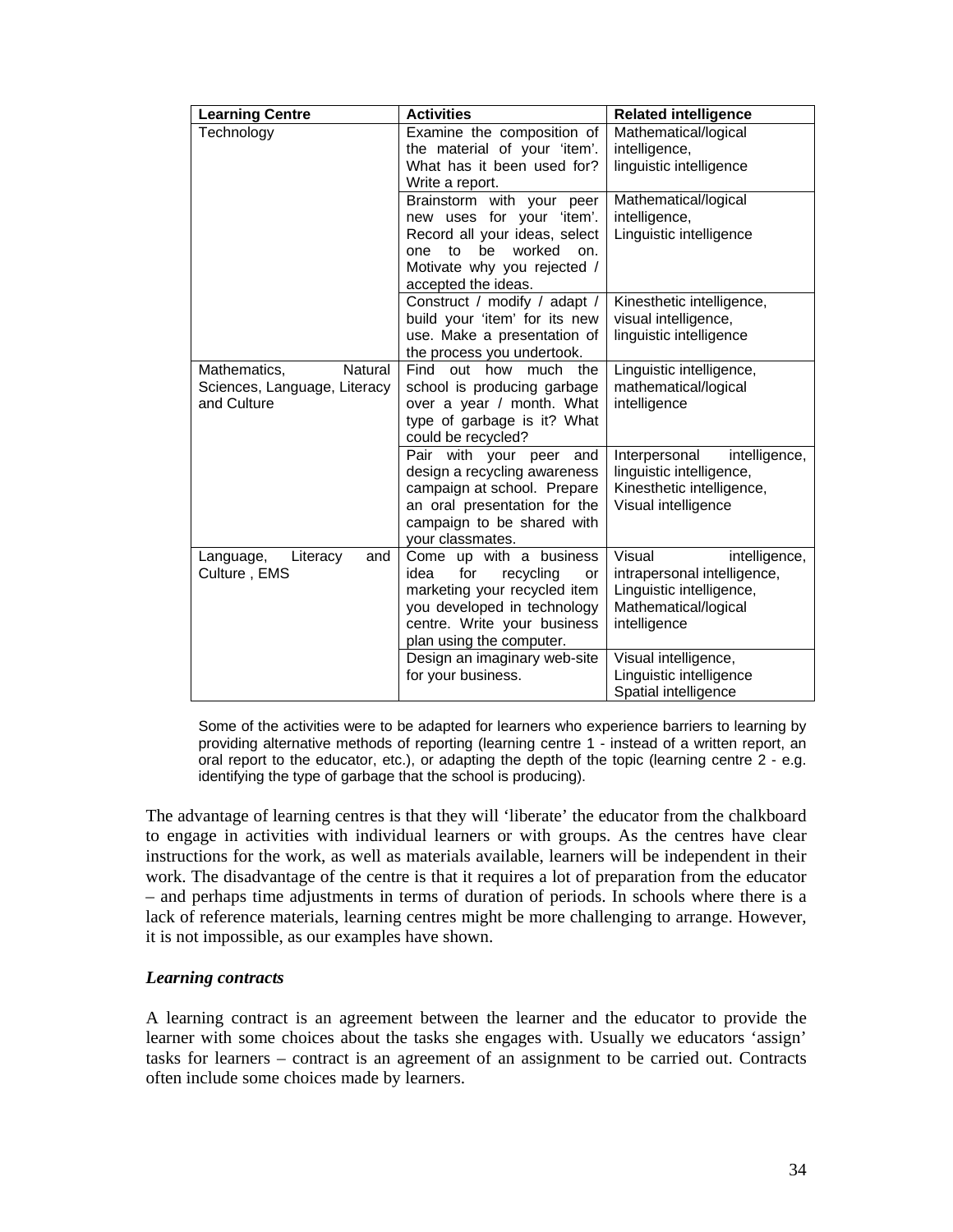| <b>Learning Centre</b>                                                 | <b>Activities</b>                                                                                                                                                                    | <b>Related intelligence</b>                                                                                                |
|------------------------------------------------------------------------|--------------------------------------------------------------------------------------------------------------------------------------------------------------------------------------|----------------------------------------------------------------------------------------------------------------------------|
| Technology                                                             | Examine the composition of<br>the material of your 'item'.<br>What has it been used for?<br>Write a report.                                                                          | Mathematical/logical<br>intelligence,<br>linguistic intelligence                                                           |
|                                                                        | Brainstorm with your<br>peer<br>new uses for your 'item'.<br>Record all your ideas, select<br>worked<br>to<br>be<br>on.<br>one<br>Motivate why you rejected /<br>accepted the ideas. | Mathematical/logical<br>intelligence,<br>Linguistic intelligence                                                           |
|                                                                        | Construct / modify / adapt /<br>build your 'item' for its new<br>use. Make a presentation of<br>the process you undertook.                                                           | Kinesthetic intelligence,<br>visual intelligence,<br>linguistic intelligence                                               |
| Natural<br>Mathematics,<br>Sciences, Language, Literacy<br>and Culture | Find out how<br>much the<br>school is producing garbage<br>over a year / month. What<br>type of garbage is it? What<br>could be recycled?                                            | Linguistic intelligence,<br>mathematical/logical<br>intelligence                                                           |
|                                                                        | Pair with your peer<br>and<br>design a recycling awareness<br>campaign at school. Prepare<br>an oral presentation for the<br>campaign to be shared with<br>your classmates.          | Interpersonal<br>intelligence,<br>linguistic intelligence,<br>Kinesthetic intelligence,<br>Visual intelligence             |
| Language,<br>Literacy<br>and<br>Culture, EMS                           | Come up with a business<br>for<br>idea<br>recycling<br>or<br>marketing your recycled item<br>you developed in technology<br>centre. Write your business<br>plan using the computer.  | Visual<br>intelligence,<br>intrapersonal intelligence,<br>Linguistic intelligence,<br>Mathematical/logical<br>intelligence |
|                                                                        | Design an imaginary web-site<br>for your business.                                                                                                                                   | Visual intelligence,<br>Linguistic intelligence<br>Spatial intelligence                                                    |

Some of the activities were to be adapted for learners who experience barriers to learning by providing alternative methods of reporting (learning centre 1 - instead of a written report, an oral report to the educator, etc.), or adapting the depth of the topic (learning centre 2 - e.g. identifying the type of garbage that the school is producing).

The advantage of learning centres is that they will 'liberate' the educator from the chalkboard to engage in activities with individual learners or with groups. As the centres have clear instructions for the work, as well as materials available, learners will be independent in their work. The disadvantage of the centre is that it requires a lot of preparation from the educator – and perhaps time adjustments in terms of duration of periods. In schools where there is a lack of reference materials, learning centres might be more challenging to arrange. However, it is not impossible, as our examples have shown.

### *Learning contracts*

A learning contract is an agreement between the learner and the educator to provide the learner with some choices about the tasks she engages with. Usually we educators 'assign' tasks for learners – contract is an agreement of an assignment to be carried out. Contracts often include some choices made by learners.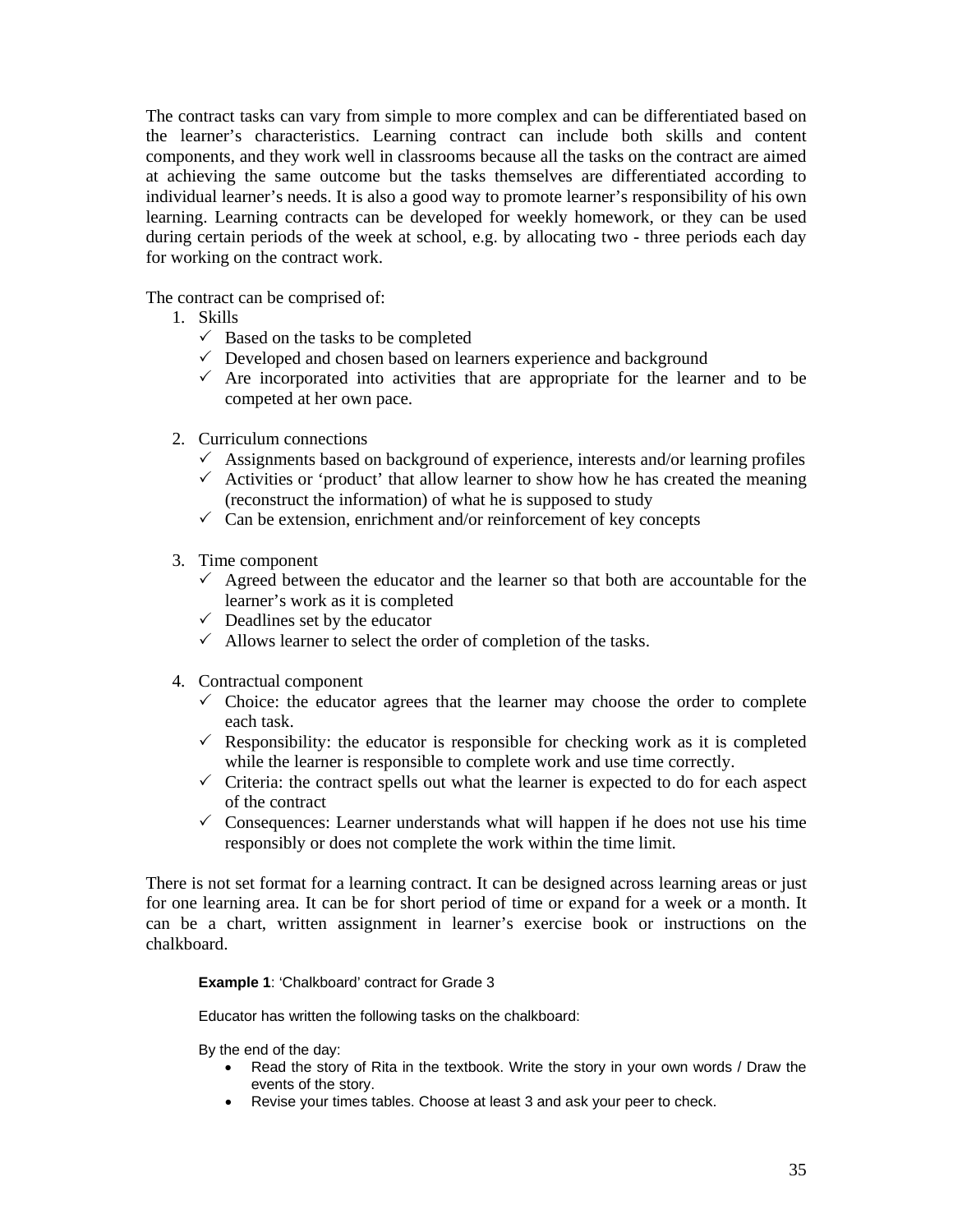The contract tasks can vary from simple to more complex and can be differentiated based on the learner's characteristics. Learning contract can include both skills and content components, and they work well in classrooms because all the tasks on the contract are aimed at achieving the same outcome but the tasks themselves are differentiated according to individual learner's needs. It is also a good way to promote learner's responsibility of his own learning. Learning contracts can be developed for weekly homework, or they can be used during certain periods of the week at school, e.g. by allocating two - three periods each day for working on the contract work.

The contract can be comprised of:

- 1. Skills
	- $\checkmark$  Based on the tasks to be completed
	- $\checkmark$  Developed and chosen based on learners experience and background
	- $\checkmark$  Are incorporated into activities that are appropriate for the learner and to be competed at her own pace.
- 2. Curriculum connections
	- $\checkmark$  Assignments based on background of experience, interests and/or learning profiles
	- $\checkmark$  Activities or 'product' that allow learner to show how he has created the meaning (reconstruct the information) of what he is supposed to study
	- $\checkmark$  Can be extension, enrichment and/or reinforcement of key concepts
- 3. Time component
	- $\checkmark$  Agreed between the educator and the learner so that both are accountable for the learner's work as it is completed
	- $\checkmark$  Deadlines set by the educator
	- $\checkmark$  Allows learner to select the order of completion of the tasks.
- 4. Contractual component
	- $\checkmark$  Choice: the educator agrees that the learner may choose the order to complete each task.
	- $\checkmark$  Responsibility: the educator is responsible for checking work as it is completed while the learner is responsible to complete work and use time correctly.
	- $\checkmark$  Criteria: the contract spells out what the learner is expected to do for each aspect of the contract
	- $\checkmark$  Consequences: Learner understands what will happen if he does not use his time responsibly or does not complete the work within the time limit.

There is not set format for a learning contract. It can be designed across learning areas or just for one learning area. It can be for short period of time or expand for a week or a month. It can be a chart, written assignment in learner's exercise book or instructions on the chalkboard.

#### **Example 1**: 'Chalkboard' contract for Grade 3

Educator has written the following tasks on the chalkboard:

By the end of the day:

- Read the story of Rita in the textbook. Write the story in your own words / Draw the events of the story.
- Revise your times tables. Choose at least 3 and ask your peer to check.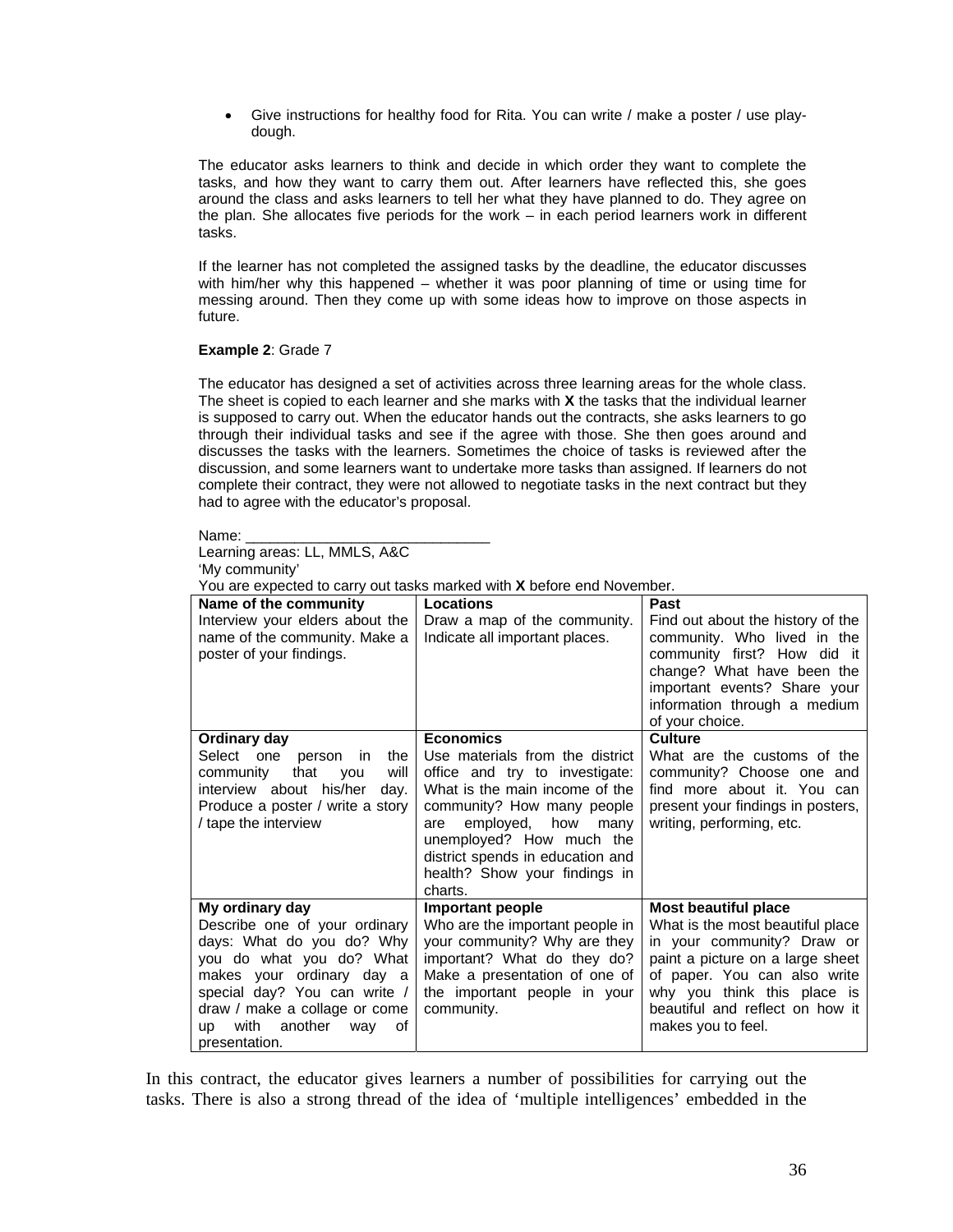• Give instructions for healthy food for Rita. You can write / make a poster / use playdough.

The educator asks learners to think and decide in which order they want to complete the tasks, and how they want to carry them out. After learners have reflected this, she goes around the class and asks learners to tell her what they have planned to do. They agree on the plan. She allocates five periods for the work – in each period learners work in different tasks.

If the learner has not completed the assigned tasks by the deadline, the educator discusses with him/her why this happened – whether it was poor planning of time or using time for messing around. Then they come up with some ideas how to improve on those aspects in future.

#### **Example 2**: Grade 7

The educator has designed a set of activities across three learning areas for the whole class. The sheet is copied to each learner and she marks with **X** the tasks that the individual learner is supposed to carry out. When the educator hands out the contracts, she asks learners to go through their individual tasks and see if the agree with those. She then goes around and discusses the tasks with the learners. Sometimes the choice of tasks is reviewed after the discussion, and some learners want to undertake more tasks than assigned. If learners do not complete their contract, they were not allowed to negotiate tasks in the next contract but they had to agree with the educator's proposal.

| Name:<br>____ |
|---------------|
|---------------|

Learning areas: LL, MMLS, A&C

'My community'

You are expected to carry out tasks marked with **X** before end November.

| Name of the community                                                                                                                                                                                                                           | Locations                                                                                                                                                                                                                                                                     | Past                                                                                                                                                                                                                       |  |  |  |
|-------------------------------------------------------------------------------------------------------------------------------------------------------------------------------------------------------------------------------------------------|-------------------------------------------------------------------------------------------------------------------------------------------------------------------------------------------------------------------------------------------------------------------------------|----------------------------------------------------------------------------------------------------------------------------------------------------------------------------------------------------------------------------|--|--|--|
| Interview your elders about the<br>name of the community. Make a<br>poster of your findings.                                                                                                                                                    | Draw a map of the community.<br>Indicate all important places.                                                                                                                                                                                                                | Find out about the history of the<br>community. Who lived in the<br>community first? How did it<br>change? What have been the<br>important events? Share your<br>information through a medium<br>of your choice.           |  |  |  |
| Ordinary day                                                                                                                                                                                                                                    | <b>Economics</b>                                                                                                                                                                                                                                                              | Culture                                                                                                                                                                                                                    |  |  |  |
| Select one person<br>the<br>in.<br>that<br>community<br><b>vou</b><br>will<br>interview about his/her<br>day.<br>Produce a poster / write a story<br>/ tape the interview                                                                       | Use materials from the district<br>office and try to investigate:<br>What is the main income of the<br>community? How many people<br>employed, how<br>are<br>many<br>unemployed? How much the<br>district spends in education and<br>health? Show your findings in<br>charts. | What are the customs of the<br>community? Choose one and<br>find more about it. You can<br>present your findings in posters,<br>writing, performing, etc.                                                                  |  |  |  |
| My ordinary day                                                                                                                                                                                                                                 | Important people                                                                                                                                                                                                                                                              | <b>Most beautiful place</b>                                                                                                                                                                                                |  |  |  |
| Describe one of your ordinary<br>days: What do you do? Why<br>you do what you do? What<br>makes your ordinary day a<br>special day? You can write /<br>draw / make a collage or come<br>with another<br>οf<br><b>up</b><br>way<br>presentation. | Who are the important people in<br>your community? Why are they<br>important? What do they do?<br>Make a presentation of one of<br>the important people in your<br>community.                                                                                                 | What is the most beautiful place<br>in your community? Draw or<br>paint a picture on a large sheet<br>of paper. You can also write<br>why you think this place is<br>beautiful and reflect on how it<br>makes you to feel. |  |  |  |

In this contract, the educator gives learners a number of possibilities for carrying out the tasks. There is also a strong thread of the idea of 'multiple intelligences' embedded in the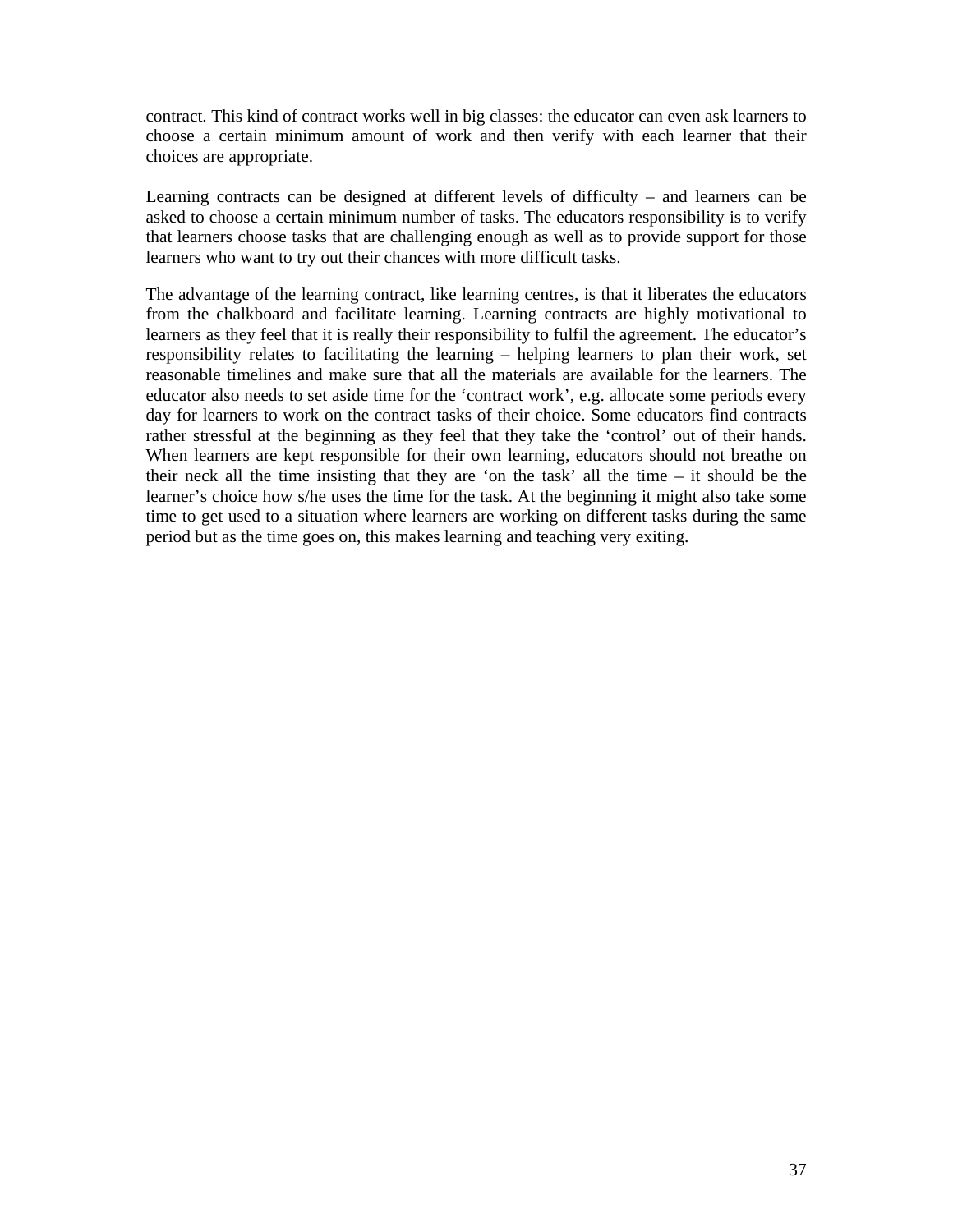contract. This kind of contract works well in big classes: the educator can even ask learners to choose a certain minimum amount of work and then verify with each learner that their choices are appropriate.

Learning contracts can be designed at different levels of difficulty – and learners can be asked to choose a certain minimum number of tasks. The educators responsibility is to verify that learners choose tasks that are challenging enough as well as to provide support for those learners who want to try out their chances with more difficult tasks.

The advantage of the learning contract, like learning centres, is that it liberates the educators from the chalkboard and facilitate learning. Learning contracts are highly motivational to learners as they feel that it is really their responsibility to fulfil the agreement. The educator's responsibility relates to facilitating the learning – helping learners to plan their work, set reasonable timelines and make sure that all the materials are available for the learners. The educator also needs to set aside time for the 'contract work', e.g. allocate some periods every day for learners to work on the contract tasks of their choice. Some educators find contracts rather stressful at the beginning as they feel that they take the 'control' out of their hands. When learners are kept responsible for their own learning, educators should not breathe on their neck all the time insisting that they are 'on the task' all the time – it should be the learner's choice how s/he uses the time for the task. At the beginning it might also take some time to get used to a situation where learners are working on different tasks during the same period but as the time goes on, this makes learning and teaching very exiting.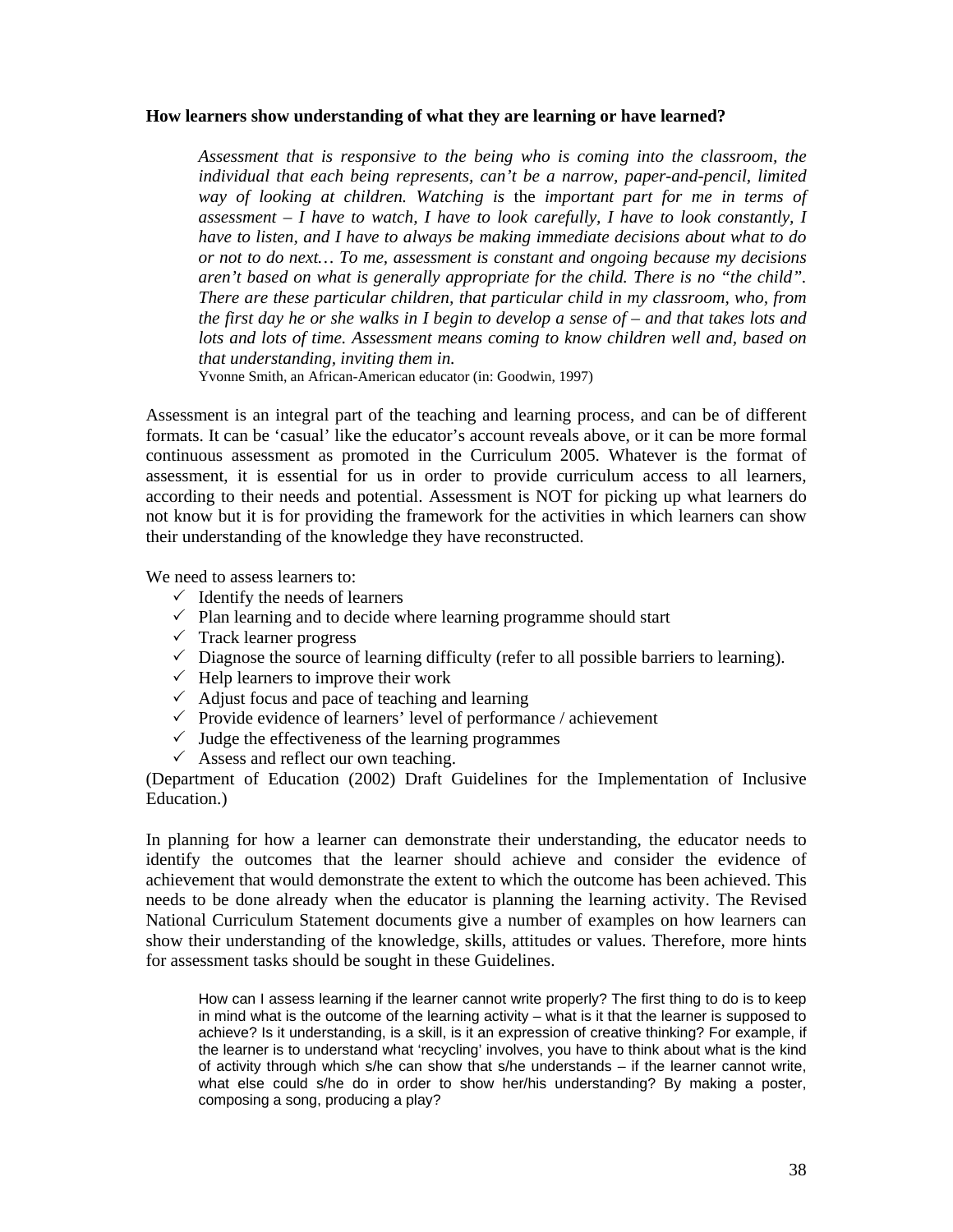#### **How learners show understanding of what they are learning or have learned?**

*Assessment that is responsive to the being who is coming into the classroom, the individual that each being represents, can't be a narrow, paper-and-pencil, limited way of looking at children. Watching is* the *important part for me in terms of assessment – I have to watch, I have to look carefully, I have to look constantly, I have to listen, and I have to always be making immediate decisions about what to do or not to do next… To me, assessment is constant and ongoing because my decisions aren't based on what is generally appropriate for the child. There is no "the child". There are these particular children, that particular child in my classroom, who, from the first day he or she walks in I begin to develop a sense of – and that takes lots and lots and lots of time. Assessment means coming to know children well and, based on that understanding, inviting them in.* 

Yvonne Smith, an African-American educator (in: Goodwin, 1997)

Assessment is an integral part of the teaching and learning process, and can be of different formats. It can be 'casual' like the educator's account reveals above, or it can be more formal continuous assessment as promoted in the Curriculum 2005. Whatever is the format of assessment, it is essential for us in order to provide curriculum access to all learners, according to their needs and potential. Assessment is NOT for picking up what learners do not know but it is for providing the framework for the activities in which learners can show their understanding of the knowledge they have reconstructed.

We need to assess learners to:

- $\checkmark$  Identify the needs of learners
- $\checkmark$  Plan learning and to decide where learning programme should start
- $\checkmark$  Track learner progress
- $\checkmark$  Diagnose the source of learning difficulty (refer to all possible barriers to learning).
- $\checkmark$  Help learners to improve their work
- $\checkmark$  Adjust focus and pace of teaching and learning
- $\checkmark$  Provide evidence of learners' level of performance / achievement
- $\checkmark$  Judge the effectiveness of the learning programmes
- $\checkmark$  Assess and reflect our own teaching.

(Department of Education (2002) Draft Guidelines for the Implementation of Inclusive Education.)

In planning for how a learner can demonstrate their understanding, the educator needs to identify the outcomes that the learner should achieve and consider the evidence of achievement that would demonstrate the extent to which the outcome has been achieved. This needs to be done already when the educator is planning the learning activity. The Revised National Curriculum Statement documents give a number of examples on how learners can show their understanding of the knowledge, skills, attitudes or values. Therefore, more hints for assessment tasks should be sought in these Guidelines.

How can I assess learning if the learner cannot write properly? The first thing to do is to keep in mind what is the outcome of the learning activity – what is it that the learner is supposed to achieve? Is it understanding, is a skill, is it an expression of creative thinking? For example, if the learner is to understand what 'recycling' involves, you have to think about what is the kind of activity through which s/he can show that s/he understands – if the learner cannot write, what else could s/he do in order to show her/his understanding? By making a poster, composing a song, producing a play?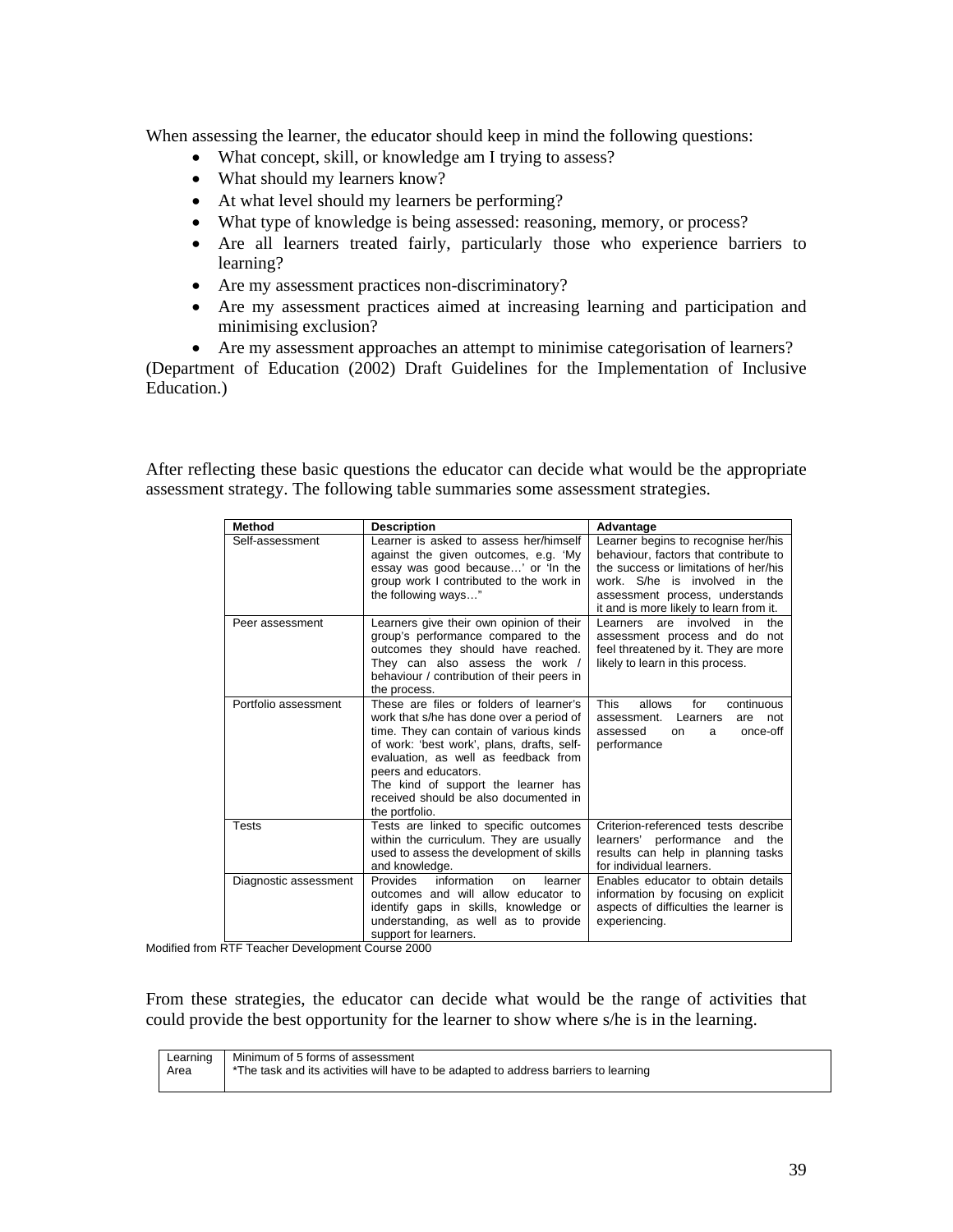When assessing the learner, the educator should keep in mind the following questions:

- What concept, skill, or knowledge am I trying to assess?
- What should my learners know?
- At what level should my learners be performing?
- What type of knowledge is being assessed: reasoning, memory, or process?
- Are all learners treated fairly, particularly those who experience barriers to learning?
- Are my assessment practices non-discriminatory?
- Are my assessment practices aimed at increasing learning and participation and minimising exclusion?
- Are my assessment approaches an attempt to minimise categorisation of learners?

(Department of Education (2002) Draft Guidelines for the Implementation of Inclusive Education.)

After reflecting these basic questions the educator can decide what would be the appropriate assessment strategy. The following table summaries some assessment strategies.

| <b>Method</b>         | <b>Description</b>                                                                                                                                                                                                                                                                                                                             | Advantage                                                                                                                                                                                                                            |  |  |
|-----------------------|------------------------------------------------------------------------------------------------------------------------------------------------------------------------------------------------------------------------------------------------------------------------------------------------------------------------------------------------|--------------------------------------------------------------------------------------------------------------------------------------------------------------------------------------------------------------------------------------|--|--|
| Self-assessment       | Learner is asked to assess her/himself<br>against the given outcomes, e.g. 'My<br>essay was good because' or 'In the<br>group work I contributed to the work in<br>the following ways"                                                                                                                                                         | Learner begins to recognise her/his<br>behaviour, factors that contribute to<br>the success or limitations of her/his<br>work. S/he is involved in the<br>assessment process, understands<br>it and is more likely to learn from it. |  |  |
| Peer assessment       | Learners give their own opinion of their<br>group's performance compared to the<br>outcomes they should have reached.<br>They can also assess the work /<br>behaviour / contribution of their peers in<br>the process.                                                                                                                         | are involved<br>Learners<br>in<br>the<br>assessment process and do not<br>feel threatened by it. They are more<br>likely to learn in this process.                                                                                   |  |  |
| Portfolio assessment  | These are files or folders of learner's<br>work that s/he has done over a period of<br>time. They can contain of various kinds<br>of work: 'best work', plans, drafts, self-<br>evaluation, as well as feedback from<br>peers and educators.<br>The kind of support the learner has<br>received should be also documented in<br>the portfolio. | <b>This</b><br>for<br>allows<br>continuous<br>assessment.<br>Learners<br>not<br>are<br>assessed<br>once-off<br>on<br>a<br>performance                                                                                                |  |  |
| <b>Tests</b>          | Tests are linked to specific outcomes<br>within the curriculum. They are usually<br>used to assess the development of skills<br>and knowledge.                                                                                                                                                                                                 | Criterion-referenced tests describe<br>learners' performance<br>and the<br>results can help in planning tasks<br>for individual learners.                                                                                            |  |  |
| Diagnostic assessment | information<br><b>Provides</b><br>learner<br>on<br>outcomes and will allow educator to<br>identify gaps in skills, knowledge or<br>understanding, as well as to provide<br>support for learners.                                                                                                                                               | Enables educator to obtain details<br>information by focusing on explicit<br>aspects of difficulties the learner is<br>experiencing.                                                                                                 |  |  |

Modified from RTF Teacher Development Course 2000

From these strategies, the educator can decide what would be the range of activities that could provide the best opportunity for the learner to show where s/he is in the learning.

|      | Learning Minimum of 5 forms of assessment                                           |
|------|-------------------------------------------------------------------------------------|
| Area | The task and its activities will have to be adapted to address barriers to learning |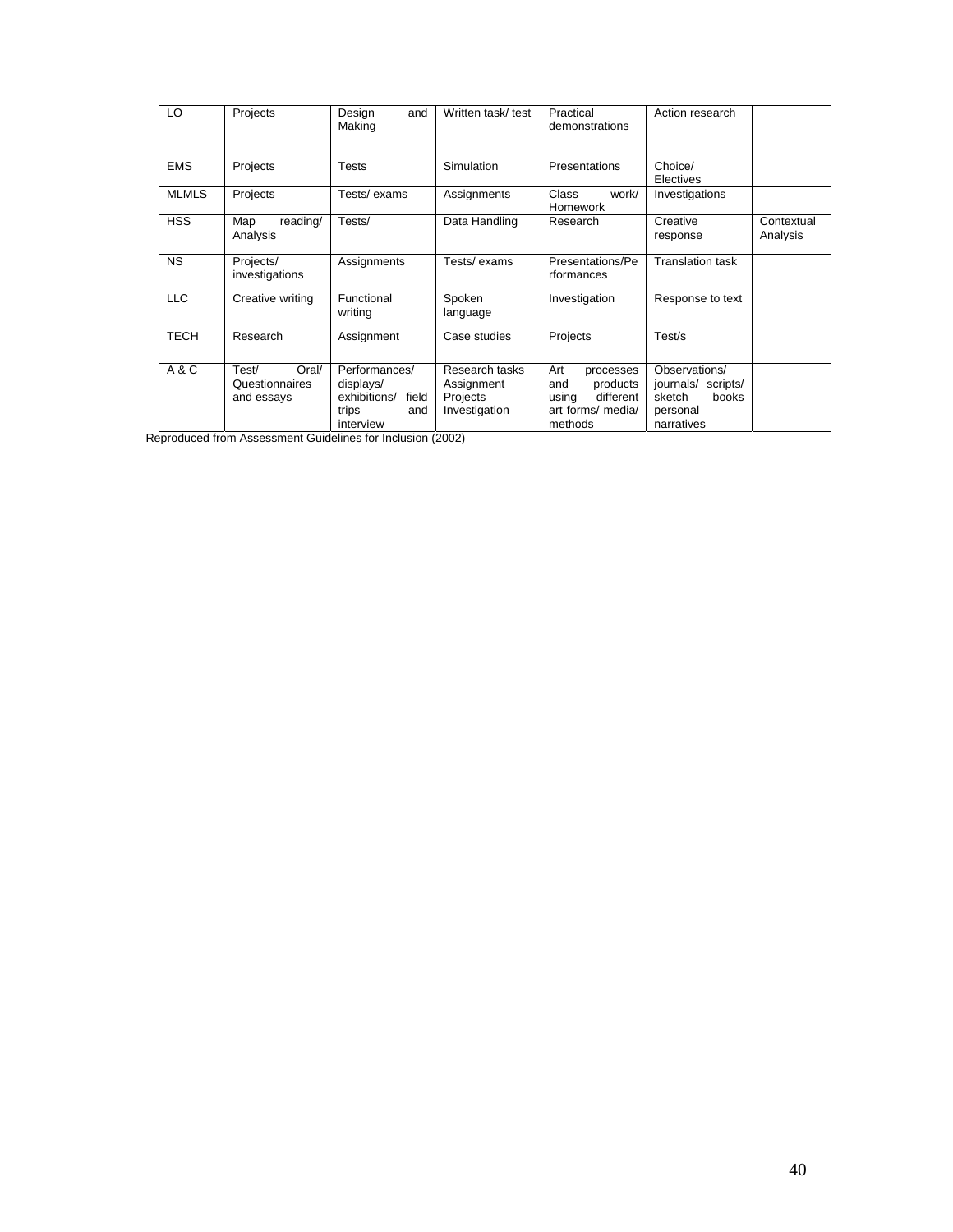| LO           | Projects                                       | Design<br>and<br>Making                                                          | Written task/ test                                        | Practical<br>demonstrations                                                               | Action research                                                                  |                        |
|--------------|------------------------------------------------|----------------------------------------------------------------------------------|-----------------------------------------------------------|-------------------------------------------------------------------------------------------|----------------------------------------------------------------------------------|------------------------|
| <b>EMS</b>   | Projects                                       | Tests                                                                            | Simulation                                                | Presentations                                                                             | Choice/<br>Electives                                                             |                        |
| <b>MLMLS</b> | Projects                                       | Tests/exams                                                                      | Assignments                                               | <b>Class</b><br>work/<br>Homework                                                         | Investigations                                                                   |                        |
| <b>HSS</b>   | Map<br>reading/<br>Analysis                    | Tests/                                                                           | Data Handling                                             | Research                                                                                  | Creative<br>response                                                             | Contextual<br>Analysis |
| <b>NS</b>    | Projects/<br>investigations                    | Assignments                                                                      | Tests/exams                                               | Presentations/Pe<br>rformances                                                            | <b>Translation task</b>                                                          |                        |
| <b>LLC</b>   | Creative writing                               | Functional<br>writing                                                            | Spoken<br>language                                        | Investigation                                                                             | Response to text                                                                 |                        |
| <b>TECH</b>  | Research                                       | Assignment                                                                       | Case studies                                              | Projects                                                                                  | Test/s                                                                           |                        |
| A&C          | Test/<br>Oral/<br>Questionnaires<br>and essays | Performances/<br>displays/<br>exhibitions/<br>field<br>trips<br>and<br>interview | Research tasks<br>Assignment<br>Projects<br>Investigation | Art<br>processes<br>products<br>and<br>different<br>using<br>art forms/ media/<br>methods | Observations/<br>journals/ scripts/<br>sketch<br>books<br>personal<br>narratives |                        |

Reproduced from Assessment Guidelines for Inclusion (2002)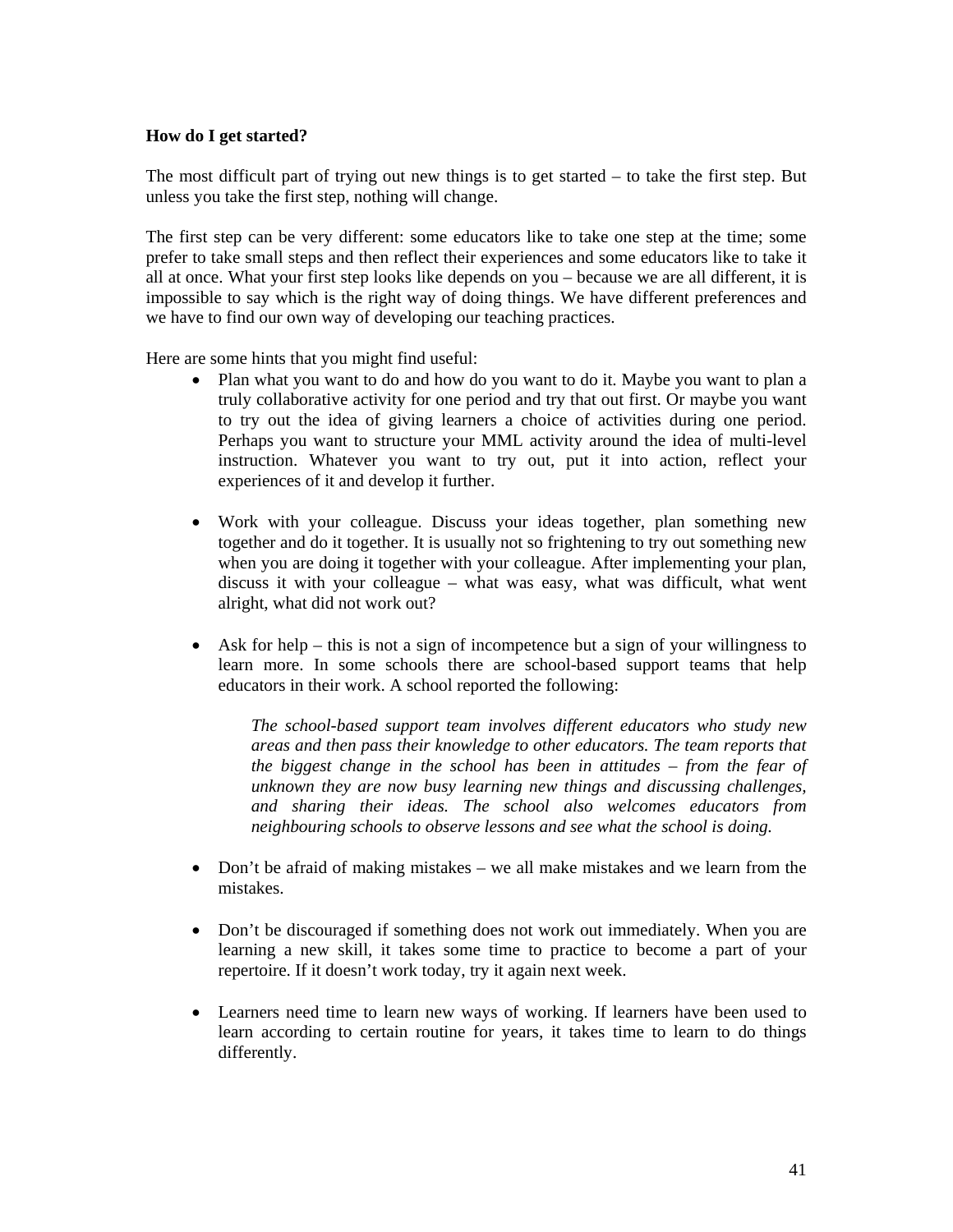## **How do I get started?**

The most difficult part of trying out new things is to get started – to take the first step. But unless you take the first step, nothing will change.

The first step can be very different: some educators like to take one step at the time; some prefer to take small steps and then reflect their experiences and some educators like to take it all at once. What your first step looks like depends on you – because we are all different, it is impossible to say which is the right way of doing things. We have different preferences and we have to find our own way of developing our teaching practices.

Here are some hints that you might find useful:

- Plan what you want to do and how do you want to do it. Maybe you want to plan a truly collaborative activity for one period and try that out first. Or maybe you want to try out the idea of giving learners a choice of activities during one period. Perhaps you want to structure your MML activity around the idea of multi-level instruction. Whatever you want to try out, put it into action, reflect your experiences of it and develop it further.
- Work with your colleague. Discuss your ideas together, plan something new together and do it together. It is usually not so frightening to try out something new when you are doing it together with your colleague. After implementing your plan, discuss it with your colleague – what was easy, what was difficult, what went alright, what did not work out?
- Ask for help this is not a sign of incompetence but a sign of your willingness to learn more. In some schools there are school-based support teams that help educators in their work. A school reported the following:

*The school-based support team involves different educators who study new areas and then pass their knowledge to other educators. The team reports that the biggest change in the school has been in attitudes – from the fear of unknown they are now busy learning new things and discussing challenges, and sharing their ideas. The school also welcomes educators from neighbouring schools to observe lessons and see what the school is doing.*

- Don't be afraid of making mistakes we all make mistakes and we learn from the mistakes.
- Don't be discouraged if something does not work out immediately. When you are learning a new skill, it takes some time to practice to become a part of your repertoire. If it doesn't work today, try it again next week.
- Learners need time to learn new ways of working. If learners have been used to learn according to certain routine for years, it takes time to learn to do things differently.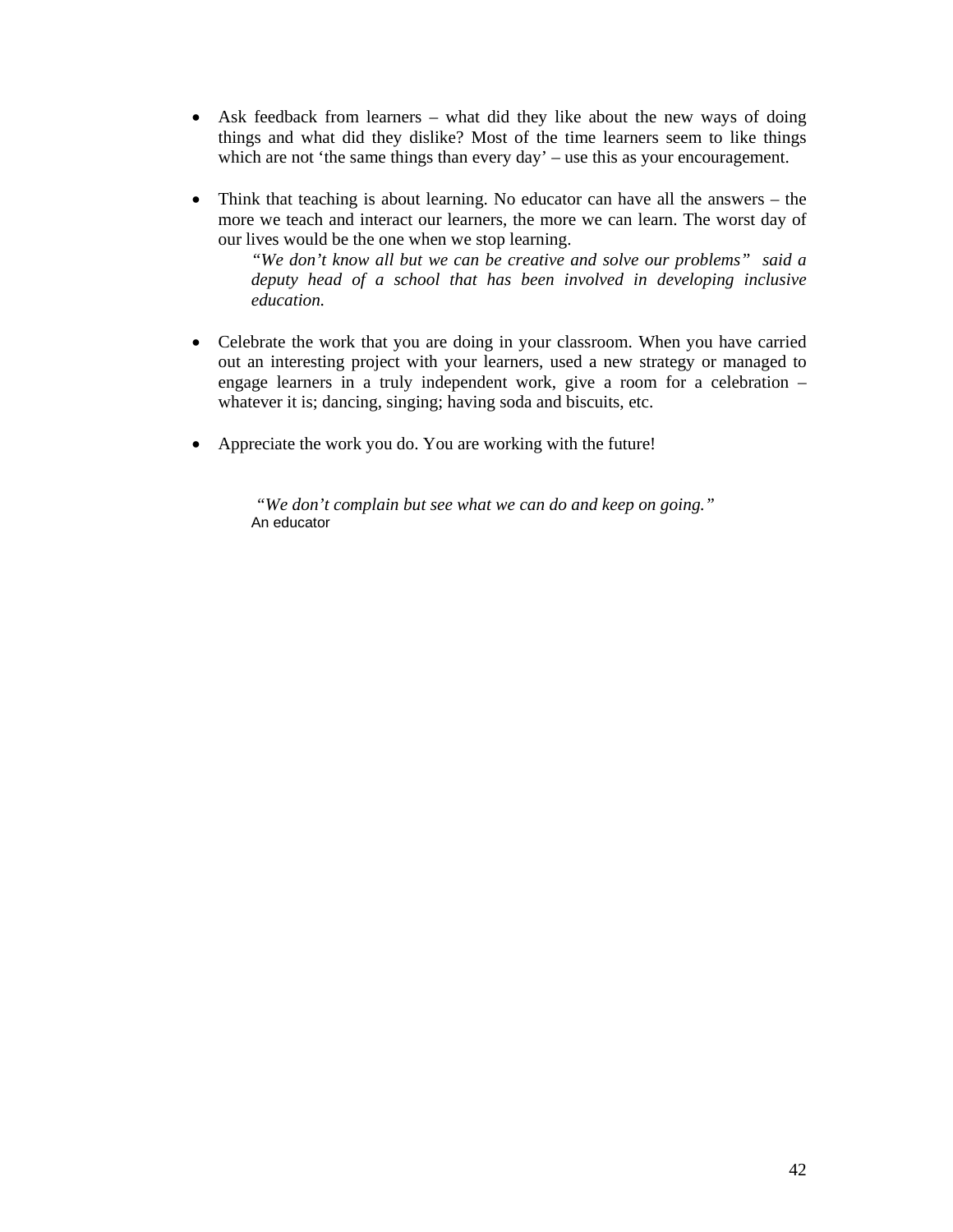- Ask feedback from learners what did they like about the new ways of doing things and what did they dislike? Most of the time learners seem to like things which are not 'the same things than every day' – use this as your encouragement.
- Think that teaching is about learning. No educator can have all the answers the more we teach and interact our learners, the more we can learn. The worst day of our lives would be the one when we stop learning.

*"We don't know all but we can be creative and solve our problems" said a deputy head of a school that has been involved in developing inclusive education.* 

- Celebrate the work that you are doing in your classroom. When you have carried out an interesting project with your learners, used a new strategy or managed to engage learners in a truly independent work, give a room for a celebration – whatever it is; dancing, singing; having soda and biscuits, etc.
- Appreciate the work you do. You are working with the future!

 *"We don't complain but see what we can do and keep on going."*  An educator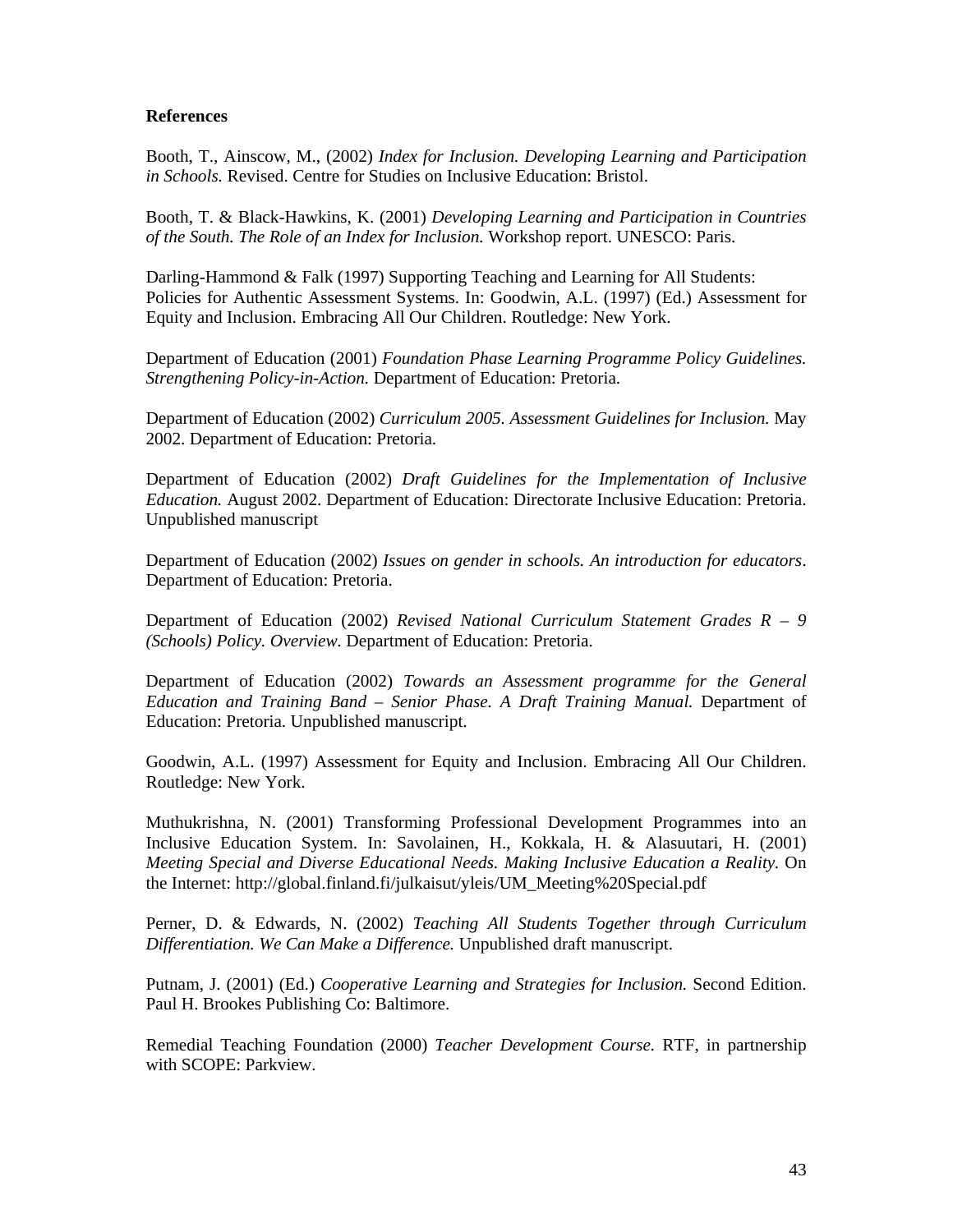## **References**

Booth, T., Ainscow, M., (2002) *Index for Inclusion. Developing Learning and Participation in Schools.* Revised. Centre for Studies on Inclusive Education: Bristol.

Booth, T. & Black-Hawkins, K. (2001) *Developing Learning and Participation in Countries of the South. The Role of an Index for Inclusion.* Workshop report. UNESCO: Paris.

Darling-Hammond & Falk (1997) Supporting Teaching and Learning for All Students: Policies for Authentic Assessment Systems. In: Goodwin, A.L. (1997) (Ed.) Assessment for Equity and Inclusion. Embracing All Our Children. Routledge: New York.

Department of Education (2001) *Foundation Phase Learning Programme Policy Guidelines. Strengthening Policy-in-Action.* Department of Education: Pretoria.

Department of Education (2002) *Curriculum 2005. Assessment Guidelines for Inclusion.* May 2002. Department of Education: Pretoria.

Department of Education (2002) *Draft Guidelines for the Implementation of Inclusive Education.* August 2002. Department of Education: Directorate Inclusive Education: Pretoria. Unpublished manuscript

Department of Education (2002) *Issues on gender in schools. An introduction for educators*. Department of Education: Pretoria.

Department of Education (2002) *Revised National Curriculum Statement Grades R – 9 (Schools) Policy. Overview.* Department of Education: Pretoria.

Department of Education (2002) *Towards an Assessment programme for the General Education and Training Band – Senior Phase. A Draft Training Manual.* Department of Education: Pretoria. Unpublished manuscript.

Goodwin, A.L. (1997) Assessment for Equity and Inclusion. Embracing All Our Children. Routledge: New York.

Muthukrishna, N. (2001) Transforming Professional Development Programmes into an Inclusive Education System. In: Savolainen, H., Kokkala, H. & Alasuutari, H. (2001) *Meeting Special and Diverse Educational Needs. Making Inclusive Education a Reality.* On the Internet: http://global.finland.fi/julkaisut/yleis/UM\_Meeting%20Special.pdf

Perner, D. & Edwards, N. (2002) *Teaching All Students Together through Curriculum Differentiation. We Can Make a Difference.* Unpublished draft manuscript.

Putnam, J. (2001) (Ed.) *Cooperative Learning and Strategies for Inclusion.* Second Edition. Paul H. Brookes Publishing Co: Baltimore.

Remedial Teaching Foundation (2000) *Teacher Development Course.* RTF, in partnership with SCOPE: Parkview.